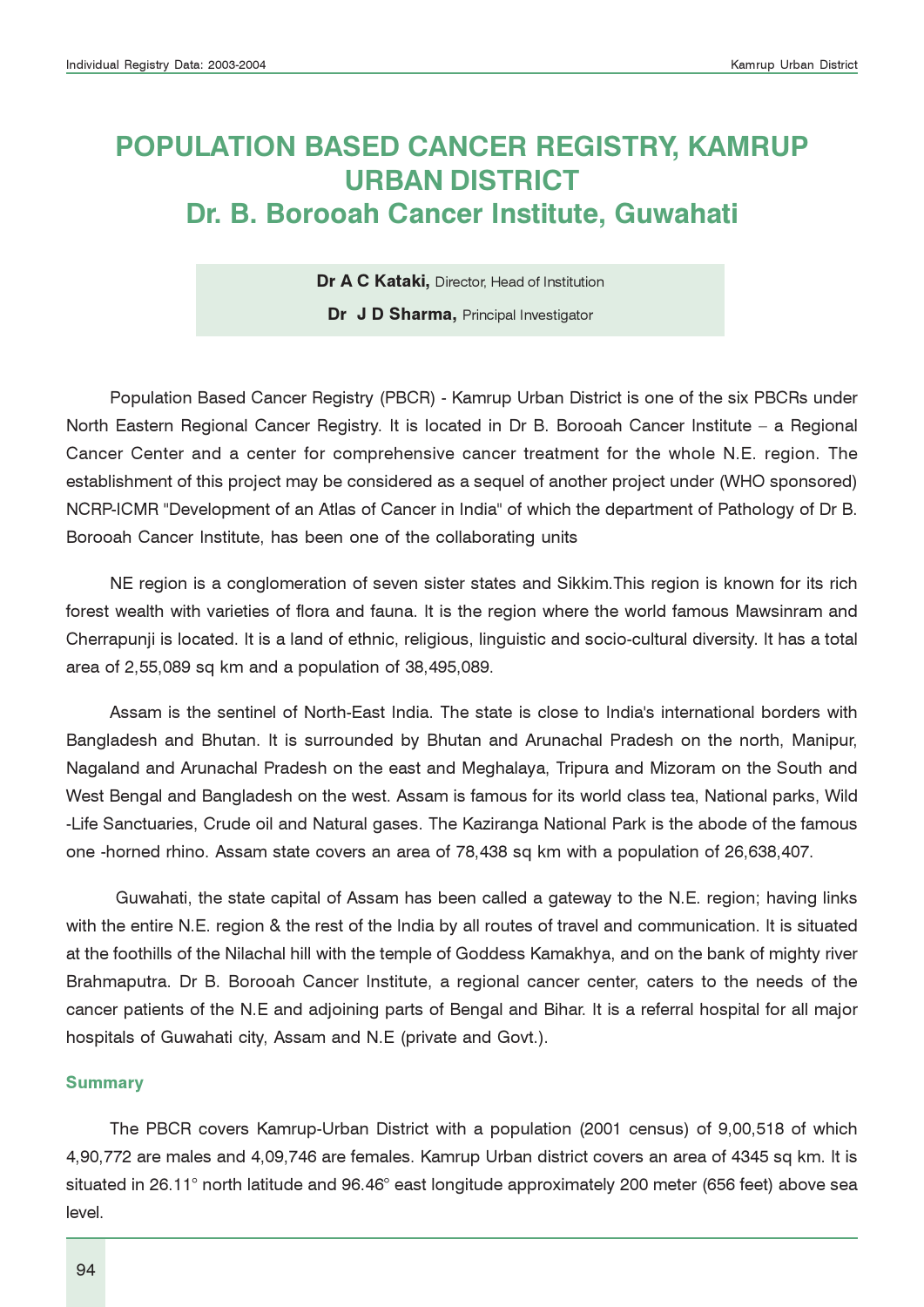# POPULATION BASED CANCER REGISTRY, KAMRUP URBAN DISTRICT Dr. B. Borooah Cancer Institute, Guwahati

Dr A C Kataki, Director, Head of Institution

Dr J D Sharma, Principal Investigator

Population Based Cancer Registry (PBCR) - Kamrup Urban District is one of the six PBCRs under North Eastern Regional Cancer Registry. It is located in Dr B. Borooah Cancer Institute – a Regional Cancer Center and a center for comprehensive cancer treatment for the whole N.E. region. The establishment of this project may be considered as a sequel of another project under (WHO sponsored) NCRP-ICMR "Development of an Atlas of Cancer in India" of which the department of Pathology of Dr B. Borooah Cancer Institute, has been one of the collaborating units

NE region is a conglomeration of seven sister states and Sikkim.This region is known for its rich forest wealth with varieties of flora and fauna. It is the region where the world famous Mawsinram and Cherrapunji is located. It is a land of ethnic, religious, linguistic and socio-cultural diversity. It has a total area of 2,55,089 sq km and a population of 38,495,089.

Assam is the sentinel of North-East India. The state is close to India's international borders with Bangladesh and Bhutan. It is surrounded by Bhutan and Arunachal Pradesh on the north, Manipur, Nagaland and Arunachal Pradesh on the east and Meghalaya, Tripura and Mizoram on the South and West Bengal and Bangladesh on the west. Assam is famous for its world class tea, National parks, Wild -Life Sanctuaries, Crude oil and Natural gases. The Kaziranga National Park is the abode of the famous one -horned rhino. Assam state covers an area of 78,438 sq km with a population of 26,638,407.

 Guwahati, the state capital of Assam has been called a gateway to the N.E. region; having links with the entire N.E. region & the rest of the India by all routes of travel and communication. It is situated at the foothills of the Nilachal hill with the temple of Goddess Kamakhya, and on the bank of mighty river Brahmaputra. Dr B. Borooah Cancer Institute, a regional cancer center, caters to the needs of the cancer patients of the N.E and adjoining parts of Bengal and Bihar. It is a referral hospital for all major hospitals of Guwahati city, Assam and N.E (private and Govt.).

#### **Summary**

The PBCR covers Kamrup-Urban District with a population (2001 census) of 9,00,518 of which 4,90,772 are males and 4,09,746 are females. Kamrup Urban district covers an area of 4345 sq km. It is situated in 26.11° north latitude and 96.46° east longitude approximately 200 meter (656 feet) above sea level.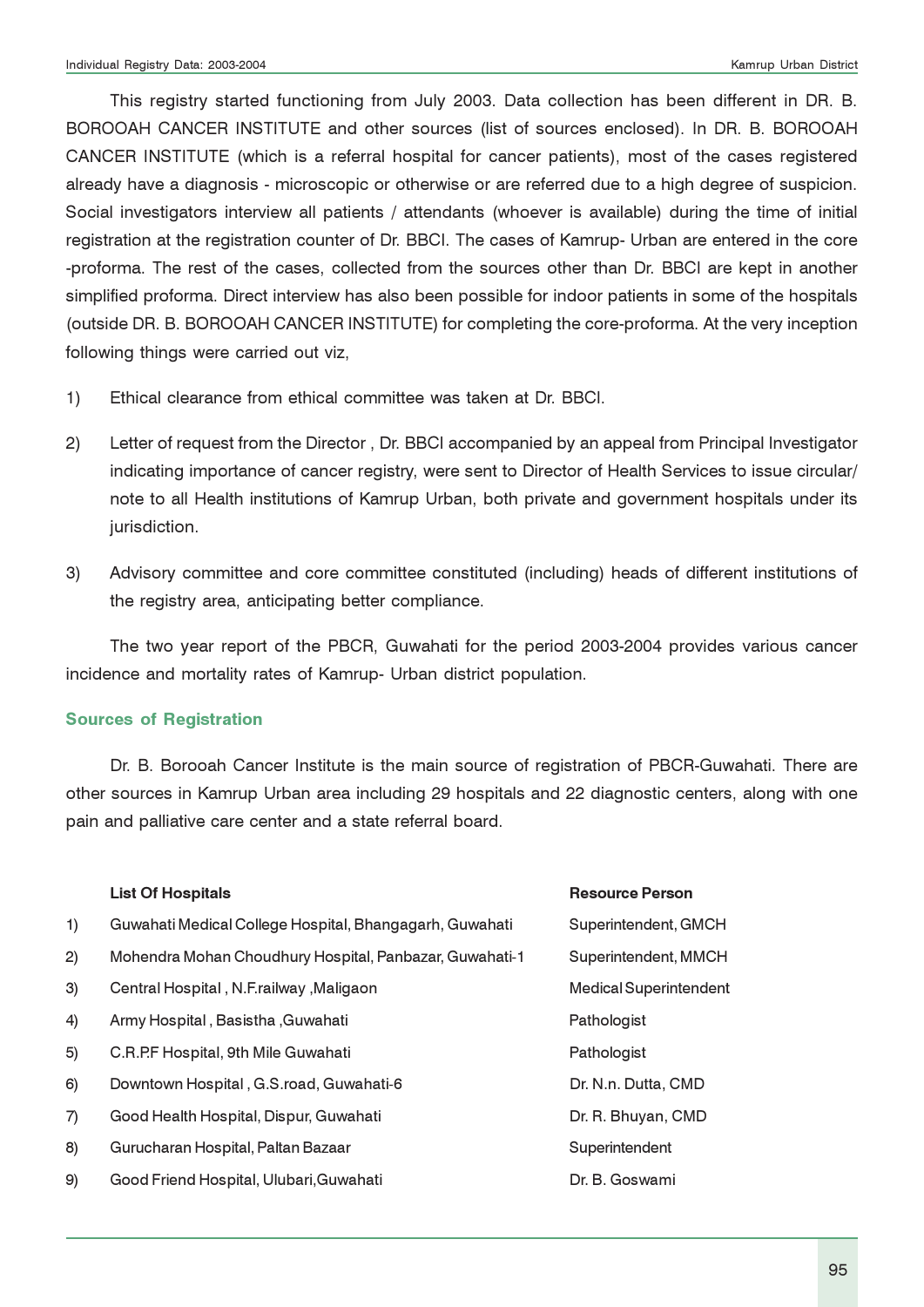This registry started functioning from July 2003. Data collection has been different in DR. B. BOROOAH CANCER INSTITUTE and other sources (list of sources enclosed). In DR. B. BOROOAH CANCER INSTITUTE (which is a referral hospital for cancer patients), most of the cases registered already have a diagnosis - microscopic or otherwise or are referred due to a high degree of suspicion. Social investigators interview all patients / attendants (whoever is available) during the time of initial registration at the registration counter of Dr. BBCI. The cases of Kamrup- Urban are entered in the core -proforma. The rest of the cases, collected from the sources other than Dr. BBCI are kept in another simplified proforma. Direct interview has also been possible for indoor patients in some of the hospitals (outside DR. B. BOROOAH CANCER INSTITUTE) for completing the core-proforma. At the very inception following things were carried out viz,

- 1) Ethical clearance from ethical committee was taken at Dr. BBCI.
- 2) Letter of request from the Director , Dr. BBCI accompanied by an appeal from Principal Investigator indicating importance of cancer registry, were sent to Director of Health Services to issue circular/ note to all Health institutions of Kamrup Urban, both private and government hospitals under its jurisdiction.
- 3) Advisory committee and core committee constituted (including) heads of different institutions of the registry area, anticipating better compliance.

The two year report of the PBCR, Guwahati for the period 2003-2004 provides various cancer incidence and mortality rates of Kamrup- Urban district population.

#### Sources of Registration

Dr. B. Borooah Cancer Institute is the main source of registration of PBCR-Guwahati. There are other sources in Kamrup Urban area including 29 hospitals and 22 diagnostic centers, along with one pain and palliative care center and a state referral board.

|    | <b>List Of Hospitals</b>                                | <b>Resource Person</b>        |
|----|---------------------------------------------------------|-------------------------------|
| 1) | Guwahati Medical College Hospital, Bhangagarh, Guwahati | Superintendent, GMCH          |
| 2) | Mohendra Mohan Choudhury Hospital, Panbazar, Guwahati-1 | Superintendent, MMCH          |
| 3) | Central Hospital, N.F.railway, Maligaon                 | <b>Medical Superintendent</b> |
| 4) | Army Hospital, Basistha, Guwahati                       | Pathologist                   |
| 5) | C.R.P.F Hospital, 9th Mile Guwahati                     | Pathologist                   |
| 6) | Downtown Hospital, G.S.road, Guwahati-6                 | Dr. N.n. Dutta, CMD           |
| 7) | Good Health Hospital, Dispur, Guwahati                  | Dr. R. Bhuyan, CMD            |
| 8) | Gurucharan Hospital, Paltan Bazaar                      | Superintendent                |
| 9) | Good Friend Hospital, Ulubari, Guwahati                 | Dr. B. Goswami                |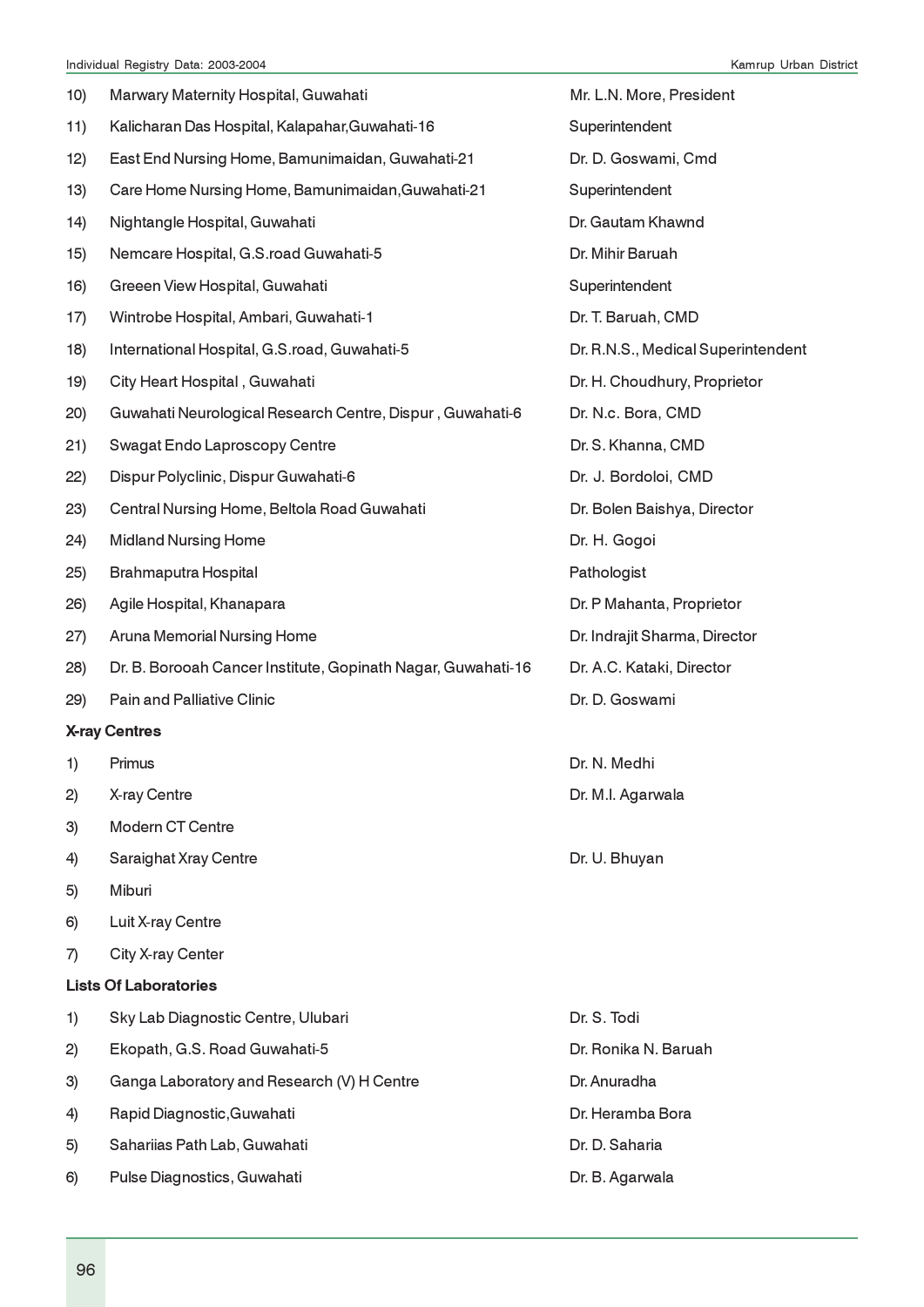| 10) | Marwary Maternity Hospital, Guwahati                         | Mr. L.N. More, President           |
|-----|--------------------------------------------------------------|------------------------------------|
| 11) | Kalicharan Das Hospital, Kalapahar, Guwahati-16              | Superintendent                     |
| 12) | East End Nursing Home, Bamunimaidan, Guwahati-21             | Dr. D. Goswami, Cmd                |
| 13) | Care Home Nursing Home, Bamunimaidan, Guwahati-21            | Superintendent                     |
| 14) | Nightangle Hospital, Guwahati                                | Dr. Gautam Khawnd                  |
| 15) | Nemcare Hospital, G.S.road Guwahati-5                        | Dr. Mihir Baruah                   |
| 16) | Greeen View Hospital, Guwahati                               | Superintendent                     |
| 17) | Wintrobe Hospital, Ambari, Guwahati-1                        | Dr. T. Baruah, CMD                 |
| 18) | International Hospital, G.S.road, Guwahati-5                 | Dr. R.N.S., Medical Superintendent |
| 19) | City Heart Hospital, Guwahati                                | Dr. H. Choudhury, Proprietor       |
| 20) | Guwahati Neurological Research Centre, Dispur, Guwahati-6    | Dr. N.c. Bora, CMD                 |
| 21) | Swagat Endo Laproscopy Centre                                | Dr. S. Khanna, CMD                 |
| 22) | Dispur Polyclinic, Dispur Guwahati-6                         | Dr. J. Bordoloi, CMD               |
| 23) | Central Nursing Home, Beltola Road Guwahati                  | Dr. Bolen Baishya, Director        |
| 24) | <b>Midland Nursing Home</b>                                  | Dr. H. Gogoi                       |
| 25) | Brahmaputra Hospital                                         | Pathologist                        |
| 26) | Agile Hospital, Khanapara                                    | Dr. P Mahanta, Proprietor          |
| 27) | Aruna Memorial Nursing Home                                  | Dr. Indrajit Sharma, Director      |
| 28) | Dr. B. Borooah Cancer Institute, Gopinath Nagar, Guwahati-16 | Dr. A.C. Kataki, Director          |
| 29) | <b>Pain and Palliative Clinic</b>                            | Dr. D. Goswami                     |
|     | <b>X-ray Centres</b>                                         |                                    |
| 1)  | Primus                                                       | Dr. N. Medhi                       |
| 2)  | X-ray Centre                                                 | Dr. M.I. Agarwala                  |
| 3)  | <b>Modern CT Centre</b>                                      |                                    |
| 4)  |                                                              |                                    |
|     | <b>Saraighat Xray Centre</b>                                 | Dr. U. Bhuyan                      |
| 5)  | Miburi                                                       |                                    |
| 6)  | Luit X-ray Centre                                            |                                    |
| 7)  | City X-ray Center                                            |                                    |
|     | <b>Lists Of Laboratories</b>                                 |                                    |
| 1)  | Sky Lab Diagnostic Centre, Ulubari                           | Dr. S. Todi                        |
| 2)  | Ekopath, G.S. Road Guwahati-5                                | Dr. Ronika N. Baruah               |
| 3)  | Ganga Laboratory and Research (V) H Centre                   | Dr. Anuradha                       |
| 4)  | Rapid Diagnostic, Guwahati                                   | Dr. Heramba Bora                   |

6) Pulse Diagnostics, Guwahati Dr. B. Agarwala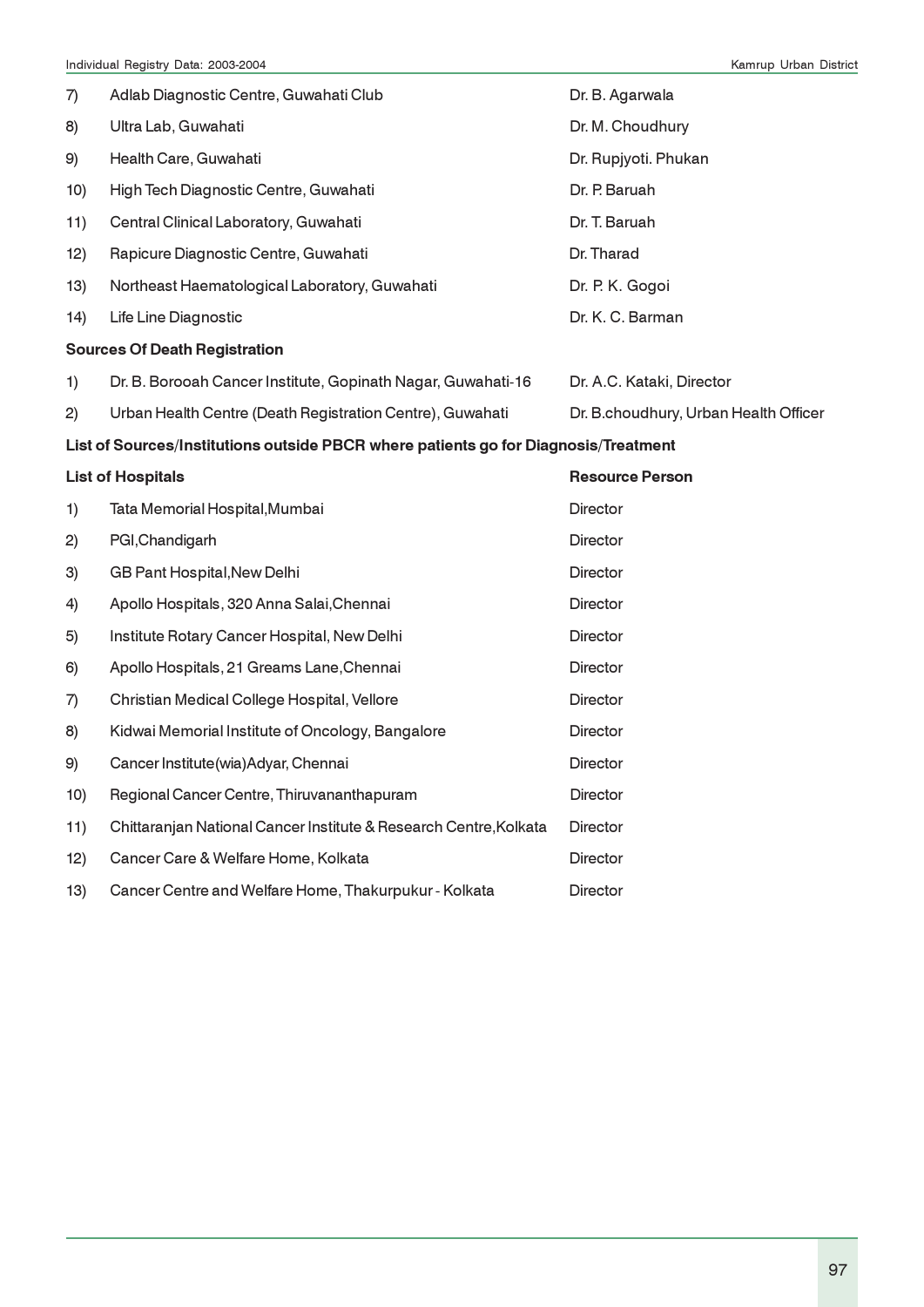| 7)  | Adlab Diagnostic Centre, Guwahati Club                                              | Dr. B. Agarwala                       |
|-----|-------------------------------------------------------------------------------------|---------------------------------------|
| 8)  | Ultra Lab, Guwahati                                                                 | Dr. M. Choudhury                      |
| 9)  | Health Care, Guwahati                                                               | Dr. Rupjyoti. Phukan                  |
| 10) | High Tech Diagnostic Centre, Guwahati                                               | Dr. P. Baruah                         |
| 11) | Central Clinical Laboratory, Guwahati                                               | Dr. T. Baruah                         |
| 12) | Rapicure Diagnostic Centre, Guwahati                                                | Dr. Tharad                            |
| 13) | Northeast Haematological Laboratory, Guwahati                                       | Dr. P. K. Gogoi                       |
| 14) | Life Line Diagnostic                                                                | Dr. K. C. Barman                      |
|     | <b>Sources Of Death Registration</b>                                                |                                       |
| 1)  | Dr. B. Borooah Cancer Institute, Gopinath Nagar, Guwahati-16                        | Dr. A.C. Kataki, Director             |
| 2)  | Urban Health Centre (Death Registration Centre), Guwahati                           | Dr. B.choudhury, Urban Health Officer |
|     | List of Sources/Institutions outside PBCR where patients go for Diagnosis/Treatment |                                       |
|     | <b>List of Hospitals</b>                                                            | <b>Resource Person</b>                |
|     |                                                                                     |                                       |
| 1)  | Tata Memorial Hospital, Mumbai                                                      | <b>Director</b>                       |
| 2)  | PGI, Chandigarh                                                                     | Director                              |
| 3)  | GB Pant Hospital, New Delhi                                                         | Director                              |
| 4)  | Apollo Hospitals, 320 Anna Salai, Chennai                                           | <b>Director</b>                       |
| 5)  | Institute Rotary Cancer Hospital, New Delhi                                         | Director                              |
| 6)  | Apollo Hospitals, 21 Greams Lane, Chennai                                           | Director                              |
| 7)  | Christian Medical College Hospital, Vellore                                         | Director                              |
| 8)  | Kidwai Memorial Institute of Oncology, Bangalore                                    | Director                              |
| 9)  | Cancer Institute(wia)Adyar, Chennai                                                 | Director                              |
| 10) | Regional Cancer Centre, Thiruvananthapuram                                          | Director                              |
| 11) | Chittaranjan National Cancer Institute & Research Centre, Kolkata                   | <b>Director</b>                       |
| 12) | Cancer Care & Welfare Home, Kolkata                                                 | Director                              |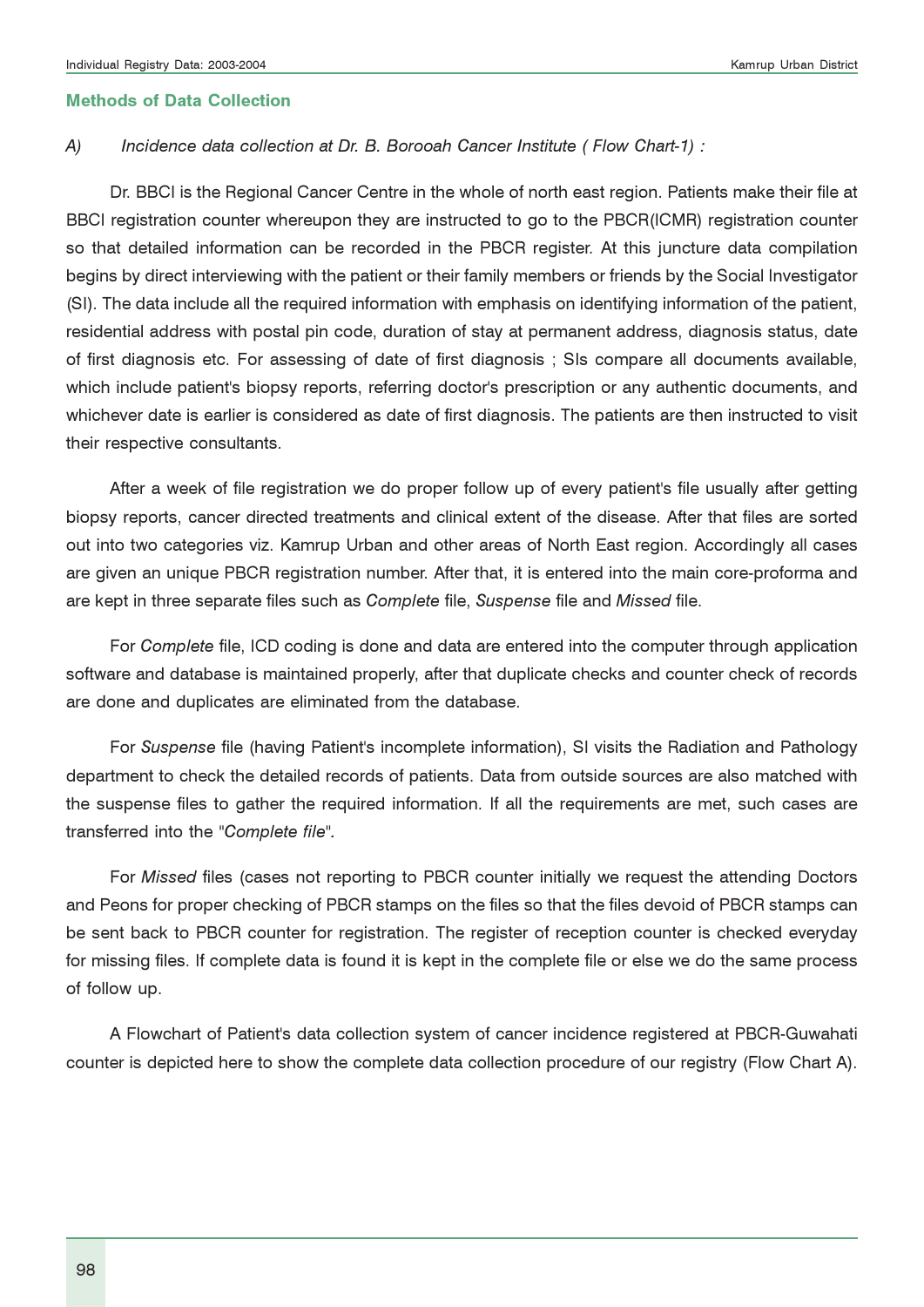#### Methods of Data Collection

#### A) Incidence data collection at Dr. B. Borooah Cancer Institute (Flow Chart-1) :

Dr. BBCI is the Regional Cancer Centre in the whole of north east region. Patients make their file at BBCI registration counter whereupon they are instructed to go to the PBCR(ICMR) registration counter so that detailed information can be recorded in the PBCR register. At this juncture data compilation begins by direct interviewing with the patient or their family members or friends by the Social Investigator (SI). The data include all the required information with emphasis on identifying information of the patient, residential address with postal pin code, duration of stay at permanent address, diagnosis status, date of first diagnosis etc. For assessing of date of first diagnosis ; SIs compare all documents available, which include patient's biopsy reports, referring doctor's prescription or any authentic documents, and whichever date is earlier is considered as date of first diagnosis. The patients are then instructed to visit their respective consultants.

After a week of file registration we do proper follow up of every patient's file usually after getting biopsy reports, cancer directed treatments and clinical extent of the disease. After that files are sorted out into two categories viz. Kamrup Urban and other areas of North East region. Accordingly all cases are given an unique PBCR registration number. After that, it is entered into the main core-proforma and are kept in three separate files such as Complete file, Suspense file and Missed file.

For Complete file, ICD coding is done and data are entered into the computer through application software and database is maintained properly, after that duplicate checks and counter check of records are done and duplicates are eliminated from the database.

For Suspense file (having Patient's incomplete information), SI visits the Radiation and Pathology department to check the detailed records of patients. Data from outside sources are also matched with the suspense files to gather the required information. If all the requirements are met, such cases are transferred into the "Complete file".

For Missed files (cases not reporting to PBCR counter initially we request the attending Doctors and Peons for proper checking of PBCR stamps on the files so that the files devoid of PBCR stamps can be sent back to PBCR counter for registration. The register of reception counter is checked everyday for missing files. If complete data is found it is kept in the complete file or else we do the same process of follow up.

A Flowchart of Patient's data collection system of cancer incidence registered at PBCR-Guwahati counter is depicted here to show the complete data collection procedure of our registry (Flow Chart A).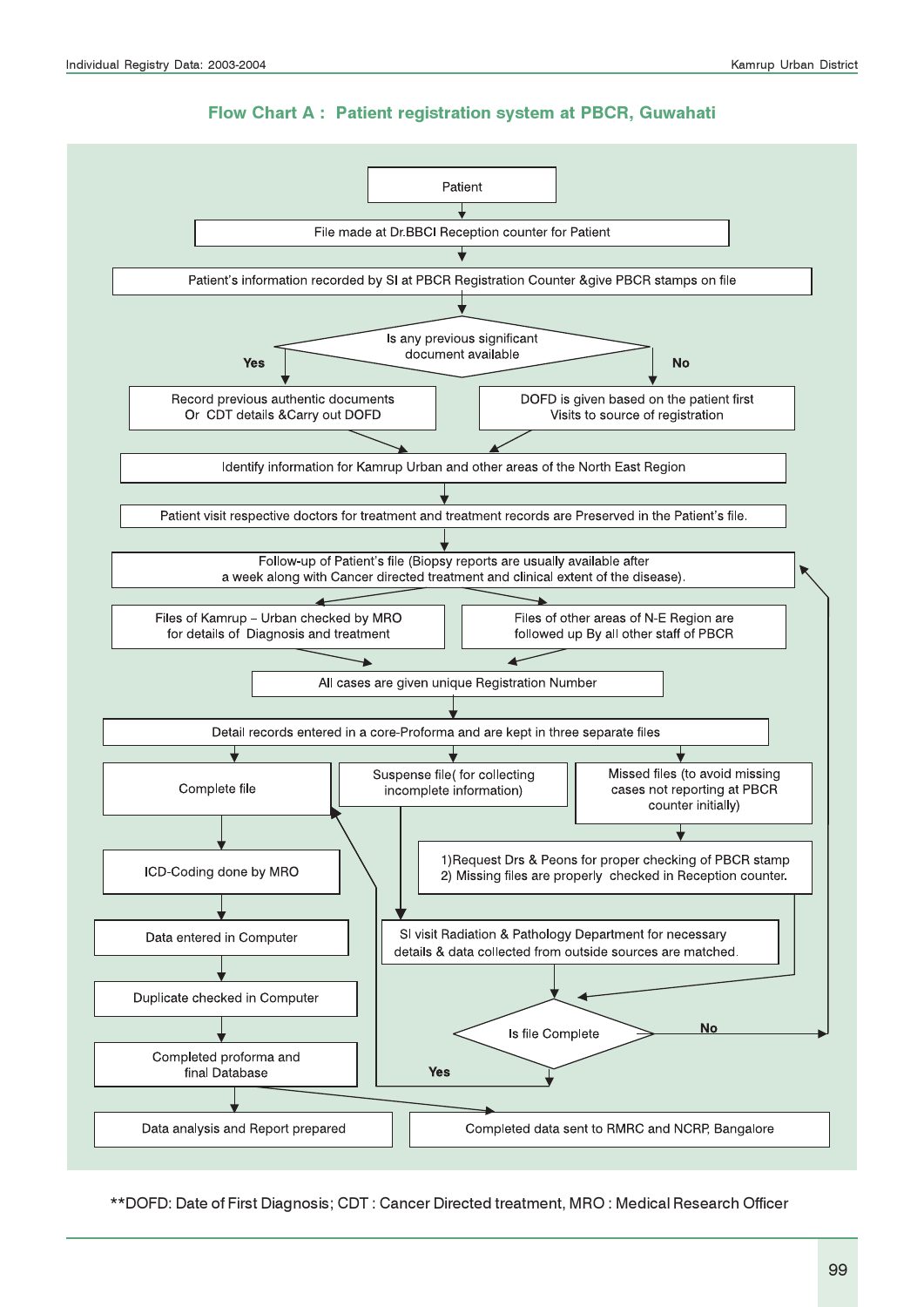#### Flow Chart A : Patient registration system at PBCR, Guwahati



\*\*DOFD: Date of First Diagnosis; CDT : Cancer Directed treatment, MRO : Medical Research Officer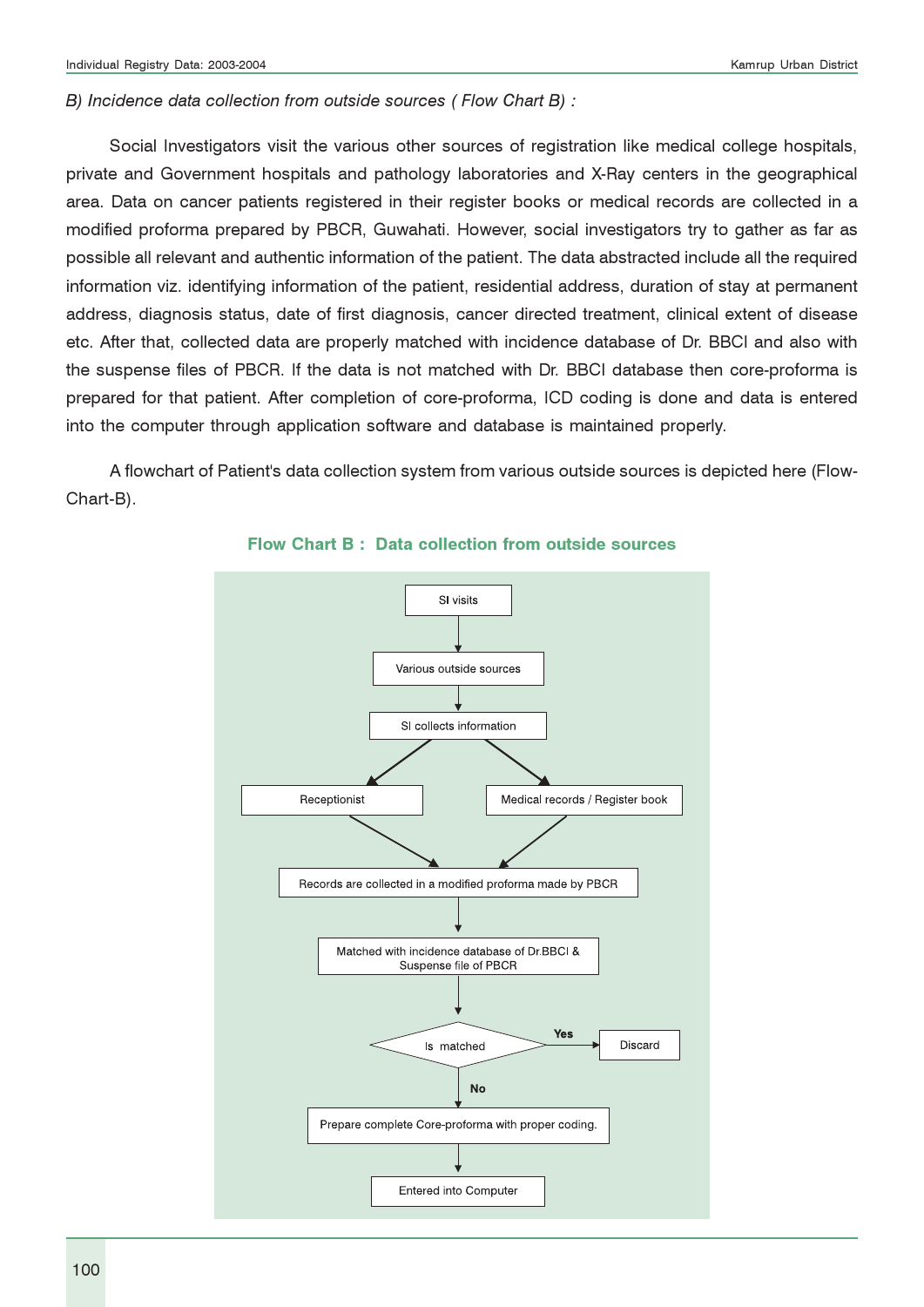#### B) Incidence data collection from outside sources ( Flow Chart B) :

Social Investigators visit the various other sources of registration like medical college hospitals, private and Government hospitals and pathology laboratories and X-Ray centers in the geographical area. Data on cancer patients registered in their register books or medical records are collected in a modified proforma prepared by PBCR, Guwahati. However, social investigators try to gather as far as possible all relevant and authentic information of the patient. The data abstracted include all the required information viz. identifying information of the patient, residential address, duration of stay at permanent address, diagnosis status, date of first diagnosis, cancer directed treatment, clinical extent of disease etc. After that, collected data are properly matched with incidence database of Dr. BBCI and also with the suspense files of PBCR. If the data is not matched with Dr. BBCI database then core-proforma is prepared for that patient. After completion of core-proforma, ICD coding is done and data is entered into the computer through application software and database is maintained properly.

A flowchart of Patient's data collection system from various outside sources is depicted here (Flow-Chart-B).



#### Flow Chart B : Data collection from outside sources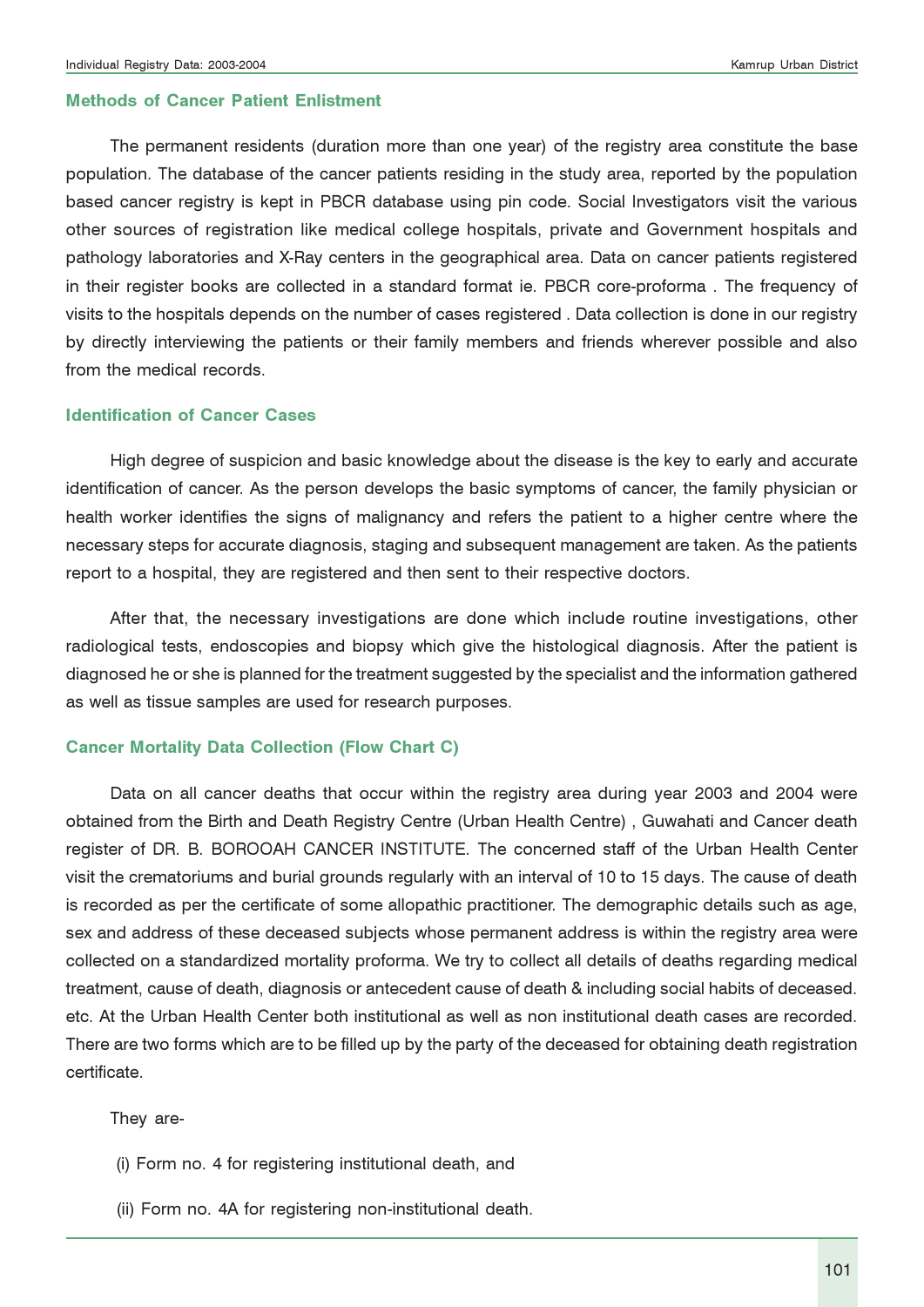#### Methods of Cancer Patient Enlistment

The permanent residents (duration more than one year) of the registry area constitute the base population. The database of the cancer patients residing in the study area, reported by the population based cancer registry is kept in PBCR database using pin code. Social Investigators visit the various other sources of registration like medical college hospitals, private and Government hospitals and pathology laboratories and X-Ray centers in the geographical area. Data on cancer patients registered in their register books are collected in a standard format ie. PBCR core-proforma . The frequency of visits to the hospitals depends on the number of cases registered . Data collection is done in our registry by directly interviewing the patients or their family members and friends wherever possible and also from the medical records.

#### Identification of Cancer Cases

High degree of suspicion and basic knowledge about the disease is the key to early and accurate identification of cancer. As the person develops the basic symptoms of cancer, the family physician or health worker identifies the signs of malignancy and refers the patient to a higher centre where the necessary steps for accurate diagnosis, staging and subsequent management are taken. As the patients report to a hospital, they are registered and then sent to their respective doctors.

After that, the necessary investigations are done which include routine investigations, other radiological tests, endoscopies and biopsy which give the histological diagnosis. After the patient is diagnosed he or she is planned for the treatment suggested by the specialist and the information gathered as well as tissue samples are used for research purposes.

#### Cancer Mortality Data Collection (Flow Chart C)

Data on all cancer deaths that occur within the registry area during year 2003 and 2004 were obtained from the Birth and Death Registry Centre (Urban Health Centre) , Guwahati and Cancer death register of DR. B. BOROOAH CANCER INSTITUTE. The concerned staff of the Urban Health Center visit the crematoriums and burial grounds regularly with an interval of 10 to 15 days. The cause of death is recorded as per the certificate of some allopathic practitioner. The demographic details such as age, sex and address of these deceased subjects whose permanent address is within the registry area were collected on a standardized mortality proforma. We try to collect all details of deaths regarding medical treatment, cause of death, diagnosis or antecedent cause of death & including social habits of deceased. etc. At the Urban Health Center both institutional as well as non institutional death cases are recorded. There are two forms which are to be filled up by the party of the deceased for obtaining death registration certificate.

They are-

- (i) Form no. 4 for registering institutional death, and
- (ii) Form no. 4A for registering non-institutional death.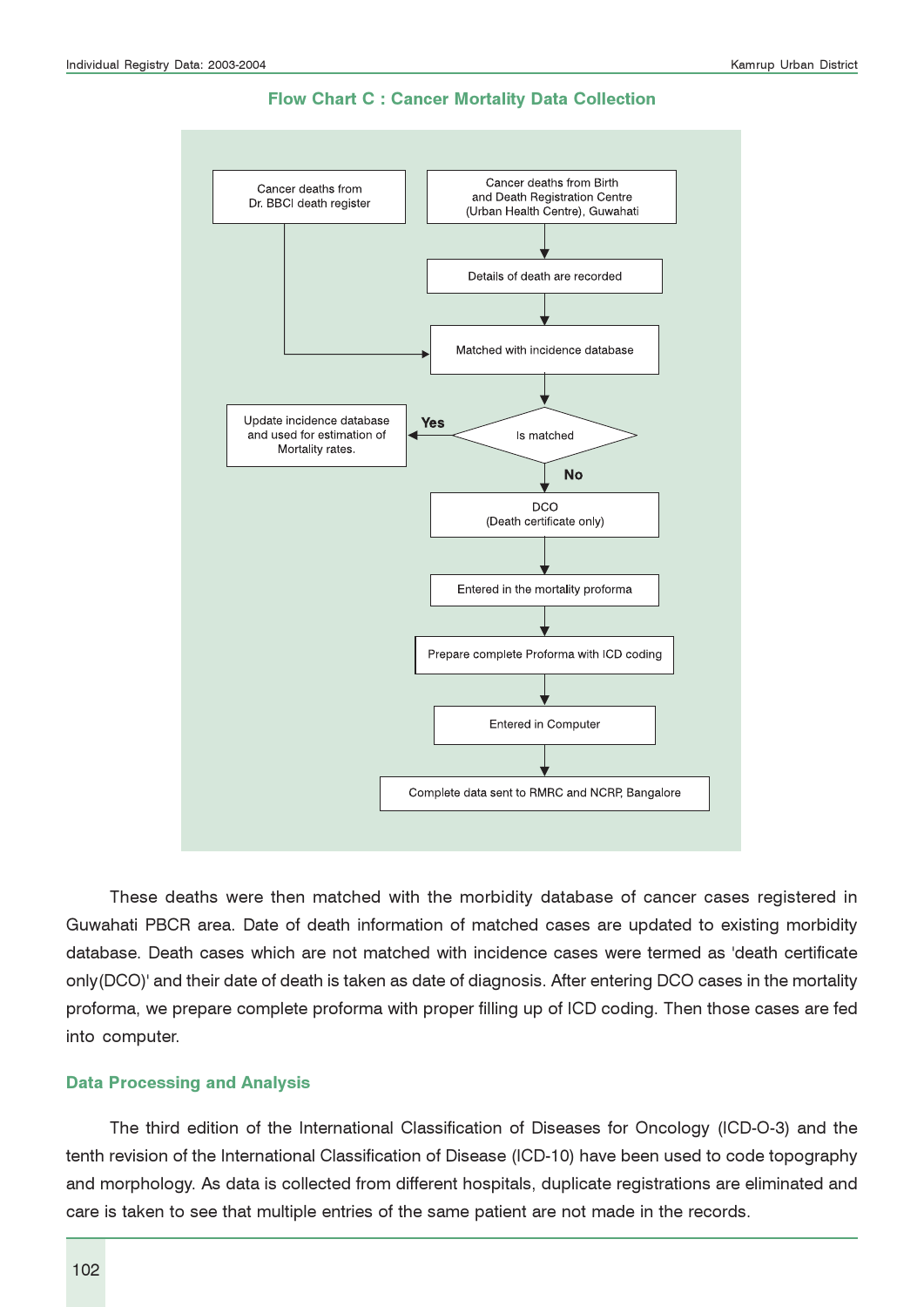

Flow Chart C : Cancer Mortality Data Collection

These deaths were then matched with the morbidity database of cancer cases registered in Guwahati PBCR area. Date of death information of matched cases are updated to existing morbidity database. Death cases which are not matched with incidence cases were termed as 'death certificate only(DCO)' and their date of death is taken as date of diagnosis. After entering DCO cases in the mortality proforma, we prepare complete proforma with proper filling up of ICD coding. Then those cases are fed into computer.

#### Data Processing and Analysis

The third edition of the International Classification of Diseases for Oncology (ICD-O-3) and the tenth revision of the International Classification of Disease (ICD-10) have been used to code topography and morphology. As data is collected from different hospitals, duplicate registrations are eliminated and care is taken to see that multiple entries of the same patient are not made in the records.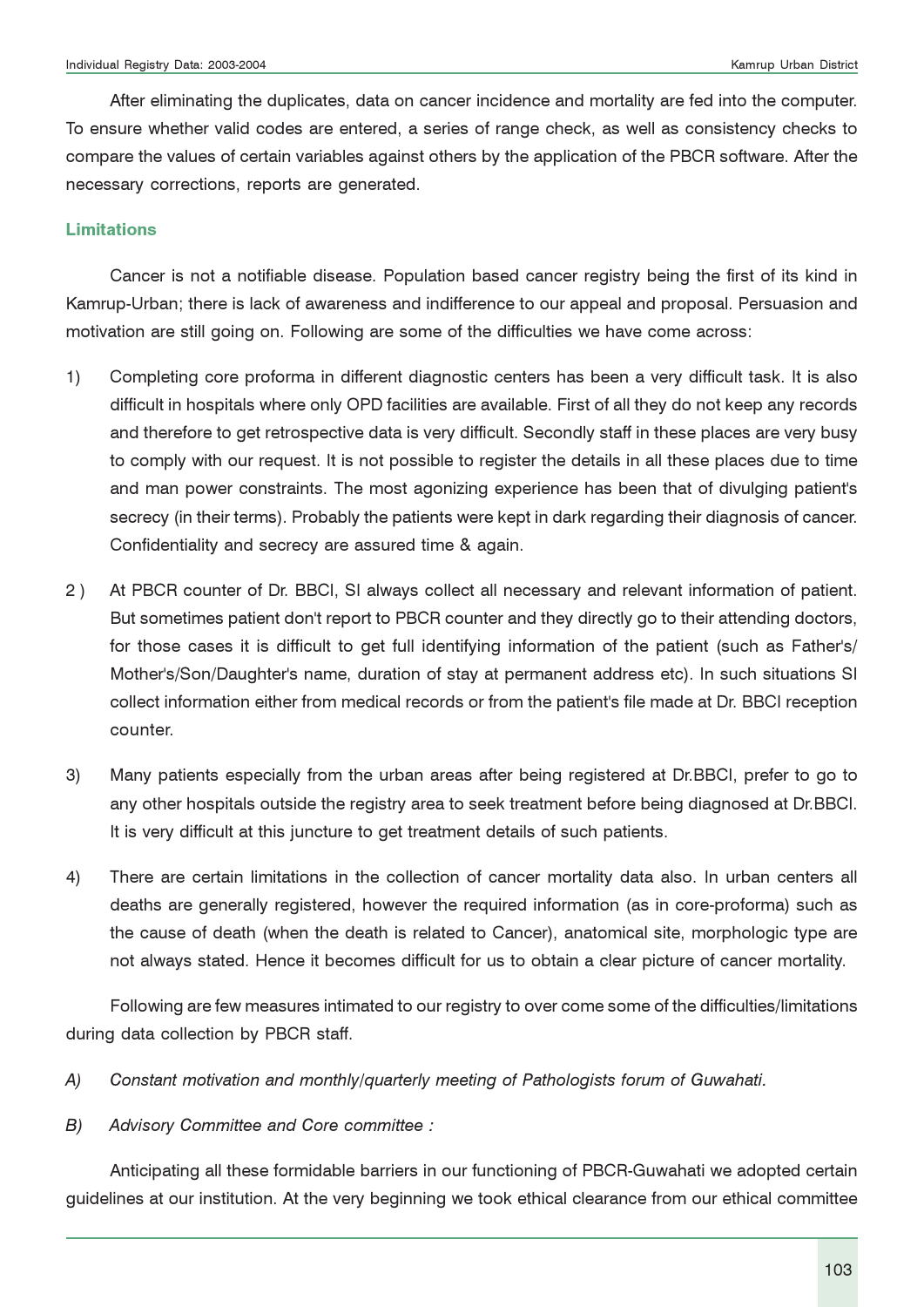After eliminating the duplicates, data on cancer incidence and mortality are fed into the computer. To ensure whether valid codes are entered, a series of range check, as well as consistency checks to compare the values of certain variables against others by the application of the PBCR software. After the necessary corrections, reports are generated.

#### Limitations

Cancer is not a notifiable disease. Population based cancer registry being the first of its kind in Kamrup-Urban; there is lack of awareness and indifference to our appeal and proposal. Persuasion and motivation are still going on. Following are some of the difficulties we have come across:

- 1) Completing core proforma in different diagnostic centers has been a very difficult task. It is also difficult in hospitals where only OPD facilities are available. First of all they do not keep any records and therefore to get retrospective data is very difficult. Secondly staff in these places are very busy to comply with our request. It is not possible to register the details in all these places due to time and man power constraints. The most agonizing experience has been that of divulging patient's secrecy (in their terms). Probably the patients were kept in dark regarding their diagnosis of cancer. Confidentiality and secrecy are assured time & again.
- 2 ) At PBCR counter of Dr. BBCI, SI always collect all necessary and relevant information of patient. But sometimes patient don't report to PBCR counter and they directly go to their attending doctors, for those cases it is difficult to get full identifying information of the patient (such as Father's/ Mother's/Son/Daughter's name, duration of stay at permanent address etc). In such situations SI collect information either from medical records or from the patient's file made at Dr. BBCI reception counter.
- 3) Many patients especially from the urban areas after being registered at Dr.BBCI, prefer to go to any other hospitals outside the registry area to seek treatment before being diagnosed at Dr.BBCI. It is very difficult at this juncture to get treatment details of such patients.
- 4) There are certain limitations in the collection of cancer mortality data also. In urban centers all deaths are generally registered, however the required information (as in core-proforma) such as the cause of death (when the death is related to Cancer), anatomical site, morphologic type are not always stated. Hence it becomes difficult for us to obtain a clear picture of cancer mortality.

Following are few measures intimated to our registry to over come some of the difficulties/limitations during data collection by PBCR staff.

- A) Constant motivation and monthly/quarterly meeting of Pathologists forum of Guwahati.
- B) Advisory Committee and Core committee :

Anticipating all these formidable barriers in our functioning of PBCR-Guwahati we adopted certain guidelines at our institution. At the very beginning we took ethical clearance from our ethical committee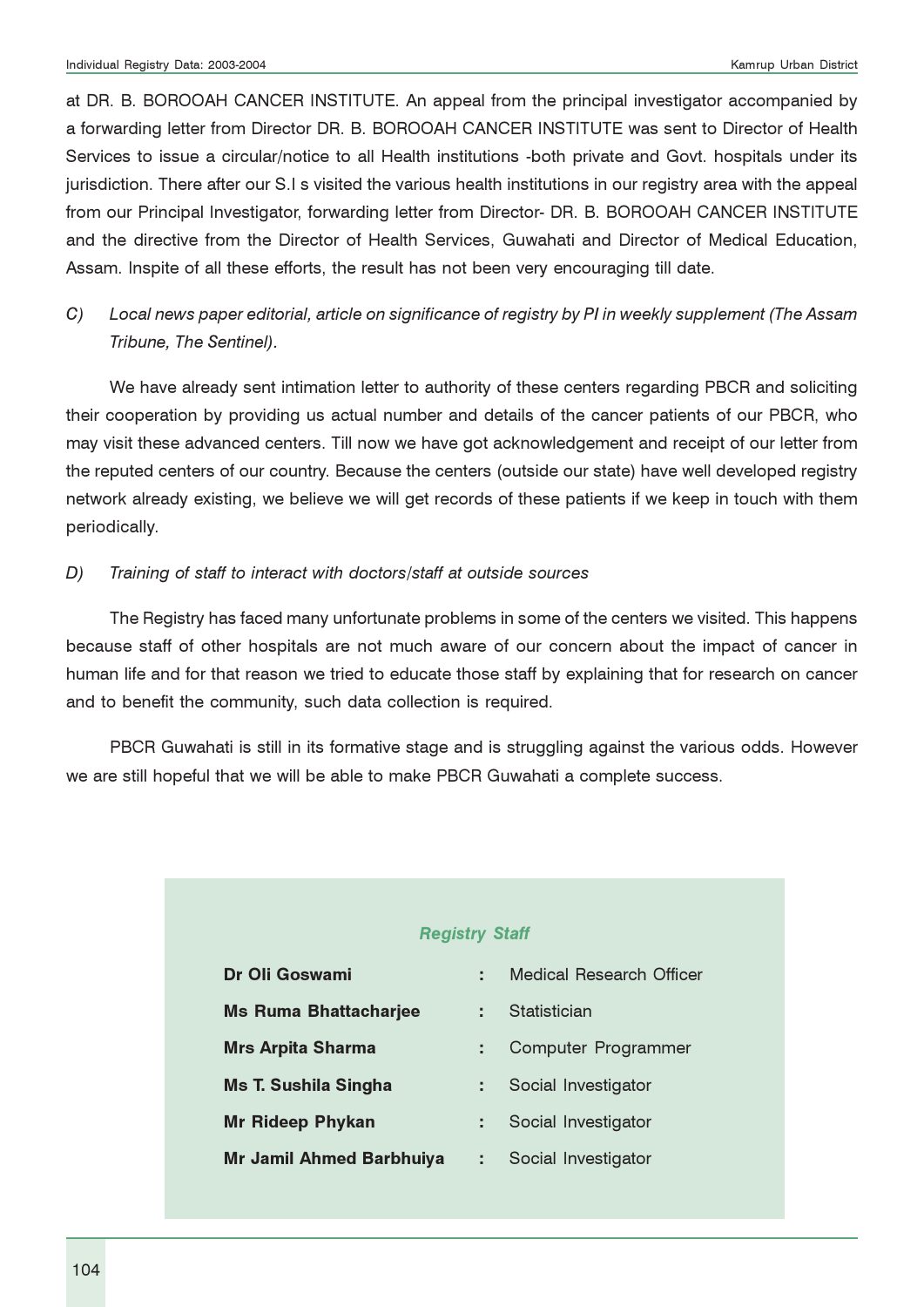at DR. B. BOROOAH CANCER INSTITUTE. An appeal from the principal investigator accompanied by a forwarding letter from Director DR. B. BOROOAH CANCER INSTITUTE was sent to Director of Health Services to issue a circular/notice to all Health institutions -both private and Govt. hospitals under its jurisdiction. There after our S.I s visited the various health institutions in our registry area with the appeal from our Principal Investigator, forwarding letter from Director- DR. B. BOROOAH CANCER INSTITUTE and the directive from the Director of Health Services, Guwahati and Director of Medical Education, Assam. Inspite of all these efforts, the result has not been very encouraging till date.

C) Local news paper editorial, article on significance of registry by PI in weekly supplement (The Assam Tribune, The Sentinel).

We have already sent intimation letter to authority of these centers regarding PBCR and soliciting their cooperation by providing us actual number and details of the cancer patients of our PBCR, who may visit these advanced centers. Till now we have got acknowledgement and receipt of our letter from the reputed centers of our country. Because the centers (outside our state) have well developed registry network already existing, we believe we will get records of these patients if we keep in touch with them periodically.

#### D) Training of staff to interact with doctors/staff at outside sources

The Registry has faced many unfortunate problems in some of the centers we visited. This happens because staff of other hospitals are not much aware of our concern about the impact of cancer in human life and for that reason we tried to educate those staff by explaining that for research on cancer and to benefit the community, such data collection is required.

PBCR Guwahati is still in its formative stage and is struggling against the various odds. However we are still hopeful that we will be able to make PBCR Guwahati a complete success.

#### Registry Staff

| Dr Oli Goswami                  |   | Medical Research Officer |
|---------------------------------|---|--------------------------|
| <b>Ms Ruma Bhattacharjee</b>    | ÷ | Statistician             |
| <b>Mrs Arpita Sharma</b>        |   | Computer Programmer      |
| <b>Ms T. Sushila Singha</b>     |   | Social Investigator      |
| <b>Mr Rideep Phykan</b>         |   | Social Investigator      |
| <b>Mr Jamil Ahmed Barbhuiya</b> | ÷ | Social Investigator      |
|                                 |   |                          |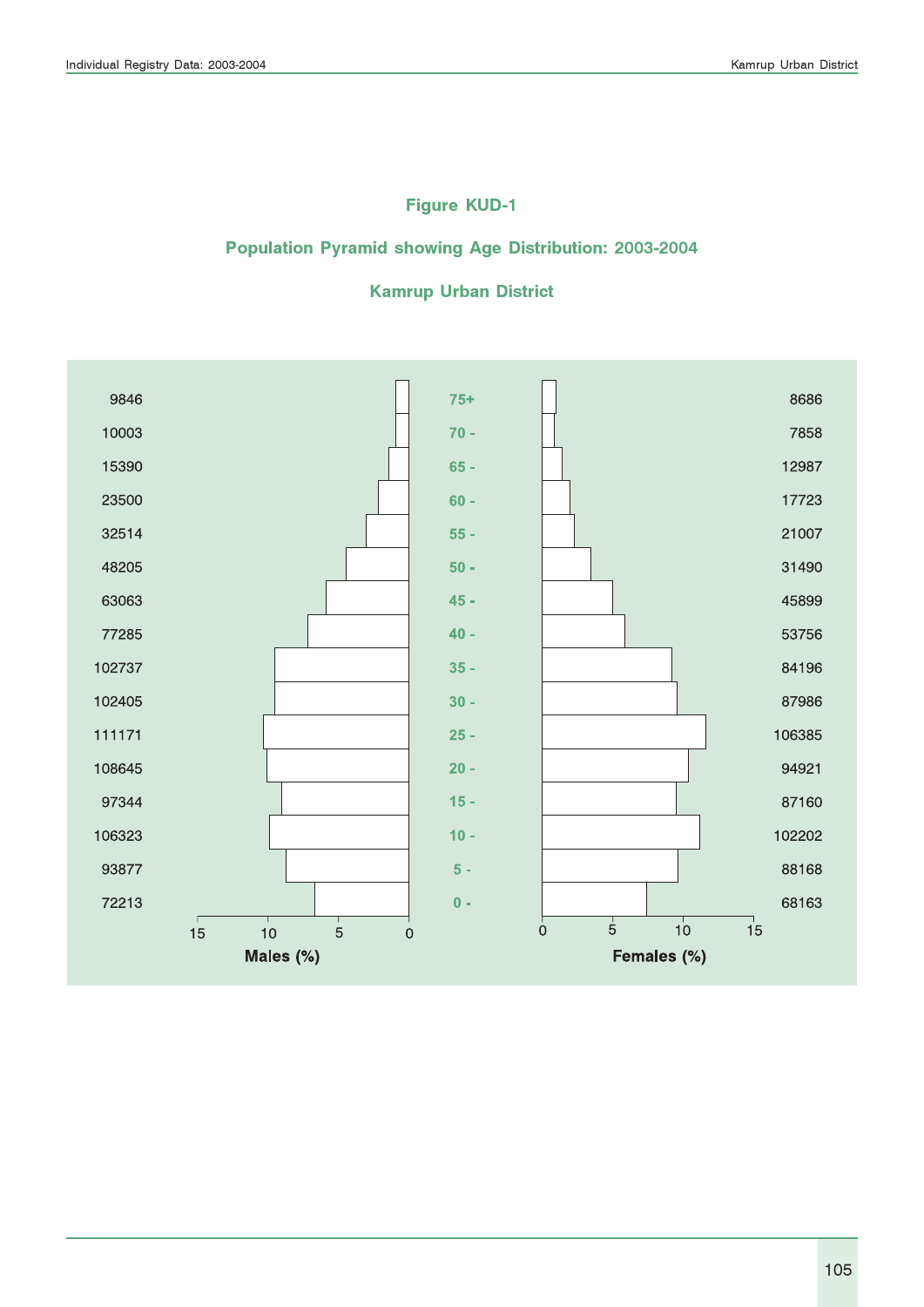### Figure KUD-1

### Population Pyramid showing Age Distribution: 2003-2004

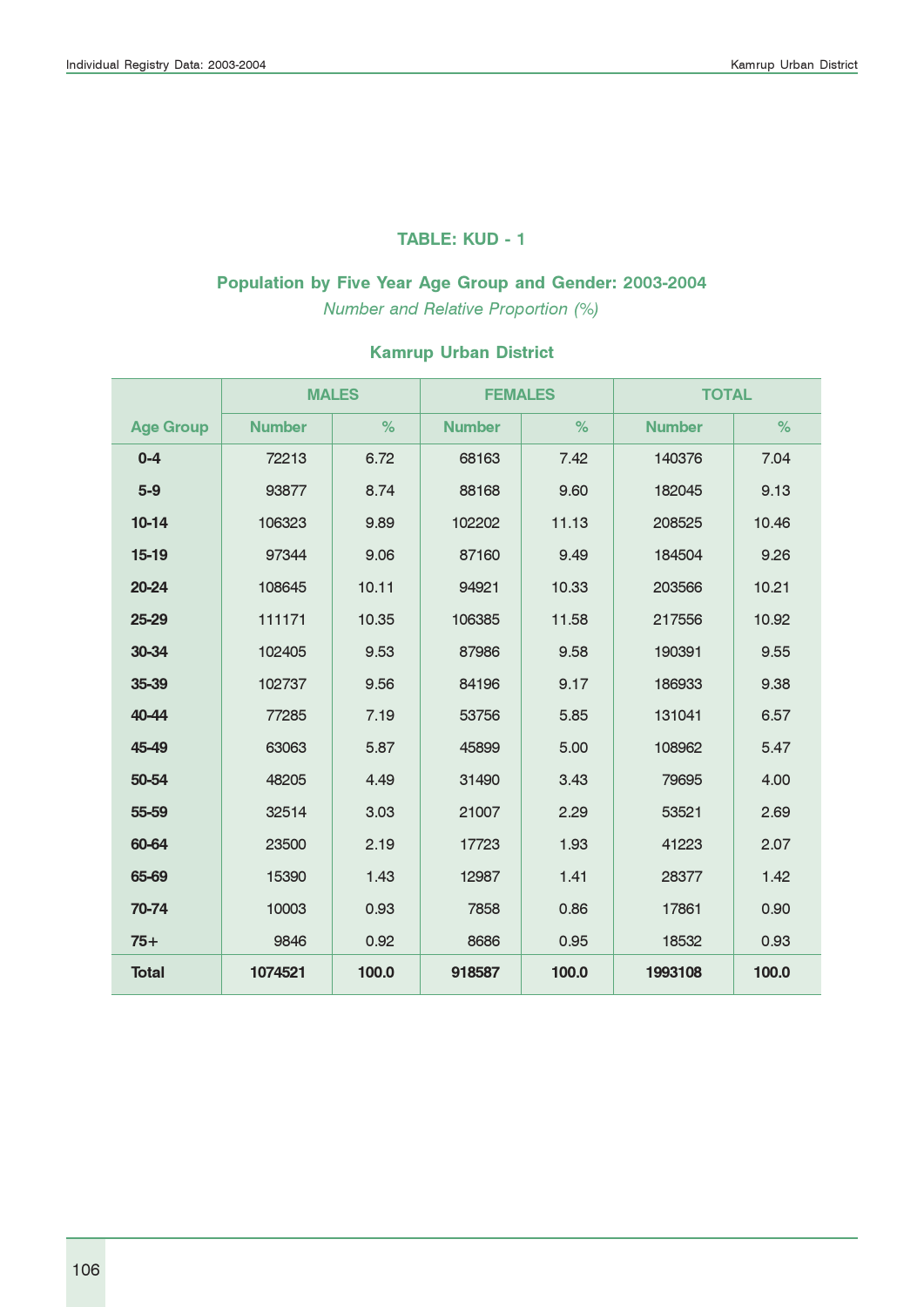#### TABLE: KUD - 1

# Population by Five Year Age Group and Gender: 2003-2004

Number and Relative Proportion (%)

|                  |               | <b>MALES</b> | <b>FEMALES</b> |       | <b>TOTAL</b>  |       |  |  |
|------------------|---------------|--------------|----------------|-------|---------------|-------|--|--|
| <b>Age Group</b> | <b>Number</b> | %            | <b>Number</b>  | %     | <b>Number</b> | %     |  |  |
| $0 - 4$          | 72213         | 6.72         | 68163          | 7.42  | 140376        | 7.04  |  |  |
| $5-9$            | 93877         | 8.74         | 88168          | 9.60  | 182045        | 9.13  |  |  |
| $10-14$          | 106323        | 9.89         | 102202         | 11.13 | 208525        | 10.46 |  |  |
| $15-19$          | 97344         | 9.06         | 87160          | 9.49  | 184504        | 9.26  |  |  |
| 20-24            | 108645        | 10.11        | 94921          | 10.33 | 203566        | 10.21 |  |  |
| 25-29            | 111171        | 10.35        | 106385         | 11.58 | 217556        | 10.92 |  |  |
| 30-34            | 102405        | 9.53         | 87986          | 9.58  | 190391        | 9.55  |  |  |
| 35-39            | 102737        | 9.56         | 84196          | 9.17  | 186933        | 9.38  |  |  |
| 40-44            | 77285         | 7.19         | 53756          | 5.85  | 131041        | 6.57  |  |  |
| 45-49            | 63063         | 5.87         | 45899          | 5.00  | 108962        | 5.47  |  |  |
| 50-54            | 48205         | 4.49         | 31490          | 3.43  | 79695         | 4.00  |  |  |
| 55-59            | 32514         | 3.03         | 21007          | 2.29  | 53521         | 2.69  |  |  |
| 60-64            | 23500         | 2.19         | 17723          | 1.93  | 41223         | 2.07  |  |  |
| 65-69            | 15390         | 1.43         | 12987          | 1.41  | 28377         | 1.42  |  |  |
| 70-74            | 10003         | 0.93         | 7858           | 0.86  | 17861         | 0.90  |  |  |
| $75+$            | 9846<br>0.92  |              | 8686           | 0.95  | 18532         | 0.93  |  |  |
| <b>Total</b>     | 1074521       | 100.0        | 918587         | 100.0 | 1993108       | 100.0 |  |  |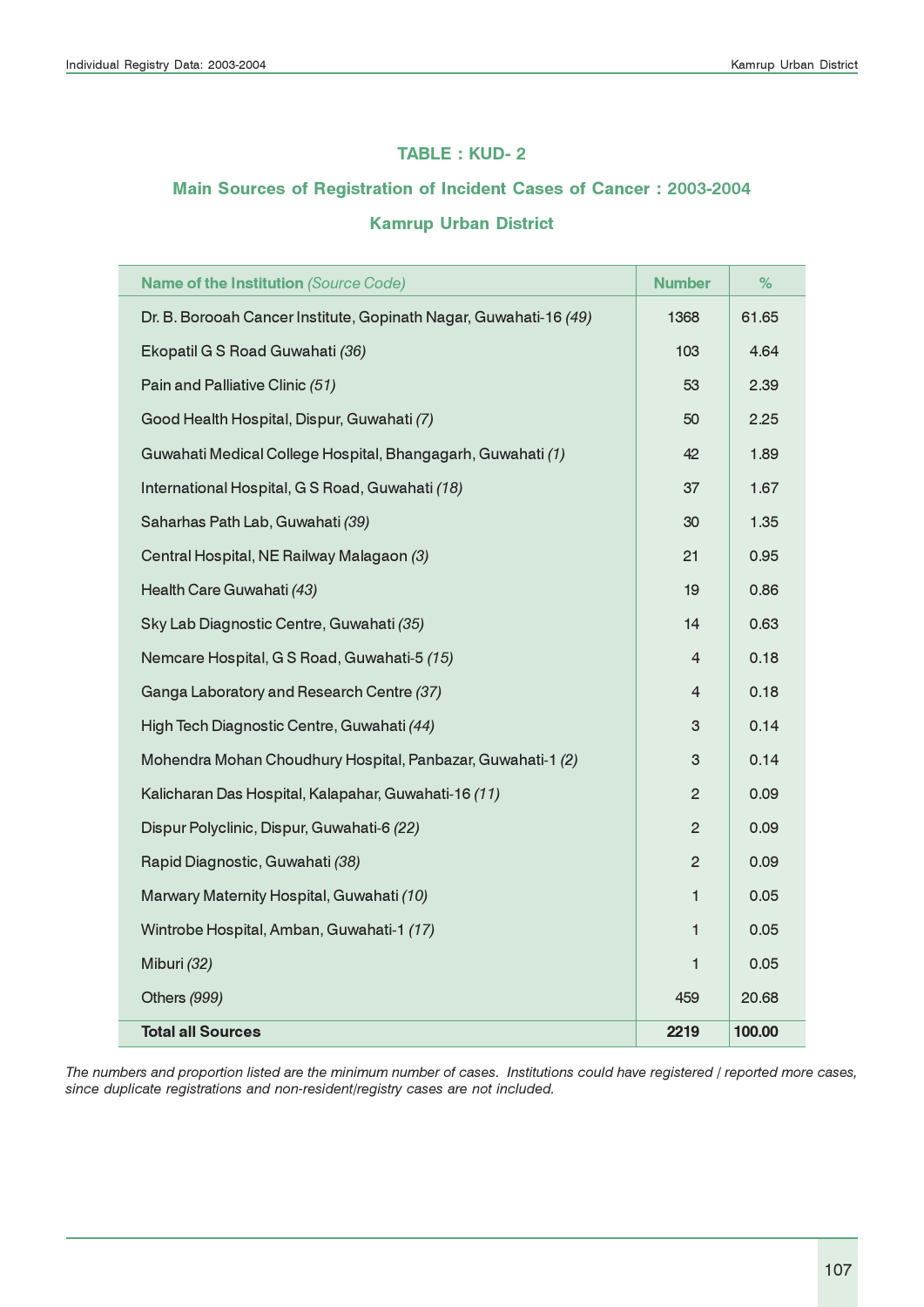#### TABLE : KUD- 2

#### Main Sources of Registration of Incident Cases of Cancer : 2003-2004

#### Kamrup Urban District

| Name of the Institution (Source Code)                             | <b>Number</b>  | %      |
|-------------------------------------------------------------------|----------------|--------|
| Dr. B. Borooah Cancer Institute, Gopinath Nagar, Guwahati-16 (49) | 1368           | 61.65  |
| Ekopatil G S Road Guwahati (36)                                   | 103            | 4.64   |
| Pain and Palliative Clinic (51)                                   | 53             | 2.39   |
| Good Health Hospital, Dispur, Guwahati (7)                        | 50             | 2.25   |
| Guwahati Medical College Hospital, Bhangagarh, Guwahati (1)       | 42             | 1.89   |
| International Hospital, G S Road, Guwahati (18)                   | 37             | 1.67   |
| Saharhas Path Lab, Guwahati (39)                                  | 30             | 1.35   |
| Central Hospital, NE Railway Malagaon (3)                         | 21             | 0.95   |
| Health Care Guwahati (43)                                         | 19             | 0.86   |
| Sky Lab Diagnostic Centre, Guwahati (35)                          | 14             | 0.63   |
| Nemcare Hospital, G S Road, Guwahati-5 (15)                       | 4              | 0.18   |
| Ganga Laboratory and Research Centre (37)                         | $\overline{4}$ | 0.18   |
| High Tech Diagnostic Centre, Guwahati (44)                        | 3              | 0.14   |
| Mohendra Mohan Choudhury Hospital, Panbazar, Guwahati-1 (2)       | 3              | 0.14   |
| Kalicharan Das Hospital, Kalapahar, Guwahati-16 (11)              | $\overline{2}$ | 0.09   |
| Dispur Polyclinic, Dispur, Guwahati-6 (22)                        | $\overline{c}$ | 0.09   |
| Rapid Diagnostic, Guwahati (38)                                   | $\overline{c}$ | 0.09   |
| Marwary Maternity Hospital, Guwahati (10)                         | $\mathbf{1}$   | 0.05   |
| Wintrobe Hospital, Amban, Guwahati-1 (17)                         | 1              | 0.05   |
| Miburi (32)                                                       | 1              | 0.05   |
| Others (999)                                                      | 459            | 20.68  |
| <b>Total all Sources</b>                                          | 2219           | 100.00 |

The numbers and proportion listed are the minimum number of cases. Institutions could have registered / reported more cases, since duplicate registrations and non-resident/registry cases are not included.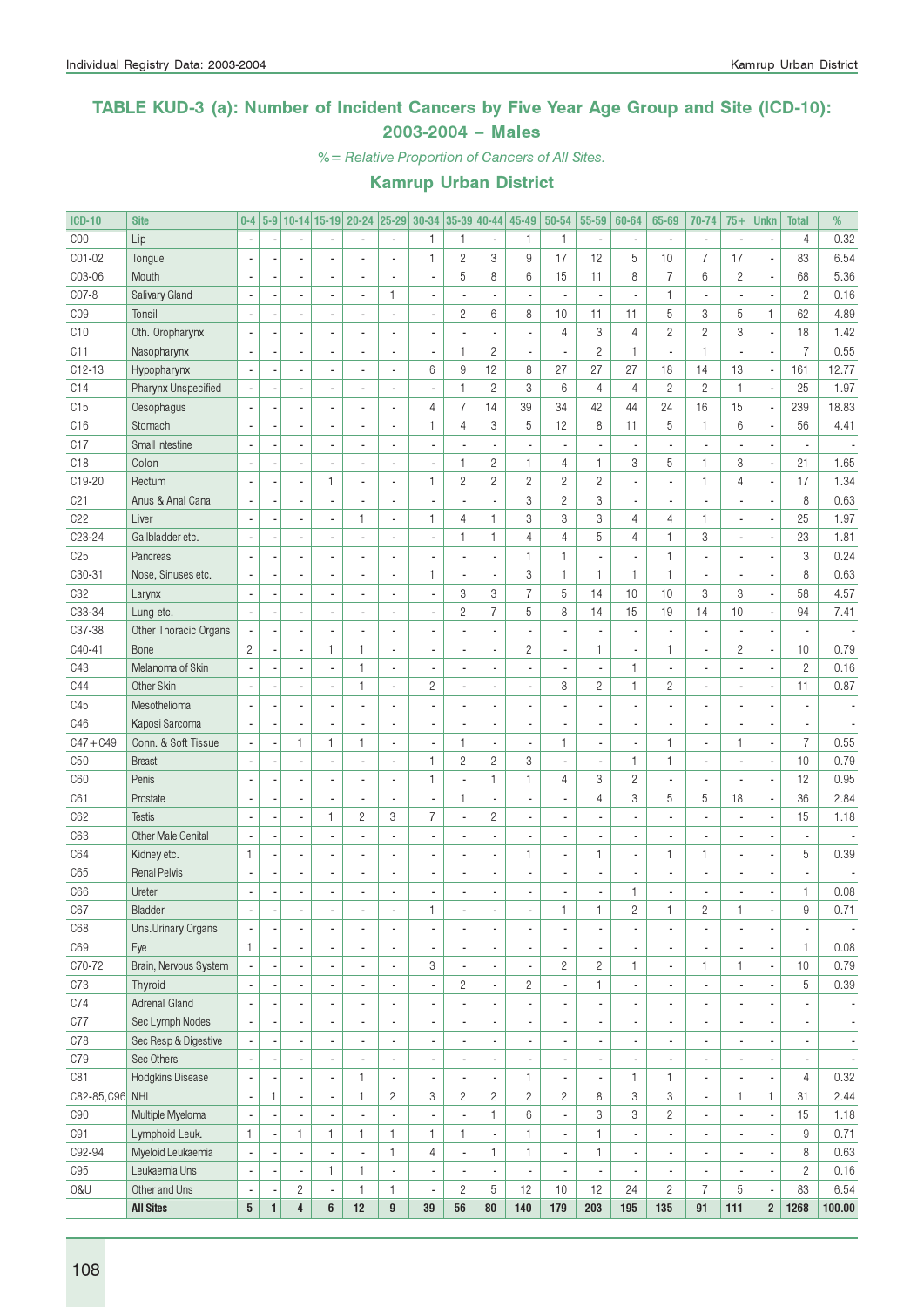### TABLE KUD-3 (a): Number of Incident Cancers by Five Year Age Group and Site (ICD-10): 2003-2004 – Males

%= Relative Proportion of Cancers of All Sites.

| <b>ICD-10</b>   | <b>Site</b>               | $0-4$                    |              |                          |                          | 5-9 10-14 15-19 20-24 25-29 30-34 35-39 40-44 |                          |                          |                |                          | 45-49                    | 50-54          | 55-59                    | 60-64          | 65-69                    | 70-74                    | $75+$          | <b>Unkn</b>              | <b>Total</b>             | %                        |
|-----------------|---------------------------|--------------------------|--------------|--------------------------|--------------------------|-----------------------------------------------|--------------------------|--------------------------|----------------|--------------------------|--------------------------|----------------|--------------------------|----------------|--------------------------|--------------------------|----------------|--------------------------|--------------------------|--------------------------|
| COO             | Lip                       |                          |              |                          |                          |                                               |                          | 1                        | 1              | $\overline{\phantom{a}}$ | 1                        | 1              | $\overline{\phantom{a}}$ |                |                          | ä,                       |                |                          | $\overline{4}$           | 0.32                     |
| C01-02          | Tongue                    |                          |              |                          |                          |                                               |                          | $\mathbf{1}$             | $\sqrt{2}$     | 3                        | 9                        | 17             | 12                       | 5              | 10                       | $\overline{7}$           | 17             | ÷,                       | 83                       | 6.54                     |
| C03-06          | Mouth                     |                          |              |                          |                          | Ĭ.                                            |                          | ÷,                       | 5              | 8                        | 6                        | 15             | 11                       | 8              | $\overline{7}$           | $6\,$                    | $\overline{c}$ | ÷,                       | 68                       | 5.36                     |
| C07-8           | <b>Salivary Gland</b>     |                          |              |                          |                          |                                               | $\mathbf{1}$             |                          |                |                          |                          |                | ÷,                       |                | 1                        | ä,                       |                | ÷,                       | $\overline{c}$           | 0.16                     |
| CO <sub>9</sub> | Tonsil                    |                          |              |                          |                          |                                               |                          |                          | $\mathbf{2}$   | 6                        | 8                        | 10             | 11                       | 11             | 5                        | 3                        | 5              | $\mathbf{1}$             | 62                       | 4.89                     |
| C10             | Oth. Oropharynx           |                          |              |                          |                          |                                               |                          |                          |                | ÷,                       |                          | 4              | 3                        | $\overline{4}$ | $\overline{c}$           | $\overline{c}$           | 3              | ÷,                       | 18                       | 1.42                     |
| C11             | Nasopharynx               |                          |              |                          |                          |                                               |                          | Ĭ.                       | $\mathbf{1}$   | $\overline{c}$           |                          |                | $\overline{c}$           | $\mathbf{1}$   | ÷,                       | $\mathbf{1}$             |                | ÷,                       | $\overline{7}$           | 0.55                     |
| $C12-13$        | Hypopharynx               |                          |              |                          |                          |                                               |                          | 6                        | 9              | 12                       | 8                        | 27             | 27                       | 27             | 18                       | 14                       | 13             | $\overline{\phantom{a}}$ | 161                      | 12.77                    |
| C14             | Pharynx Unspecified       |                          |              |                          |                          | ÷.                                            |                          | ÷,                       | $\mathbf{1}$   | $\overline{c}$           | 3                        | 6              | $\overline{4}$           | $\overline{4}$ | $\overline{c}$           | $\overline{c}$           | $\mathbf{1}$   | ÷,                       | 25                       | 1.97                     |
| C15             | Oesophagus                |                          |              |                          |                          | ÷.                                            |                          | $\overline{4}$           | $\overline{7}$ | 14                       | 39                       | 34             | 42                       | 44             | 24                       | 16                       | 15             | $\overline{\phantom{a}}$ | 239                      | 18.83                    |
| C16             | Stomach                   |                          |              |                          |                          | ÷.                                            |                          | $\mathbf{1}$             | $\overline{4}$ | 3                        | 5                        | 12             | 8                        | 11             | 5                        | $\mathbf{1}$             | 6              | Ĭ,                       | 56                       | 4.41                     |
| C17             | Small Intestine           |                          |              |                          |                          | ÷.                                            |                          |                          |                | ÷,                       |                          |                | $\overline{\phantom{a}}$ |                |                          |                          |                | ÷,                       |                          |                          |
| C <sub>18</sub> | Colon                     |                          |              |                          |                          | ÷,                                            |                          | ÷,                       | $\mathbf{1}$   | $\mathbf{2}$             | 1                        | $\overline{4}$ | $\mathbf{1}$             | 3              | 5                        | $\mathbf{1}$             | 3              | ÷,                       | 21                       | 1.65                     |
| C19-20          | Rectum                    |                          |              |                          | 1                        | ÷,                                            |                          | $\mathbf{1}$             | $\mathbf{2}$   | $\sqrt{2}$               | $\overline{c}$           | $\mathbf{2}$   | $\sqrt{2}$               |                | ä,                       | $\mathbf{1}$             | 4              | ÷,                       | 17                       | 1.34                     |
| C <sub>21</sub> | Anus & Anal Canal         |                          |              |                          |                          |                                               |                          |                          |                | $\blacksquare$           | 3                        | $\overline{2}$ | 3                        |                |                          |                          |                | ÷,                       | 8                        | 0.63                     |
| C22             | Liver                     |                          |              |                          |                          | 1                                             | $\overline{a}$           | $\mathbf{1}$             | $\overline{4}$ | $\mathbf{1}$             | 3                        | 3              | 3                        | $\overline{4}$ | $\overline{4}$           | $\mathbf{1}$             |                | Ĭ.                       | 25                       | 1.97                     |
| C23-24          |                           |                          |              |                          |                          |                                               |                          | ÷,                       | $\mathbf{1}$   |                          | $\overline{4}$           | 4              | 5                        | $\overline{4}$ |                          | 3                        |                |                          | 23                       |                          |
|                 | Gallbladder etc.          |                          |              |                          |                          |                                               |                          |                          |                | $\mathbf{1}$             |                          |                |                          |                | 1                        |                          |                | ÷,                       |                          | 1.81                     |
| C <sub>25</sub> | Pancreas                  |                          |              |                          |                          |                                               |                          |                          |                | $\overline{\phantom{a}}$ | 1                        | 1              | $\overline{\phantom{a}}$ |                | $\mathbf{1}$             | ÷,                       |                | ÷,                       | 3                        | 0.24                     |
| C30-31          | Nose, Sinuses etc.        |                          |              |                          |                          | ÷.                                            |                          | $\mathbf{1}$             | ä,             | $\overline{\phantom{a}}$ | 3                        | $\mathbf{1}$   | $\mathbf{1}$             | $\mathbf{1}$   | 1                        | ä,                       |                | ÷,                       | 8                        | 0.63                     |
| C32             | Larynx                    |                          |              |                          |                          |                                               |                          | ÷,                       | 3              | 3                        | $\overline{7}$           | 5              | 14                       | 10             | 10                       | 3                        | 3              | Ĭ.                       | 58                       | 4.57                     |
| C33-34          | Lung etc.                 |                          |              |                          |                          |                                               |                          |                          | $\overline{c}$ | $\overline{7}$           | 5                        | 8              | 14                       | 15             | 19                       | 14                       | 10             | ÷,                       | 94                       | 7.41                     |
| C37-38          | Other Thoracic Organs     |                          |              | ä,                       |                          |                                               |                          |                          |                | $\overline{\phantom{a}}$ |                          |                | $\overline{\phantom{a}}$ |                |                          | ä,                       |                | Ĭ.                       |                          |                          |
| C40-41          | Bone                      | $\overline{c}$           |              | ä,                       | 1                        | 1                                             |                          | ÷,                       |                | $\overline{\phantom{a}}$ | $\overline{c}$           |                | $\mathbf{1}$             |                | 1                        | $\blacksquare$           | $\overline{c}$ | ÷,                       | 10                       | 0.79                     |
| C43             | Melanoma of Skin          |                          |              |                          |                          | 1                                             | $\overline{a}$           | ÷,                       |                | $\overline{\phantom{a}}$ |                          |                | $\overline{\phantom{a}}$ | $\mathbf{1}$   |                          | $\overline{\phantom{a}}$ |                | Ĭ.                       | $\overline{c}$           | 0.16                     |
| C44             | Other Skin                |                          |              |                          |                          | 1                                             | $\overline{a}$           | $\overline{c}$           |                | $\overline{\phantom{a}}$ |                          | 3              | $\overline{c}$           | $\mathbf{1}$   | $\overline{c}$           | $\overline{a}$           |                | ÷,                       | 11                       | 0.87                     |
| C45             | Mesothelioma              |                          |              |                          |                          |                                               |                          |                          |                | $\overline{\phantom{a}}$ |                          |                | $\overline{\phantom{a}}$ |                |                          | $\overline{\phantom{a}}$ |                | ÷,                       |                          |                          |
| C46             | Kaposi Sarcoma            |                          |              | ÷,                       |                          |                                               |                          |                          |                | $\overline{\phantom{a}}$ |                          |                | $\overline{\phantom{a}}$ |                |                          | $\overline{a}$           |                | ÷,                       |                          |                          |
| $C47 + C49$     | Conn. & Soft Tissue       |                          |              | $\mathbf{1}$             | 1                        | 1                                             | $\overline{a}$           | $\blacksquare$           | $\mathbf{1}$   | $\blacksquare$           |                          | 1              | $\overline{\phantom{a}}$ |                | 1                        | $\overline{a}$           | 1              | ÷,                       | $\overline{7}$           | 0.55                     |
| C50             | <b>Breast</b>             |                          |              |                          |                          |                                               |                          | $\mathbf{1}$             | $\overline{c}$ | $\mathbf{2}$             | 3                        |                | $\overline{\phantom{a}}$ | $\mathbf{1}$   | 1                        | $\overline{a}$           |                | ÷,                       | 10                       | 0.79                     |
| C60             | Penis                     |                          |              |                          |                          |                                               |                          | $\mathbf{1}$             |                | $\mathbf{1}$             | 1                        | $\overline{4}$ | 3                        | $\overline{c}$ |                          | ÷,                       |                | Ĭ.                       | 12                       | 0.95                     |
| C61             | Prostate                  |                          |              | ä,                       |                          | ÷,                                            |                          | Ĭ.                       | $\mathbf{1}$   | $\overline{\phantom{a}}$ |                          |                | 4                        | 3              | 5                        | 5                        | 18             | ÷,                       | 36                       | 2.84                     |
| C62             | <b>Testis</b>             |                          |              | $\overline{\phantom{a}}$ | 1                        | $\overline{c}$                                | 3                        | $\overline{I}$           |                | $\overline{c}$           |                          |                | ÷,                       |                |                          |                          |                | ÷,                       | 15                       | 1.18                     |
| C63             | <b>Other Male Genital</b> |                          |              | ä,                       |                          |                                               |                          |                          |                | $\overline{\phantom{a}}$ |                          |                | $\overline{\phantom{a}}$ |                |                          | ä,                       |                | ÷,                       |                          |                          |
| C64             | Kidney etc.               | $\mathbf{1}$             |              | ä,                       |                          | ä,                                            |                          |                          |                | $\overline{\phantom{a}}$ | 1                        |                | $\mathbf{1}$             | ä,             | 1                        | $\mathbf{1}$             |                | ÷,                       | 5                        | 0.39                     |
| C65             | <b>Renal Pelvis</b>       |                          |              | ä,                       |                          | ä,                                            |                          |                          |                | $\overline{\phantom{a}}$ |                          |                | $\overline{\phantom{a}}$ |                |                          | ä,                       |                | ×,                       |                          |                          |
| C66             | Ureter                    |                          |              |                          |                          | ä,                                            |                          |                          |                | ä,                       |                          |                | ÷,                       | 1              |                          | ä,                       |                |                          | $\mathbf{1}$             | 0.08                     |
| C67             | Bladder                   |                          |              |                          |                          |                                               |                          | 1                        |                |                          |                          | 1.             | 1                        | $\overline{c}$ |                          | $\overline{\mathbf{c}}$  | 1              |                          | 9                        | 0.71                     |
| C68             | Uns.Urinary Organs        | $\overline{\phantom{a}}$ |              | $\overline{\phantom{a}}$ |                          | ٠                                             | ÷,                       | $\overline{\phantom{a}}$ | ÷,             | $\overline{\phantom{a}}$ | $\overline{\phantom{a}}$ |                | $\overline{\phantom{a}}$ | $\frac{1}{2}$  | $\overline{\phantom{a}}$ | $\blacksquare$           | ٠              | $\overline{\phantom{a}}$ | $\overline{a}$           |                          |
| C69             | Eye                       | $\mathbf{1}$             |              | $\overline{a}$           |                          | ٠                                             | ÷,                       | $\blacksquare$           |                | $\blacksquare$           |                          |                | $\blacksquare$           |                | $\overline{\phantom{a}}$ | $\blacksquare$           |                | l,                       | $\mathbf{1}$             | 0.08                     |
| C70-72          | Brain, Nervous System     |                          |              | $\frac{1}{2}$            |                          | ٠                                             | ÷,                       | 3                        |                | $\blacksquare$           |                          | $\overline{c}$ | $\mathbf{2}$             | 1              | ÷,                       | $\mathbf{1}$             | 1              | $\overline{\phantom{a}}$ | 10                       | 0.79                     |
| C73             | Thyroid                   |                          |              | ÷,                       |                          | ٠                                             | ä,                       | $\overline{\phantom{a}}$ | $\mathbf{2}$   | $\blacksquare$           | $\mathbf{2}$             | Ĭ.             | $\mathbf{1}$             |                | $\overline{\phantom{a}}$ | $\overline{\phantom{a}}$ |                | ÷,                       | 5                        | 0.39                     |
| C74             | Adrenal Gland             | $\overline{\phantom{a}}$ |              | ÷,                       |                          | ٠                                             | ä,                       | $\blacksquare$           |                | $\blacksquare$           |                          |                | $\overline{\phantom{a}}$ |                | $\overline{\phantom{a}}$ | $\blacksquare$           |                | ÷,                       |                          | $\overline{\phantom{a}}$ |
| C77             | Sec Lymph Nodes           |                          |              | ÷,                       |                          | ٠                                             | ä,                       | $\blacksquare$           |                | $\blacksquare$           |                          |                | $\overline{\phantom{a}}$ | ÷,             | $\overline{\phantom{a}}$ | $\blacksquare$           |                | $\overline{\phantom{a}}$ | $\overline{a}$           | $\overline{\phantom{a}}$ |
| C78             | Sec Resp & Digestive      |                          |              | ÷,                       |                          | ٠                                             | ä,                       | $\blacksquare$           |                | $\blacksquare$           |                          |                | $\overline{\phantom{a}}$ | ٠              | $\overline{\phantom{a}}$ | $\blacksquare$           |                | $\overline{\phantom{a}}$ | $\blacksquare$           | $\overline{\phantom{a}}$ |
| C79             | Sec Others                |                          |              | ÷,                       |                          |                                               | ÷,                       | $\blacksquare$           |                | $\blacksquare$           |                          |                | $\blacksquare$           |                | ٠                        | $\blacksquare$           |                | $\overline{\phantom{a}}$ | $\overline{\phantom{a}}$ | $\overline{\phantom{a}}$ |
| C81             | Hodgkins Disease          | $\overline{\phantom{a}}$ |              | $\overline{\phantom{a}}$ |                          | 1                                             | ÷,                       | $\blacksquare$           |                | $\blacksquare$           | 1                        |                | $\blacksquare$           | $\mathbf{1}$   | 1                        | $\blacksquare$           |                | ÷,                       | $\overline{4}$           | 0.32                     |
| C82-85, C96 NHL |                           | $\overline{\phantom{a}}$ | 1            |                          |                          | 1                                             | $\mathbf{2}$             | 3                        |                | $\mathbf{2}$             | $\overline{c}$           | $\overline{c}$ | 8                        | 3              | 3                        | $\overline{\phantom{a}}$ | 1              | $\mathbbm{1}$            | 31                       | 2.44                     |
|                 |                           |                          |              | $\overline{\phantom{a}}$ |                          |                                               |                          |                          | $\overline{c}$ |                          |                          |                |                          |                |                          |                          |                |                          |                          |                          |
| C90             | Multiple Myeloma          | ł,                       |              | $\frac{1}{2}$            |                          |                                               | Ĭ.                       |                          |                | $\mathbf{1}$             | 6                        | ÷,             | 3                        | 3              | $\overline{c}$           | $\blacksquare$           |                | l,                       | 15                       | 1.18                     |
| C91             | Lymphoid Leuk.            | $\mathbf{1}$             |              | 1                        | 1                        | 1                                             | $\mathbf{1}$             | $\mathbf{1}$             | $\mathbf{1}$   | $\blacksquare$           | 1                        |                | $\mathbf{1}$             |                | ÷,                       | $\blacksquare$           |                | l,                       | $\hbox{9}$               | 0.71                     |
| C92-94          | Myeloid Leukaemia         | $\overline{\phantom{a}}$ |              | $\overline{\phantom{a}}$ |                          | $\overline{a}$                                | $\mathbf{1}$             | 4                        |                | 1                        | 1                        | ÷,             | $\mathbf{1}$             | ٠              | $\overline{\phantom{a}}$ | $\blacksquare$           |                | ÷,                       | 8                        | 0.63                     |
| C95             | Leukaemia Uns             | $\overline{\phantom{a}}$ |              | $\overline{\phantom{a}}$ | $\mathbf{1}$             | $\mathbf{1}$                                  | $\overline{\phantom{a}}$ | $\blacksquare$           |                | $\overline{\phantom{a}}$ |                          |                | $\overline{\phantom{a}}$ |                | $\overline{\phantom{a}}$ | $\blacksquare$           |                | $\overline{\phantom{a}}$ | $\overline{c}$           | 0.16                     |
| 0&U             | Other and Uns             | $\overline{\phantom{a}}$ |              | $\overline{c}$           | $\overline{\phantom{a}}$ | $\mathbf{1}$                                  | $\mathbf{1}$             | $\blacksquare$           | $\overline{c}$ | 5                        | 12                       | 10             | 12                       | 24             | $\overline{c}$           | $\overline{7}$           | 5              | $\overline{\phantom{a}}$ | 83                       | 6.54                     |
|                 | <b>All Sites</b>          | $\mathbf 5$              | $\mathbf{1}$ | 4                        | 6                        | 12                                            | $\boldsymbol{9}$         | 39                       | 56             | 80                       | 140                      | 179            | 203                      | 195            | 135                      | 91                       | 111            | $\overline{2}$           | 1268                     | 100.00                   |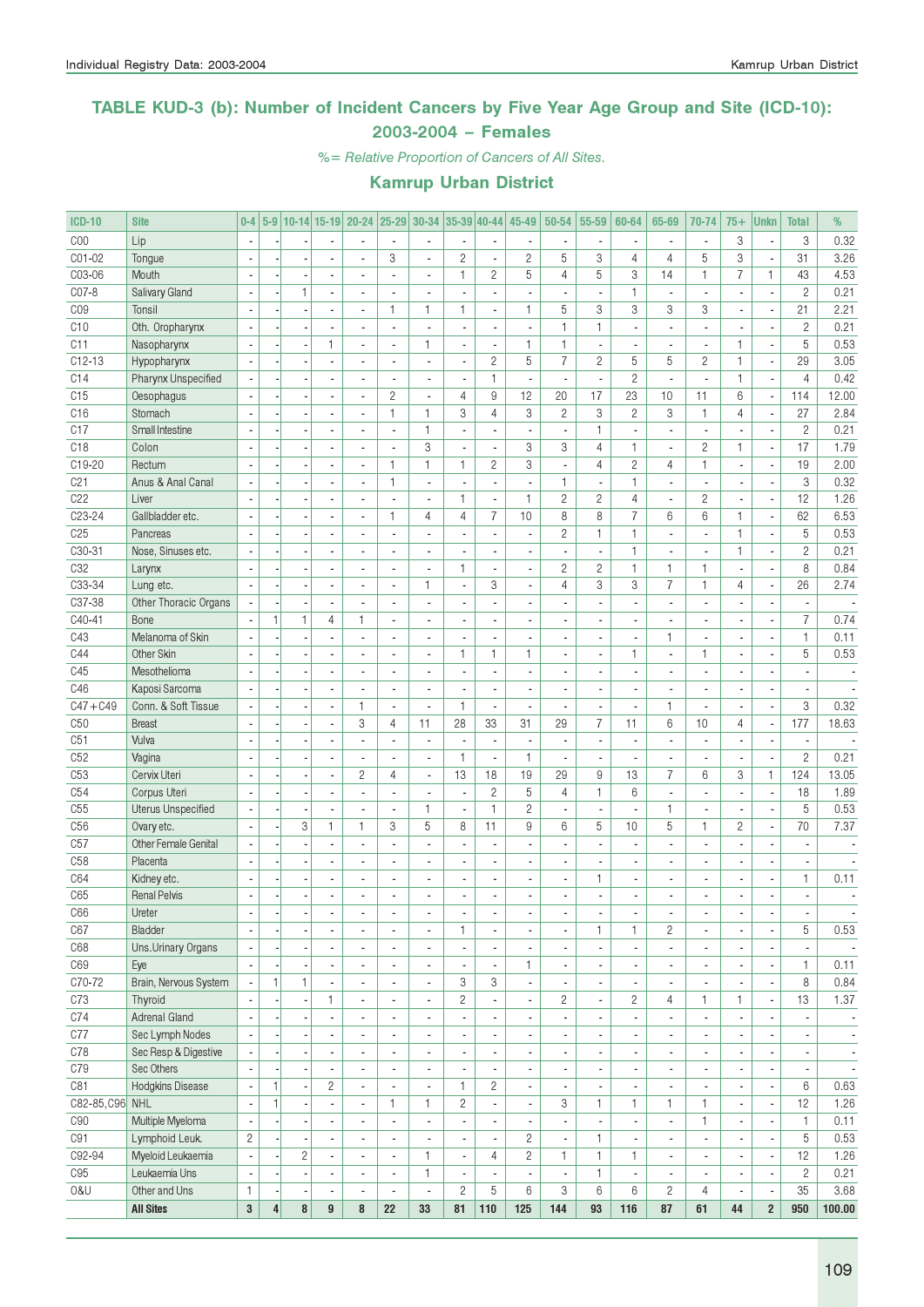### TABLE KUD-3 (b): Number of Incident Cancers by Five Year Age Group and Site (ICD-10): 2003-2004 – Females

%= Relative Proportion of Cancers of All Sites.

| <b>ICD-10</b>   | <b>Site</b>               | $0-4$                    |                |                |                          | 5-9 10-14 15-19 20-24    |                          | $ 25-29 30-34 35-39 40-44 $ |                          |                              | 45-49                    | $50 - 54$                | 55-59                    | 60-64                    | 65-69                    | 70-74                    | $75+$                    | <b>Unkn</b>              | <b>Total</b>             | %                        |
|-----------------|---------------------------|--------------------------|----------------|----------------|--------------------------|--------------------------|--------------------------|-----------------------------|--------------------------|------------------------------|--------------------------|--------------------------|--------------------------|--------------------------|--------------------------|--------------------------|--------------------------|--------------------------|--------------------------|--------------------------|
| COO             | Lip                       |                          |                |                |                          |                          | $\overline{\phantom{a}}$ | ÷,                          |                          |                              |                          |                          | $\overline{\phantom{a}}$ |                          | ä,                       | $\blacksquare$           | 3                        | ł,                       | 3                        | 0.32                     |
| CO1-02          | Tongue                    | $\overline{\phantom{a}}$ |                |                | $\overline{a}$           | $\overline{a}$           | 3                        | ä,                          | $\mathbf{2}$             | $\overline{a}$               | $\overline{2}$           | 5                        | 3                        | $\overline{4}$           | $\overline{4}$           | 5                        | 3                        | ÷,                       | 31                       | 3.26                     |
| C03-06          | Mouth                     | $\overline{\phantom{a}}$ |                | ÷,             | $\overline{\phantom{a}}$ | ä,                       | ÷,                       | $\overline{\phantom{a}}$    | $\mathbf{1}$             | $\overline{c}$               | 5                        | $\overline{4}$           | 5                        | 3                        | 14                       | $\mathbf{1}$             | $\overline{7}$           | 1                        | 43                       | 4.53                     |
| C07-8           | Salivary Gland            |                          |                | 1              |                          | $\overline{a}$           | ä,                       | $\overline{\phantom{a}}$    | ÷,                       | ٠                            | ٠                        |                          | $\overline{\phantom{a}}$ | $\mathbf{1}$             | $\overline{\phantom{a}}$ | $\blacksquare$           | ÷,                       | $\overline{\phantom{a}}$ | $\overline{c}$           | 0.21                     |
| CO <sub>9</sub> | Tonsil                    | $\sim$                   |                |                |                          |                          | $\mathbf{1}$             | 1                           | $\mathbf{1}$             | ÷,                           | 1                        | 5                        | 3                        | 3                        | 3                        | 3                        |                          | Ĭ.                       | 21                       | 2.21                     |
| C10             | Oth. Oropharynx           | J.                       |                |                | $\overline{\phantom{a}}$ | $\overline{\phantom{a}}$ | ÷.                       | $\overline{a}$              | $\overline{\phantom{a}}$ | $\overline{\phantom{a}}$     | $\overline{a}$           | $\mathbf{1}$             | $\mathbf{1}$             | $\overline{a}$           | $\overline{a}$           | $\overline{\phantom{a}}$ |                          | $\blacksquare$           | $\overline{c}$           | 0.21                     |
| C11             | Nasopharynx               |                          |                | ÷,             | $\mathbf{1}$             |                          | ä,                       | 1                           |                          | $\blacksquare$               | 1                        | $\mathbf{1}$             | ä,                       |                          |                          | $\overline{\phantom{a}}$ | $\mathbf{1}$             | $\overline{\phantom{a}}$ | 5                        | 0.53                     |
| $C12-13$        |                           |                          |                |                |                          |                          | Ĭ.                       | ä,                          |                          | $\overline{c}$               | 5                        | $\overline{7}$           | $\overline{c}$           | 5                        | 5                        | $\overline{2}$           | $\mathbf{1}$             | ÷,                       | 29                       | 3.05                     |
| C14             | Hypopharynx               | $\overline{\phantom{a}}$ |                |                | $\overline{a}$           | $\overline{\phantom{a}}$ | ÷,                       | $\overline{\phantom{a}}$    | $\blacksquare$           | $\mathbf{1}$                 | $\blacksquare$           | ä,                       | $\blacksquare$           | $\overline{c}$           | $\blacksquare$           | $\overline{\phantom{a}}$ | $\mathbf{1}$             | ÷,                       | $\overline{4}$           | 0.42                     |
| C15             | Pharynx Unspecified       |                          |                |                | $\overline{\phantom{a}}$ | ÷,                       |                          |                             |                          | 9                            |                          |                          | 17                       | 23                       |                          |                          | 6                        |                          |                          | 12.00                    |
|                 | Oesophagus                |                          |                | $\overline{a}$ |                          |                          | $\overline{c}$           | $\overline{\phantom{a}}$    | 4                        |                              | 12                       | 20                       |                          |                          | 10                       | 11                       |                          | $\overline{\phantom{a}}$ | 114                      |                          |
| C16             | Stomach                   |                          |                | ٠              |                          |                          | 1                        | 1                           | 3                        | 4                            | 3                        | $\mathbf{2}$             | 3                        | $\overline{c}$           | 3                        | $\mathbf{1}$             | 4                        | $\overline{\phantom{a}}$ | 27                       | 2.84                     |
| C17             | Small Intestine           |                          |                |                | $\overline{\phantom{a}}$ | $\overline{a}$           | ä,                       | 1                           | $\blacksquare$           | $\blacksquare$               | ä,                       | $\overline{\phantom{a}}$ | $\mathbf{1}$             | $\overline{\phantom{a}}$ | ä,                       | $\overline{\phantom{a}}$ | $\overline{a}$           | $\overline{\phantom{a}}$ | $\overline{c}$           | 0.21                     |
| C18             | Colon                     |                          |                |                | $\overline{a}$           | $\overline{\phantom{a}}$ | ÷,                       | 3                           | $\overline{a}$           | $\overline{\phantom{a}}$     | 3                        | 3                        | $\overline{4}$           | $\mathbf{1}$             | $\overline{\phantom{a}}$ | $\overline{c}$           | $\mathbf{1}$             | ÷,                       | 17                       | 1.79                     |
| C19-20          | Rectum                    |                          |                |                |                          |                          | 1                        | $\mathbf{1}$                | $\mathbf{1}$             | $\overline{c}$               | 3                        |                          | $\overline{4}$           | $\overline{c}$           | 4                        | $\mathbf{1}$             |                          | $\overline{\phantom{a}}$ | 19                       | 2.00                     |
| C21             | Anus & Anal Canal         | $\sim$                   |                |                | ÷,                       | ÷,                       | $\mathbf{1}$             | $\overline{a}$              |                          | $\overline{\phantom{a}}$     |                          | $\mathbf{1}$             | $\overline{\phantom{a}}$ | $\mathbf{1}$             | $\overline{a}$           | $\overline{\phantom{a}}$ |                          | ÷,                       | 3                        | 0.32                     |
| C22             | Liver                     | $\sim$                   |                | $\overline{a}$ | $\overline{a}$           | $\overline{a}$           | ÷,                       | $\overline{\phantom{a}}$    | $\mathbf{1}$             | ÷,                           | $\mathbf{1}$             | $\overline{c}$           | $\overline{c}$           | $\overline{4}$           | ä,                       | $\overline{c}$           | $\blacksquare$           | ÷,                       | 12                       | 1.26                     |
| C23-24          | Gallbladder etc.          | Ĭ.                       |                |                | $\blacksquare$           | $\overline{a}$           | 1                        | 4                           | 4                        | 7                            | 10                       | 8                        | 8                        | $\overline{7}$           | 6                        | 6                        | 1                        | ÷,                       | 62                       | 6.53                     |
| C <sub>25</sub> | Pancreas                  |                          |                |                |                          |                          |                          | $\overline{a}$              |                          | $\overline{\phantom{a}}$     |                          | $\overline{c}$           | 1                        | $\mathbf{1}$             |                          | $\overline{a}$           | 1                        | $\overline{\phantom{a}}$ | 5                        | 0.53                     |
| C30-31          | Nose, Sinuses etc.        |                          |                |                | $\overline{a}$           | $\overline{a}$           | $\overline{a}$           | ٠                           | ÷,                       | ä,                           | ÷,                       | $\mathcal{L}$            | $\overline{\phantom{a}}$ | $\mathbf{1}$             | $\overline{a}$           | $\overline{\phantom{a}}$ | 1                        | $\overline{\phantom{a}}$ | $\mathbf{2}$             | 0.21                     |
| C32             | Larynx                    | $\overline{\phantom{a}}$ |                | Ĭ.             |                          |                          | ÷,                       | ä,                          | $\mathbf{1}$             | $\overline{a}$               |                          | $\mathbf{2}$             | $\overline{c}$           | $\mathbf{1}$             | $\mathbf{1}$             | $\mathbf{1}$             | ÷,                       | ÷,                       | 8                        | 0.84                     |
| C33-34          | Lung etc.                 |                          |                |                |                          |                          | ä,                       | 1                           | ÷,                       | 3                            | ٠                        | 4                        | 3                        | 3                        | $\overline{7}$           | $\mathbf{1}$             | 4                        | $\overline{\phantom{a}}$ | 26                       | 2.74                     |
| C37-38          | Other Thoracic Organs     | $\sim$                   |                | ÷,             | $\overline{\phantom{a}}$ | ÷,                       | $\overline{a}$           | ä,                          |                          | ÷,                           |                          |                          | ÷,                       |                          | ä,                       | $\overline{\phantom{a}}$ | $\overline{a}$           | ÷,                       | ä,                       |                          |
| C40-41          | Bone                      | $\blacksquare$           | $\mathbf{1}$   | $\mathbf{1}$   | 4                        | 1                        | ÷.                       | $\overline{\phantom{a}}$    | $\overline{a}$           | ÷,                           | ٠                        | $\overline{a}$           | $\blacksquare$           | $\overline{a}$           | $\overline{a}$           | $\blacksquare$           | $\overline{a}$           | ÷,                       | $\overline{7}$           | 0.74                     |
| C43             | Melanoma of Skin          | ×,                       |                | ×              | $\overline{\phantom{a}}$ | ä,                       | $\overline{a}$           | $\frac{1}{2}$               | $\overline{\phantom{a}}$ | $\qquad \qquad \blacksquare$ | ٠                        |                          | $\overline{\phantom{a}}$ | ٠                        | 1                        | $\blacksquare$           | $\overline{a}$           | $\overline{\phantom{a}}$ | $\mathbf{1}$             | 0.11                     |
| C44             | Other Skin                | J.                       |                |                |                          |                          | ÷,                       | ÷.                          | $\mathbf{1}$             | $\mathbf{1}$                 | 1                        |                          | $\blacksquare$           | 1                        | ÷.                       | $\mathbf{1}$             |                          | $\overline{\phantom{a}}$ | 5                        | 0.53                     |
| C45             | Mesothelioma              | $\sim$                   |                |                | $\overline{\phantom{a}}$ | $\overline{a}$           | $\overline{a}$           | $\blacksquare$              | ÷,                       | ä,                           | ٠                        |                          | $\blacksquare$           | $\overline{a}$           | $\overline{a}$           | $\overline{\phantom{a}}$ | $\overline{a}$           | ÷,                       | $\overline{\phantom{a}}$ |                          |
| C46             | Kaposi Sarcoma            |                          |                |                | $\blacksquare$           |                          | ä,                       | $\blacksquare$              |                          | ÷,                           |                          |                          | ÷,                       |                          |                          | $\overline{a}$           |                          | ÷,                       |                          |                          |
| $C47 + C49$     | Conn. & Soft Tissue       |                          |                | ÷,             | $\overline{\phantom{a}}$ | 1                        | ÷,                       | ä,                          | $\mathbf{1}$             | $\blacksquare$               |                          |                          | $\overline{\phantom{a}}$ |                          | $\mathbf{1}$             | $\overline{\phantom{a}}$ |                          | ÷,                       | 3                        | 0.32                     |
| C50             | <b>Breast</b>             | $\mathbf{r}$             |                | $\overline{a}$ | $\overline{\phantom{a}}$ | 3                        | $\overline{4}$           | 11                          | 28                       | 33                           | 31                       | 29                       | $\overline{7}$           | 11                       | 6                        | 10                       | $\overline{4}$           | $\overline{\phantom{a}}$ | 177                      | 18.63                    |
| C51             | Vulva                     | $\overline{\phantom{a}}$ |                | $\overline{a}$ | $\overline{\phantom{a}}$ | ä,                       | $\overline{a}$           | ÷,                          | ÷,                       | $\overline{\phantom{a}}$     | ä,                       | $\overline{\phantom{a}}$ | $\overline{\phantom{a}}$ | $\blacksquare$           | ä,                       | $\overline{\phantom{a}}$ | $\overline{\phantom{a}}$ | $\overline{\phantom{a}}$ | $\overline{\phantom{a}}$ |                          |
| C52             | Vagina                    |                          |                | ×              |                          |                          | L,                       | $\overline{\phantom{a}}$    | 1                        | $\overline{\phantom{a}}$     | 1                        | $\blacksquare$           | $\overline{\phantom{a}}$ | $\blacksquare$           | $\blacksquare$           | $\blacksquare$           | ٠                        | $\overline{\phantom{a}}$ | $\overline{c}$           | 0.21                     |
| C <sub>53</sub> | Cervix Uteri              | $\overline{\phantom{a}}$ |                |                | $\overline{\phantom{a}}$ | $\overline{c}$           | 4                        | $\overline{\phantom{a}}$    | 13                       | 18                           | 19                       | 29                       | 9                        | 13                       | $\overline{7}$           | 6                        | 3                        | 1                        | 124                      | 13.05                    |
| C54             | Corpus Uteri              | $\overline{\phantom{a}}$ |                |                | ÷.                       | ÷.                       | $\overline{a}$           | $\overline{\phantom{a}}$    | $\overline{\phantom{a}}$ | $\overline{c}$               | 5                        | $\overline{4}$           | $\mathbf{1}$             | 6                        | $\overline{a}$           | $\overline{\phantom{a}}$ | $\overline{a}$           | i,                       | 18                       | 1.89                     |
| C55             | <b>Uterus Unspecified</b> |                          |                | ×,             | $\overline{a}$           |                          | ä,                       | 1                           | ÷,                       | $\mathbf{1}$                 | $\overline{c}$           | ×,                       | $\overline{a}$           |                          | $\mathbf{1}$             | $\blacksquare$           |                          | $\overline{\phantom{a}}$ | 5                        | 0.53                     |
| C <sub>56</sub> | Ovary etc.                | $\overline{\phantom{a}}$ |                | 3              | $\mathbf{1}$             | $\mathbf{1}$             | 3                        | 5                           | 8                        | 11                           | 9                        | 6                        | 5                        | 10                       | 5                        | $\mathbf{1}$             | $\overline{c}$           | ÷,                       | 70                       | 7.37                     |
| C57             | Other Female Genital      | $\overline{\phantom{a}}$ |                | ÷,             | $\overline{\phantom{a}}$ | $\overline{a}$           | $\overline{a}$           |                             | $\blacksquare$           | $\overline{a}$               | ÷,                       | $\overline{a}$           | $\overline{\phantom{a}}$ | $\overline{a}$           | $\blacksquare$           | $\overline{\phantom{a}}$ | $\overline{a}$           | $\overline{\phantom{a}}$ | $\overline{\phantom{a}}$ | ÷,                       |
|                 |                           |                          |                |                |                          |                          |                          | $\blacksquare$              |                          |                              |                          |                          |                          |                          |                          |                          |                          |                          |                          |                          |
| C <sub>58</sub> | Placenta                  | $\overline{a}$           |                | ×,             | $\blacksquare$           | $\overline{\phantom{a}}$ | $\overline{\phantom{a}}$ | $\overline{\phantom{a}}$    | $\overline{\phantom{a}}$ | $\overline{\phantom{a}}$     | ٠                        |                          | $\overline{\phantom{a}}$ | $\overline{\phantom{a}}$ |                          | $\overline{\phantom{a}}$ | $\overline{\phantom{a}}$ | $\overline{\phantom{a}}$ | $\overline{\phantom{a}}$ |                          |
| C64             | Kidney etc.               |                          |                | ٠              |                          |                          |                          | $\blacksquare$              |                          | $\qquad \qquad \blacksquare$ |                          |                          | 1                        | ٠                        |                          | $\blacksquare$           | ٠                        | $\overline{\phantom{a}}$ | $\mathbf{1}$             | 0.11                     |
| C65             | <b>Renal Pelvis</b>       |                          |                |                |                          |                          |                          |                             |                          | i.                           |                          |                          | L                        |                          |                          |                          | $\overline{a}$           |                          | ÷,                       |                          |
| C66             | Ureter                    |                          |                |                | $\overline{\phantom{a}}$ |                          |                          | ٠                           | $\overline{\phantom{a}}$ | ٠                            |                          | $\overline{\phantom{a}}$ | $\overline{\phantom{a}}$ | ۰                        |                          | ٠                        |                          | $\overline{\phantom{a}}$ |                          |                          |
| C67             | Bladder                   | ×,                       |                |                | $\blacksquare$           |                          | ٠                        | $\overline{\phantom{a}}$    | 1                        | $\overline{\phantom{a}}$     |                          | ٠                        | 1                        | $\mathbf{1}$             | $\overline{c}$           | $\overline{\phantom{a}}$ |                          | $\overline{\phantom{a}}$ | 5                        | 0.53                     |
| C68             | Uns.Urinary Organs        | $\mathbb{Z}$             |                |                | $\blacksquare$           | ÷,                       | $\blacksquare$           | ÷,                          | ÷,                       | $\overline{\phantom{a}}$     |                          | ÷,                       | $\overline{\phantom{a}}$ |                          | ä,                       | $\overline{\phantom{a}}$ |                          | ÷,                       | $\overline{\phantom{a}}$ | $\sim$                   |
| C69             | Eye                       | $\sim$                   |                | ×,             | $\overline{\phantom{a}}$ | $\overline{\phantom{a}}$ | ä,                       | $\overline{\phantom{a}}$    | $\overline{\phantom{a}}$ | $\blacksquare$               | 1                        | $\overline{\phantom{a}}$ | $\overline{\phantom{a}}$ | $\overline{\phantom{a}}$ | $\overline{\phantom{a}}$ | $\overline{\phantom{a}}$ | $\overline{a}$           | $\overline{\phantom{a}}$ | $\mathbf{1}$             | 0.11                     |
| C70-72          | Brain, Nervous System     | $\overline{\phantom{a}}$ | $\mathbf{1}$   | 1              | $\overline{\phantom{a}}$ | $\overline{\phantom{a}}$ | $\blacksquare$           | $\overline{\phantom{a}}$    | 3                        | 3                            | $\overline{\phantom{a}}$ | $\overline{\phantom{a}}$ | $\overline{\phantom{a}}$ | $\overline{\phantom{a}}$ | $\overline{\phantom{a}}$ | $\overline{\phantom{a}}$ |                          | $\overline{\phantom{a}}$ | 8                        | 0.84                     |
| C73             | Thyroid                   |                          |                |                | 1                        | $\blacksquare$           | $\overline{\phantom{a}}$ | $\overline{\phantom{a}}$    | $\overline{c}$           | $\overline{\phantom{a}}$     | $\overline{\phantom{a}}$ | $\overline{c}$           | $\overline{\phantom{a}}$ | $\overline{c}$           | $\overline{4}$           | 1                        | 1                        | $\overline{\phantom{a}}$ | 13                       | 1.37                     |
| C74             | Adrenal Gland             | $\overline{\phantom{a}}$ |                |                | $\blacksquare$           |                          |                          | $\overline{\phantom{a}}$    |                          | $\blacksquare$               |                          | $\overline{\phantom{a}}$ | $\overline{\phantom{a}}$ | ä,                       | $\blacksquare$           | $\overline{\phantom{a}}$ |                          | ÷,                       | $\overline{\phantom{a}}$ | $\overline{\phantom{a}}$ |
| C77             | Sec Lymph Nodes           |                          |                |                | $\overline{\phantom{a}}$ |                          | $\overline{\phantom{a}}$ | $\blacksquare$              |                          | ÷,                           |                          | $\blacksquare$           | $\overline{\phantom{a}}$ |                          | $\blacksquare$           | $\overline{\phantom{a}}$ |                          | $\overline{\phantom{a}}$ | $\overline{\phantom{a}}$ | $\overline{\phantom{a}}$ |
| C78             | Sec Resp & Digestive      |                          |                |                | $\blacksquare$           |                          | $\overline{a}$           | $\blacksquare$              |                          | $\blacksquare$               |                          |                          | $\overline{\phantom{a}}$ |                          |                          | $\overline{\phantom{a}}$ |                          | ×,                       |                          | $\overline{\phantom{a}}$ |
| C79             | Sec Others                |                          |                |                | $\overline{\phantom{a}}$ |                          | $\frac{1}{2}$            | $\blacksquare$              |                          | $\blacksquare$               |                          |                          | $\overline{\phantom{a}}$ |                          | $\blacksquare$           | $\overline{\phantom{a}}$ |                          | ÷,                       |                          | $\overline{\phantom{a}}$ |
| C81             | Hodgkins Disease          | $\overline{\phantom{a}}$ | $\mathbf{1}$   |                | $\overline{c}$           | ÷,                       | ÷,                       | $\overline{\phantom{a}}$    | $\mathbf{1}$             | $\overline{c}$               | $\blacksquare$           | $\blacksquare$           | $\overline{\phantom{a}}$ | ä,                       | ä,                       | $\overline{\phantom{a}}$ |                          | ÷,                       | 6                        | 0.63                     |
| C82-85, C96 NHL |                           | $\overline{\phantom{a}}$ | $\mathbf{1}$   | ÷,             | $\blacksquare$           | $\blacksquare$           | 1                        | 1.                          | $\overline{c}$           | $\blacksquare$               | ÷.                       | 3                        | 1                        | 1                        | $\mathbf{1}$             | $\mathbf{1}$             | $\overline{\phantom{a}}$ | $\blacksquare$           | 12                       | 1.26                     |
| C90             | Multiple Myeloma          | ×,                       |                |                | $\overline{\phantom{a}}$ | $\overline{\phantom{a}}$ | $\overline{\phantom{a}}$ | $\overline{\phantom{a}}$    | $\overline{\phantom{a}}$ | $\overline{\phantom{a}}$     | ٠                        | $\overline{\phantom{a}}$ | $\overline{\phantom{a}}$ | ٠                        | $\overline{\phantom{a}}$ | $\mathbf{1}$             | $\overline{\phantom{m}}$ | ٠                        | $\mathbf{1}$             | 0.11                     |
| C91             | Lymphoid Leuk.            | $\overline{c}$           |                |                | ÷,                       | ä,                       | ä,                       | $\overline{a}$              |                          | $\blacksquare$               | $\overline{c}$           | ä,                       | $\mathbf{1}$             | ä,                       | ä,                       | $\overline{\phantom{a}}$ |                          | i,                       | 5                        | 0.53                     |
| C92-94          | Myeloid Leukaemia         | $\overline{\phantom{a}}$ |                | $\mathbf{2}$   | $\overline{\phantom{a}}$ | $\overline{a}$           | $\overline{\phantom{a}}$ | 1                           | $\blacksquare$           | $\overline{4}$               | $\overline{2}$           | $\mathbf{1}$             | $\mathbf{1}$             | 1                        | ٠                        | $\blacksquare$           | $\blacksquare$           | ÷,                       | 12                       | 1.26                     |
| C95             | Leukaemia Uns             | Ĭ.                       |                | ÷,             | $\overline{\phantom{a}}$ | $\overline{a}$           | $\overline{\phantom{a}}$ | 1                           |                          | $\overline{\phantom{a}}$     |                          | $\overline{\phantom{a}}$ | $\mathbf{1}$             |                          | $\blacksquare$           | $\overline{\phantom{a}}$ |                          | ÷,                       | $\mathbf{2}$             | 0.21                     |
| 0&U             | Other and Uns             | $\mathbf{1}$             |                |                | $\blacksquare$           |                          | $\blacksquare$           | ÷,                          | $\overline{c}$           | 5                            | 6                        | 3                        | $6\,$                    | 6                        | $\overline{c}$           | $\overline{4}$           |                          | $\overline{\phantom{a}}$ | 35                       | 3.68                     |
|                 | <b>All Sites</b>          | 3                        | $\overline{4}$ | 8              | 9                        | 8                        | 22                       | 33                          | 81                       | 110                          | 125                      | 144                      | 93                       | 116                      | 87                       | 61                       | 44                       | $\overline{2}$           | 950                      | 100.00                   |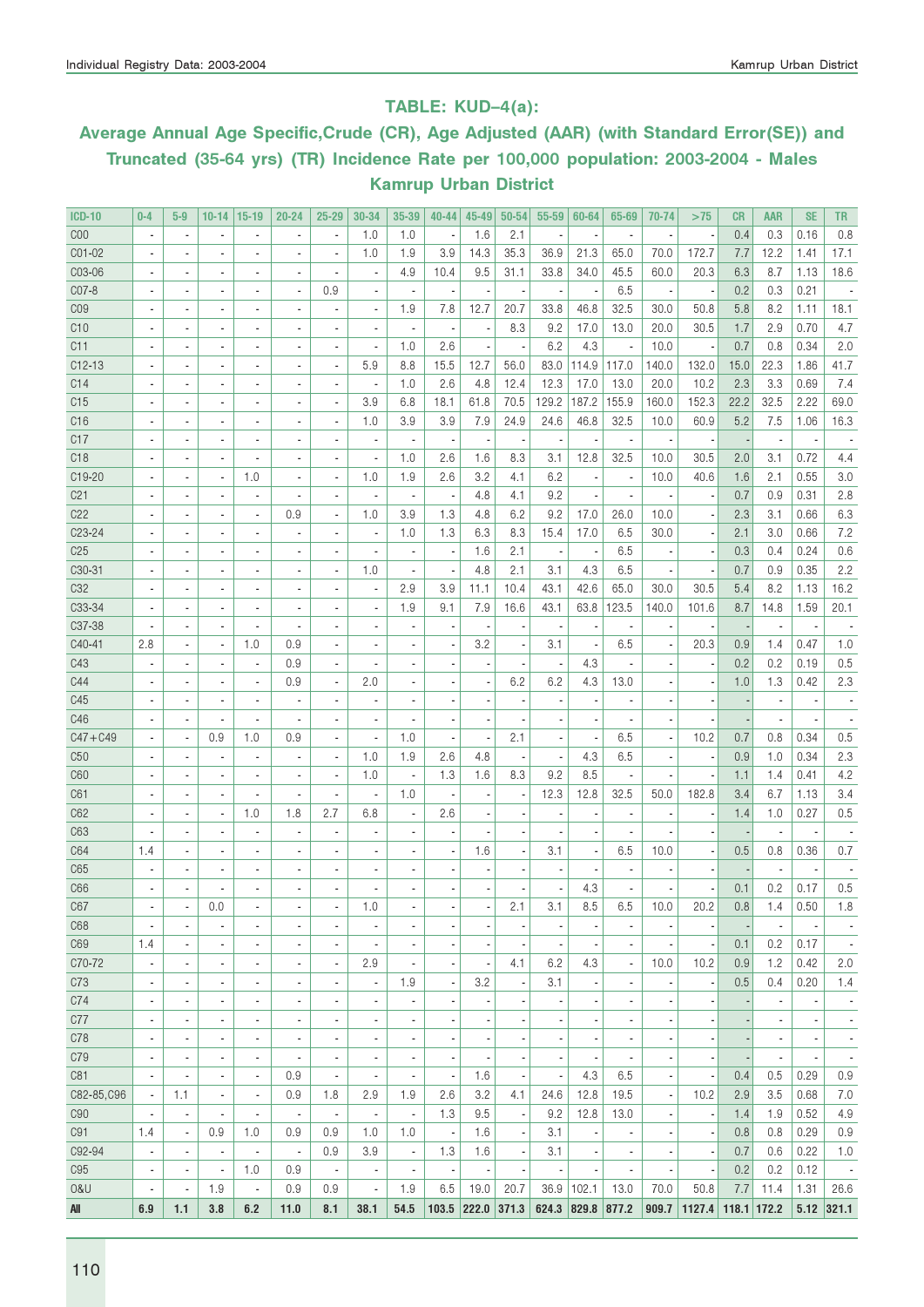### TABLE: KUD–4(a):

# Average Annual Age Specific,Crude (CR), Age Adjusted (AAR) (with Standard Error(SE)) and Truncated (35-64 yrs) (TR) Incidence Rate per 100,000 population: 2003-2004 - Males Kamrup Urban District

| <b>ICD-10</b>   | $0 - 4$        | $5-9$                    | $10 - 14$                | $15-19$                  | $20 - 24$                | $25 - 29$                | 30-34                    | 35-39                    | $40 - 44$                | 45-49               | 50-54                    | 55-59                    | 60-64             | 65-69                    | 70-74                    | >75                | <b>CR</b> | <b>AAR</b>               | <b>SE</b>                | <b>TR</b>                |
|-----------------|----------------|--------------------------|--------------------------|--------------------------|--------------------------|--------------------------|--------------------------|--------------------------|--------------------------|---------------------|--------------------------|--------------------------|-------------------|--------------------------|--------------------------|--------------------|-----------|--------------------------|--------------------------|--------------------------|
| C <sub>00</sub> | $\overline{a}$ | ä,                       |                          | $\overline{\phantom{a}}$ | ÷,                       | $\overline{\phantom{a}}$ | 1.0                      | 1.0                      |                          | 1.6                 | 2.1                      | $\overline{\phantom{a}}$ |                   |                          |                          |                    | 0.4       | 0.3                      | 0.16                     | 0.8                      |
| C01-02          |                |                          |                          | $\overline{a}$           | ä,                       | Ĭ.                       | 1.0                      | 1.9                      | 3.9                      | 14.3                | 35.3                     | 36.9                     | 21.3              | 65.0                     | 70.0                     | 172.7              | 7.7       | 12.2                     | 1.41                     | 17.1                     |
| C03-06          |                |                          | ÷,                       | $\overline{\phantom{a}}$ | ä,                       | ×,                       | $\blacksquare$           | 4.9                      | 10.4                     | 9.5                 | 31.1                     | 33.8                     | 34.0              | 45.5                     | 60.0                     | 20.3               | 6.3       | 8.7                      | 1.13                     | 18.6                     |
| C07-8           |                |                          | ÷,                       | $\overline{\phantom{a}}$ | ä,                       | 0.9                      |                          |                          |                          |                     |                          | $\overline{\phantom{a}}$ |                   | 6.5                      |                          |                    | 0.2       | 0.3                      | 0.21                     |                          |
| CO <sub>9</sub> |                |                          | ÷,                       | $\overline{\phantom{a}}$ | ä,                       | ×,                       | $\blacksquare$           | 1.9                      | 7.8                      | 12.7                | 20.7                     | 33.8                     | 46.8              | 32.5                     | 30.0                     | 50.8               | 5.8       | 8.2                      | 1.11                     | 18.1                     |
| C10             |                |                          | ÷,                       | $\overline{\phantom{a}}$ | ×,                       | ×,                       | $\overline{\phantom{a}}$ |                          |                          |                     | 8.3                      | 9.2                      | 17.0              | 13.0                     | 20.0                     | 30.5               | 1.7       | 2.9                      | 0.70                     | 4.7                      |
| C11             |                |                          | ÷,                       | $\frac{1}{2}$            | ×,                       | ×,                       | $\blacksquare$           | 1.0                      | 2.6                      |                     |                          | 6.2                      | 4.3               |                          | 10.0                     |                    | 0.7       | 0.8                      | 0.34                     | 2.0                      |
| $C12-13$        |                |                          | ÷,                       | $\frac{1}{2}$            | $\overline{\phantom{a}}$ | $\overline{a}$           | 5.9                      | 8.8                      | 15.5                     | 12.7                | 56.0                     | 83.0                     | 114.9             | 117.0                    | 140.0                    | 132.0              | 15.0      | 22.3                     | 1.86                     | 41.7                     |
| C14             |                |                          | ÷,                       | $\frac{1}{2}$            | $\overline{\phantom{a}}$ | ×,                       | $\blacksquare$           | 1.0                      | 2.6                      | 4.8                 | 12.4                     | 12.3                     | 17.0              | 13.0                     | 20.0                     | 10.2               | 2.3       | 3.3                      | 0.69                     | 7.4                      |
| C15             |                |                          | $\overline{a}$           | $\frac{1}{2}$            | $\overline{\phantom{a}}$ | ×,                       | 3.9                      | 6.8                      | 18.1                     | 61.8                | 70.5                     | 129.2                    | 187.2             | 155.9                    | 160.0                    | 152.3              | 22.2      | 32.5                     | 2.22                     | 69.0                     |
| C16             |                |                          | ÷,                       | $\frac{1}{2}$            | $\overline{\phantom{a}}$ | ×,                       | 1.0                      | 3.9                      | 3.9                      | 7.9                 | 24.9                     | 24.6                     | 46.8              | 32.5                     | 10.0                     | 60.9               | 5.2       | 7.5                      | 1.06                     | 16.3                     |
| C17             |                |                          | $\overline{a}$           | $\overline{\phantom{a}}$ | $\overline{\phantom{a}}$ | ×,                       | $\blacksquare$           |                          |                          |                     |                          | $\overline{\phantom{a}}$ |                   | ×,                       |                          |                    |           | ×,                       | ł,                       |                          |
| C <sub>18</sub> |                |                          |                          | $\overline{a}$           | $\overline{\phantom{a}}$ | ×,                       | $\overline{\phantom{a}}$ | 1.0                      | 2.6                      | 1.6                 | 8.3                      | 3.1                      | 12.8              | 32.5                     | 10.0                     | 30.5               | 2.0       | 3.1                      | 0.72                     | 4.4                      |
| C19-20          |                |                          | Ĭ.                       | 1.0                      | $\overline{\phantom{a}}$ | ÷,                       | 1.0                      | 1.9                      | 2.6                      | 3.2                 | 4.1                      | 6.2                      |                   | $\overline{\phantom{a}}$ | 10.0                     | 40.6               | 1.6       | 2.1                      | 0.55                     | 3.0                      |
| C <sub>21</sub> |                |                          | $\overline{a}$           | $\overline{a}$           | ä,                       | Ĭ.                       | $\overline{\phantom{a}}$ |                          |                          | 4.8                 | 4.1                      | 9.2                      |                   |                          |                          |                    | 0.7       | 0.9                      | 0.31                     | 2.8                      |
| C22             |                |                          | ÷,                       | ä,                       | 0.9                      | ÷,                       | 1.0                      | 3.9                      | 1.3                      | 4.8                 | 6.2                      | 9.2                      | 17.0              | 26.0                     | 10.0                     |                    | 2.3       | 3.1                      | 0.66                     | 6.3                      |
| C23-24          |                |                          | ÷,                       | $\overline{\phantom{a}}$ | ×,                       | ÷                        | $\blacksquare$           | 1.0                      | 1.3                      | 6.3                 | 8.3                      | 15.4                     | 17.0              | 6.5                      | 30.0                     |                    | 2.1       | 3.0                      | 0.66                     | 7.2                      |
| C <sub>25</sub> |                |                          | ÷,                       | $\overline{\phantom{a}}$ | ×,                       | ÷                        | $\blacksquare$           |                          |                          | 1.6                 | 2.1                      | $\overline{\phantom{a}}$ |                   | 6.5                      |                          |                    | 0.3       | 0.4                      | 0.24                     | 0.6                      |
| C30-31          |                |                          | ÷,                       | $\frac{1}{2}$            | $\overline{\phantom{a}}$ | ÷                        | 1.0                      |                          |                          | 4.8                 | 2.1                      | 3.1                      | 4.3               | 6.5                      |                          |                    | 0.7       | 0.9                      | 0.35                     | 2.2                      |
| C <sub>32</sub> |                |                          | ÷,                       | $\overline{\phantom{a}}$ | $\overline{\phantom{a}}$ | ÷                        | $\blacksquare$           | 2.9                      | 3.9                      | 11.1                | 10.4                     | 43.1                     | 42.6              | 65.0                     | 30.0                     | 30.5               | 5.4       | 8.2                      | 1.13                     | 16.2                     |
| C33-34          |                |                          | $\overline{a}$           | $\overline{\phantom{a}}$ | ÷,                       | ÷                        | $\blacksquare$           | 1.9                      | 9.1                      | 7.9                 | 16.6                     | 43.1                     | 63.8              | 123.5                    | 140.0                    | 101.6              | 8.7       | 14.8                     | 1.59                     | 20.1                     |
| C37-38          |                |                          |                          | $\overline{a}$           | ä,                       | ÷                        | $\overline{a}$           |                          |                          |                     |                          | $\overline{\phantom{a}}$ |                   | ×,                       |                          |                    |           | ÷,                       | ×,                       |                          |
| C40-41          | 2.8            | $\overline{\phantom{a}}$ | $\blacksquare$           | 1.0                      | 0.9                      | ÷,                       |                          |                          |                          | 3.2                 |                          | 3.1                      |                   | 6.5                      |                          | 20.3               | 0.9       | 1.4                      | 0.47                     | 1.0                      |
| C43             |                | $\overline{\phantom{a}}$ | ÷,                       | $\overline{\phantom{a}}$ | 0.9                      | ÷,                       |                          |                          |                          |                     |                          | ł,                       | 4.3               |                          |                          |                    | 0.2       | 0.2                      | 0.19                     | 0.5                      |
| C44             |                |                          | ÷,                       | ä,                       | 0.9                      | ÷,                       | 2.0                      |                          |                          |                     | 6.2                      | 6.2                      | 4.3               | 13.0                     |                          |                    | 1.0       | 1.3                      | 0.42                     | 2.3                      |
| C45             |                | ä,                       | $\overline{a}$           | ä,                       |                          | ×,                       | $\blacksquare$           |                          |                          |                     |                          | $\overline{\phantom{a}}$ |                   |                          |                          |                    |           | $\overline{\phantom{a}}$ | $\overline{\phantom{a}}$ |                          |
| C46             |                | $\overline{a}$           |                          | $\overline{a}$           | ä,                       | ÷,                       |                          |                          |                          |                     |                          | ł,                       |                   |                          |                          |                    |           |                          |                          |                          |
| $C47 + C49$     |                | ä,                       | 0.9                      | 1.0                      | 0.9                      | Ĭ.                       | $\overline{a}$           | 1.0                      |                          |                     | 2.1                      | ÷,                       |                   | 6.5                      |                          | 10.2               | 0.7       | 0.8                      | 0.34                     | 0.5                      |
| C50             |                | $\overline{\phantom{a}}$ | ÷,                       | $\overline{a}$           |                          | ÷,                       | 1.0                      | 1.9                      | 2.6                      | 4.8                 |                          | ÷,                       | 4.3               | 6.5                      |                          |                    | 0.9       | 1.0                      | 0.34                     | 2.3                      |
| C60             |                |                          | ÷,                       |                          | ä,                       | ×,                       | 1.0                      | ÷,                       | 1.3                      | 1.6                 | 8.3                      | 9.2                      | 8.5               | ÷,                       |                          |                    | 1.1       | 1.4                      | 0.41                     | 4.2                      |
| C61             |                |                          | ÷,                       |                          | ×,                       | ł,                       | $\overline{\phantom{a}}$ | 1.0                      |                          |                     |                          | 12.3                     | 12.8              | 32.5                     | 50.0                     | 182.8              | 3.4       | 6.7                      | 1.13                     | 3.4                      |
| C62             |                | $\overline{\phantom{a}}$ | $\blacksquare$           | 1.0                      | 1.8                      | 2.7                      | 6.8                      | $\blacksquare$           | 2.6                      |                     |                          | ł,                       |                   | $\blacksquare$           |                          |                    | 1.4       | 1.0                      | 0.27                     | 0.5                      |
| C63             |                |                          |                          | $\overline{a}$           | ×,                       | $\overline{a}$           |                          |                          |                          |                     |                          |                          |                   |                          |                          |                    |           |                          |                          |                          |
| C64             | 1.4            | $\overline{\phantom{a}}$ | $\blacksquare$           | $\overline{\phantom{a}}$ | ä,                       |                          |                          |                          |                          | 1.6                 |                          | 3.1                      |                   | 6.5                      | 10.0                     |                    | 0.5       | 0.8                      | 0.36                     | 0.7                      |
| C65             |                |                          |                          | ٠                        | ä,                       |                          |                          |                          |                          |                     |                          |                          |                   |                          |                          |                    |           |                          |                          |                          |
| C66             |                |                          |                          |                          |                          |                          |                          |                          |                          |                     |                          | ä,                       | 4.3               |                          |                          |                    | 0.1       | 0.2                      | 0.17                     | 0.5                      |
| C67             | ٠              |                          | 0.0                      | ۰                        |                          |                          | 1.0                      | $\overline{\phantom{a}}$ |                          |                     | 2.1                      | 3.1                      | 8.5               | 6.5                      | 10.0                     | 20.2               | 0.8       | 1.4                      | 0.50                     | 1.8                      |
| C68             | $\blacksquare$ | $\blacksquare$           | $\overline{a}$           | $\overline{\phantom{a}}$ | $\blacksquare$           | $\blacksquare$           | $\blacksquare$           | $\blacksquare$           | $\blacksquare$           |                     |                          | ٠                        |                   | ٠                        |                          |                    |           | $\overline{\phantom{a}}$ |                          | $\overline{\phantom{a}}$ |
| C69             | 1.4            | $\blacksquare$           | $\blacksquare$           | $\blacksquare$           | $\overline{\phantom{a}}$ | $\blacksquare$           | $\blacksquare$           | $\blacksquare$           |                          |                     |                          | $\overline{\phantom{a}}$ |                   | ٠                        |                          |                    | 0.1       | 0.2                      | 0.17                     | $\overline{\phantom{a}}$ |
| C70-72          | $\overline{a}$ | $\overline{\phantom{a}}$ | $\overline{a}$           | $\overline{\phantom{a}}$ | $\overline{\phantom{a}}$ | $\overline{\phantom{a}}$ | 2.9                      |                          |                          |                     | 4.1                      | 6.2                      | 4.3               | $\overline{\phantom{a}}$ | 10.0                     | 10.2               | 0.9       | 1.2                      | 0.42                     | 2.0                      |
| C73             | $\blacksquare$ | $\overline{\phantom{a}}$ | $\overline{a}$           | $\overline{\phantom{a}}$ | $\blacksquare$           | ä,                       | $\blacksquare$           | 1.9                      | ÷,                       | 3.2                 |                          | 3.1                      |                   | ٠                        |                          |                    | 0.5       | 0.4                      | 0.20                     | 1.4                      |
| C74             | $\blacksquare$ | $\overline{\phantom{a}}$ | $\overline{a}$           | $\overline{\phantom{a}}$ | $\overline{\phantom{a}}$ | ä,                       | $\blacksquare$           |                          |                          |                     |                          |                          |                   | $\overline{\phantom{a}}$ |                          |                    |           | ä,                       | $\overline{\phantom{a}}$ | $\overline{\phantom{a}}$ |
| C77             | $\blacksquare$ | $\overline{a}$           | $\overline{a}$           | $\frac{1}{2}$            | $\overline{\phantom{a}}$ | ×,                       | $\blacksquare$           | $\blacksquare$           |                          |                     |                          |                          |                   |                          |                          |                    |           |                          | $\overline{\phantom{a}}$ | $\overline{\phantom{a}}$ |
| C78             | ä,             | $\overline{a}$           | $\overline{a}$           | $\frac{1}{2}$            | ٠                        | ä,                       | $\blacksquare$           | $\blacksquare$           |                          |                     |                          |                          |                   |                          |                          |                    |           |                          | $\overline{\phantom{a}}$ | $\overline{\phantom{a}}$ |
| C79             | $\overline{a}$ | $\overline{a}$           | $\overline{a}$           | $\frac{1}{2}$            | ×,                       | ×,                       | $\blacksquare$           | $\blacksquare$           |                          |                     |                          | ٠                        |                   | ł,                       |                          |                    |           | $\overline{\phantom{a}}$ | ÷,                       | $\overline{\phantom{a}}$ |
| C81             | ä,             | $\overline{\phantom{a}}$ | $\overline{\phantom{a}}$ | ٠                        | 0.9                      | ÷,                       | $\blacksquare$           | $\overline{\phantom{a}}$ | $\overline{\phantom{a}}$ | 1.6                 | ÷,                       | ÷,                       | 4.3               | 6.5                      | ×,                       |                    | 0.4       | 0.5                      | 0.29                     | 0.9                      |
| C82-85, C96     |                | 1.1                      | ×,                       | ٠                        | 0.9                      | 1.8                      | 2.9                      | 1.9                      | 2.6                      | 3.2                 | 4.1                      | 24.6                     | 12.8              | 19.5                     | $\overline{\phantom{a}}$ | 10.2               | 2.9       | 3.5                      | 0.68                     | 7.0                      |
| C90             |                | ä,                       | ÷,                       | $\frac{1}{2}$            | $\overline{\phantom{a}}$ | ÷,                       | ÷,                       | $\overline{\phantom{a}}$ | 1.3                      | 9.5                 |                          | 9.2                      | 12.8              | 13.0                     | ٠                        |                    | 1.4       | 1.9                      | 0.52                     | 4.9                      |
| C91             | 1.4            | ÷,                       | 0.9                      | 1.0                      | 0.9                      | 0.9                      | 1.0                      | 1.0                      |                          | 1.6                 | $\overline{a}$           | 3.1                      |                   |                          |                          |                    | 0.8       | 0.8                      | 0.29                     | 0.9                      |
| C92-94          |                | $\blacksquare$           | Ĭ.                       | $\overline{\phantom{a}}$ | $\overline{\phantom{a}}$ | 0.9                      | 3.9                      | $\overline{\phantom{a}}$ | 1.3                      | 1.6                 | $\overline{a}$           | 3.1                      |                   |                          |                          |                    | 0.7       | 0.6                      | 0.22                     | 1.0                      |
| C95             | ×,             | $\blacksquare$           | ÷,                       | 1.0                      | 0.9                      | $\overline{\phantom{a}}$ | $\overline{\phantom{a}}$ | ÷,                       |                          |                     | $\overline{\phantom{m}}$ | ÷                        |                   | $\overline{\phantom{a}}$ |                          |                    | 0.2       | 0.2                      | 0.12                     | $\overline{\phantom{a}}$ |
| 0&U             | ×,             | ÷,                       | 1.9                      | $\overline{\phantom{a}}$ | 0.9                      | 0.9                      | $\overline{\phantom{a}}$ | 1.9                      | 6.5                      | 19.0                | 20.7                     |                          | $36.9$   102.1    | 13.0                     | 70.0                     | 50.8               | 7.7       | 11.4                     | 1.31                     | 26.6                     |
| All             | 6.9            | 1.1                      | 3.8                      | 6.2                      | 11.0                     | 8.1                      | 38.1                     | 54.5                     |                          | $103.5$ 222.0 371.3 |                          |                          | 624.3 829.8 877.2 |                          | 909.7                    | 1127.4 118.1 172.2 |           |                          |                          | $5.12$ 321.1             |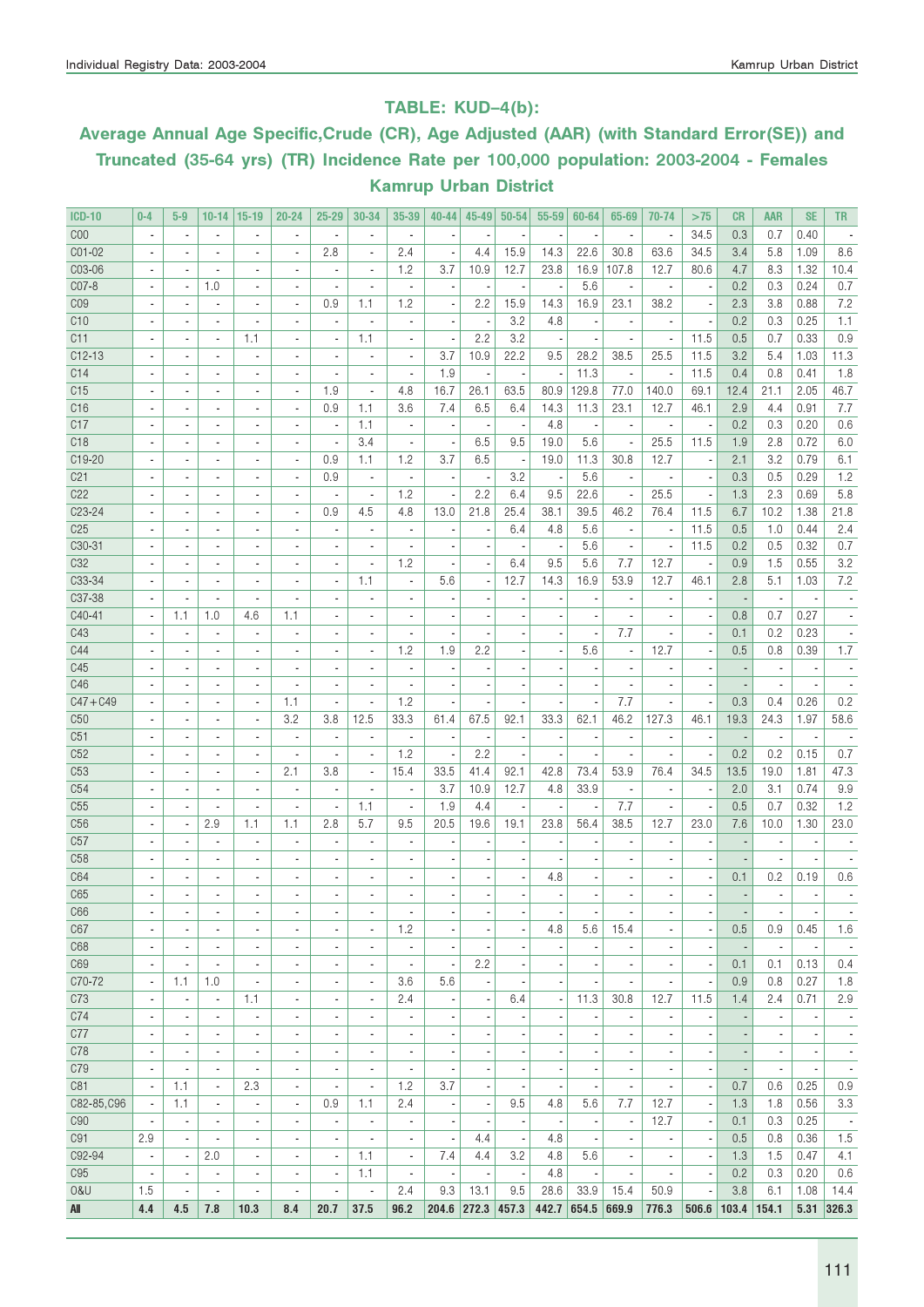### TABLE: KUD–4(b):

# Average Annual Age Specific,Crude (CR), Age Adjusted (AAR) (with Standard Error(SE)) and Truncated (35-64 yrs) (TR) Incidence Rate per 100,000 population: 2003-2004 - Females Kamrup Urban District

| <b>ICD-10</b>       | $0-4$                        | $5-9$                    | $10-14$                  | $ 15-19$                 | $20 - 24$                | $25 - 29$                | 30-34                    | 35-39                    | $40 - 44$                | 45-49                    | $50 - 54$                | $55 - 59$                | 60-64                    | 65-69                        | 70-74                        | >75                      | CR                       | <b>AAR</b>               | <b>SE</b>                | <b>TR</b>                |
|---------------------|------------------------------|--------------------------|--------------------------|--------------------------|--------------------------|--------------------------|--------------------------|--------------------------|--------------------------|--------------------------|--------------------------|--------------------------|--------------------------|------------------------------|------------------------------|--------------------------|--------------------------|--------------------------|--------------------------|--------------------------|
| C <sub>00</sub>     | ٠                            | $\blacksquare$           | $\overline{\phantom{a}}$ | $\blacksquare$           | $\blacksquare$           | $\overline{\phantom{a}}$ | ä,                       | $\overline{\phantom{a}}$ |                          |                          |                          |                          |                          | $\overline{\phantom{a}}$     | ä,                           | 34.5                     | 0.3                      | 0.7                      | 0.40                     |                          |
| CO1-02              | $\blacksquare$               | $\blacksquare$           | $\overline{\phantom{a}}$ | $\overline{\phantom{a}}$ | $\overline{\phantom{a}}$ | 2.8                      | ×,                       | 2.4                      | $\overline{\phantom{a}}$ | 4.4                      | 15.9                     | 14.3                     | 22.6                     | 30.8                         | 63.6                         | 34.5                     | 3.4                      | 5.8                      | 1.09                     | 8.6                      |
| C03-06              |                              |                          | $\overline{\phantom{a}}$ | ٠                        | $\blacksquare$           | $\overline{\phantom{a}}$ | ٠                        | 1.2                      | 3.7                      | 10.9                     | 12.7                     | 23.8                     | 16.9                     | 107.8                        | 12.7                         | 80.6                     | 4.7                      | 8.3                      | 1.32                     | 10.4                     |
| C07-8               |                              | $\overline{\phantom{a}}$ | 1.0                      | ٠                        |                          |                          |                          | ä,                       |                          |                          |                          |                          | 5.6                      | ä,                           | ÷,                           |                          | 0.2                      | 0.3                      | 0.24                     | 0.7                      |
| CO <sub>9</sub>     |                              | $\overline{\phantom{a}}$ | $\blacksquare$           | $\overline{\phantom{a}}$ | $\blacksquare$           | 0.9                      | 1.1                      | 1.2                      | $\overline{\phantom{a}}$ | 2.2                      | 15.9                     | 14.3                     | 16.9                     | 23.1                         | 38.2                         | $\overline{\phantom{a}}$ | 2.3                      | 3.8                      | 0.88                     | 7.2                      |
| C10                 |                              | $\overline{a}$           | $\blacksquare$           | $\blacksquare$           |                          | $\overline{a}$           | ×,                       | $\overline{\phantom{a}}$ |                          | ٠.                       | 3.2                      | 4.8                      |                          | $\blacksquare$               | $\overline{\phantom{a}}$     | $\overline{\phantom{a}}$ | 0.2                      | 0.3                      | 0.25                     | 1.1                      |
| C11                 |                              |                          | $\overline{\phantom{a}}$ | 1.1                      |                          | $\overline{a}$           | 1.1                      | $\overline{\phantom{a}}$ |                          | 2.2                      | 3.2                      |                          |                          |                              |                              | 11.5                     | 0.5                      | 0.7                      | 0.33                     | 0.9                      |
| $C12-13$            | $\blacksquare$               | $\blacksquare$           | $\overline{\phantom{a}}$ | ٠                        | $\overline{\phantom{a}}$ | $\overline{\phantom{a}}$ | ä,                       | $\blacksquare$           | 3.7                      | 10.9                     | 22.2                     | 9.5                      | 28.2                     | 38.5                         | 25.5                         | 11.5                     | 3.2                      | 5.4                      | 1.03                     | 11.3                     |
| C14                 |                              |                          |                          |                          |                          | ä,                       |                          | ä,                       |                          |                          |                          | ÷,                       |                          |                              | $\overline{a}$               |                          |                          | 0.8                      |                          |                          |
| C15                 | ٠                            | $\blacksquare$           | $\blacksquare$           | $\blacksquare$           | $\overline{\phantom{a}}$ |                          | $\blacksquare$           |                          | 1.9                      | ٠.                       | ÷,                       |                          | 11.3                     | $\overline{\phantom{a}}$     |                              | 11.5                     | 0.4                      |                          | 0.41                     | 1.8                      |
|                     |                              | $\overline{\phantom{a}}$ | $\blacksquare$           | $\blacksquare$           | ٠                        | 1.9                      | $\overline{\phantom{a}}$ | 4.8                      | 16.7                     | 26.1                     | 63.5                     | 80.9                     | 129.8                    | 77.0                         | 140.0                        | 69.1                     | 12.4                     | 21.1                     | 2.05                     | 46.7                     |
| C16                 |                              |                          | $\overline{\phantom{a}}$ | $\overline{\phantom{a}}$ | $\blacksquare$           | 0.9                      | 1.1                      | 3.6                      | 7.4                      | 6.5                      | 6.4                      | 14.3                     | 11.3                     | 23.1                         | 12.7                         | 46.1                     | 2.9                      | 4.4                      | 0.91                     | 7.7                      |
| C17                 |                              | $\overline{\phantom{a}}$ | $\blacksquare$           | $\overline{a}$           | $\overline{a}$           | $\blacksquare$           | 1.1                      | $\overline{\phantom{a}}$ | $\overline{\phantom{a}}$ |                          |                          | 4.8                      |                          | $\overline{\phantom{a}}$     | $\blacksquare$               |                          | 0.2                      | 0.3                      | 0.20                     | 0.6                      |
| C <sub>18</sub>     |                              | $\overline{a}$           | $\blacksquare$           | $\blacksquare$           |                          | ×,                       | 3.4                      | $\overline{\phantom{a}}$ | $\overline{\phantom{a}}$ | 6.5                      | 9.5                      | 19.0                     | 5.6                      | $\blacksquare$               | 25.5                         | 11.5                     | 1.9                      | 2.8                      | 0.72                     | 6.0                      |
| C19-20              |                              | $\blacksquare$           | ٠                        | $\overline{\phantom{a}}$ | $\overline{a}$           | 0.9                      | 1.1                      | 1.2                      | 3.7                      | 6.5                      |                          | 19.0                     | 11.3                     | 30.8                         | 12.7                         | ł,                       | 2.1                      | 3.2                      | 0.79                     | 6.1                      |
| C <sub>21</sub>     | $\overline{\phantom{a}}$     | $\blacksquare$           | $\overline{\phantom{a}}$ | $\overline{\phantom{a}}$ | $\blacksquare$           | 0.9                      | ×,                       | $\overline{\phantom{a}}$ | $\overline{\phantom{a}}$ | $\overline{\phantom{a}}$ | 3.2                      | ×,                       | 5.6                      | $\overline{\phantom{a}}$     | $\blacksquare$               | $\overline{\phantom{a}}$ | 0.3                      | 0.5                      | 0.29                     | 1.2                      |
| C22                 | $\blacksquare$               | $\blacksquare$           | $\blacksquare$           | $\blacksquare$           | $\blacksquare$           | $\overline{a}$           | $\overline{\phantom{a}}$ | 1.2                      | $\overline{\phantom{a}}$ | 2.2                      | 6.4                      | 9.5                      | 22.6                     | $\blacksquare$               | 25.5                         | $\overline{\phantom{a}}$ | 1.3                      | 2.3                      | 0.69                     | 5.8                      |
| C <sub>2</sub> 3-24 |                              | $\overline{\phantom{a}}$ | $\overline{\phantom{a}}$ | $\overline{\phantom{a}}$ | $\blacksquare$           | 0.9                      | 4.5                      | 4.8                      | 13.0                     | 21.8                     | 25.4                     | 38.1                     | 39.5                     | 46.2                         | 76.4                         | 11.5                     | 6.7                      | 10.2                     | 1.38                     | 21.8                     |
| C <sub>25</sub>     |                              |                          | $\overline{a}$           | $\overline{a}$           |                          |                          |                          | $\overline{\phantom{a}}$ | $\overline{\phantom{a}}$ |                          | 6.4                      | 4.8                      | 5.6                      | $\overline{\phantom{a}}$     |                              | 11.5                     | 0.5                      | 1.0                      | 0.44                     | 2.4                      |
| C30-31              |                              |                          | $\overline{\phantom{a}}$ | $\overline{\phantom{a}}$ | $\overline{\phantom{a}}$ | $\overline{a}$           | $\overline{\phantom{a}}$ | $\blacksquare$           | $\overline{\phantom{a}}$ |                          |                          | ×                        | 5.6                      | $\blacksquare$               | $\overline{\phantom{a}}$     | 11.5                     | 0.2                      | 0.5                      | 0.32                     | 0.7                      |
| C32                 |                              |                          | $\blacksquare$           | $\blacksquare$           |                          |                          | ä,                       | 1.2                      | $\overline{\phantom{a}}$ |                          | 6.4                      | 9.5                      | 5.6                      | 7.7                          | 12.7                         | $\overline{\phantom{a}}$ | 0.9                      | 1.5                      | 0.55                     | 3.2                      |
| C33-34              |                              |                          | $\blacksquare$           | ٠                        |                          |                          | 1.1                      | ÷,                       | 5.6                      |                          | 12.7                     | 14.3                     | 16.9                     | 53.9                         | 12.7                         | 46.1                     | 2.8                      | 5.1                      | 1.03                     | 7.2                      |
| C37-38              | $\blacksquare$               | $\overline{\phantom{a}}$ | $\overline{\phantom{a}}$ | $\blacksquare$           | $\overline{a}$           | $\overline{\phantom{a}}$ | ä,                       | $\blacksquare$           | ÷,                       |                          |                          |                          |                          | $\overline{\phantom{a}}$     | $\overline{\phantom{a}}$     | ×,                       |                          | $\overline{\phantom{a}}$ | $\overline{\phantom{a}}$ |                          |
| C40-41              | $\blacksquare$               | 1.1                      | 1.0                      | 4.6                      | 1.1                      | $\overline{\phantom{a}}$ | $\overline{a}$           | $\overline{\phantom{a}}$ | $\overline{\phantom{a}}$ |                          |                          | $\blacksquare$           | $\blacksquare$           | $\overline{\phantom{a}}$     | $\overline{\phantom{a}}$     | $\overline{\phantom{a}}$ | 0.8                      | 0.7                      | 0.27                     | $\overline{\phantom{a}}$ |
| C43                 |                              |                          | $\overline{a}$           | $\overline{\phantom{a}}$ | $\overline{\phantom{m}}$ |                          |                          | $\overline{\phantom{a}}$ | $\overline{a}$           |                          |                          |                          |                          | 7.7                          | $\overline{\phantom{m}}$     | $\overline{\phantom{a}}$ | 0.1                      | 0.2                      | 0.23                     |                          |
| C44                 |                              |                          | $\overline{a}$           |                          |                          |                          |                          | 1.2                      | 1.9                      | 2.2                      |                          |                          | 5.6                      | $\overline{\phantom{a}}$     | 12.7                         |                          | 0.5                      | 0.8                      | 0.39                     | 1.7                      |
| C45                 |                              |                          | ٠                        | ٠                        | $\overline{\phantom{a}}$ |                          | $\blacksquare$           | $\overline{\phantom{a}}$ | $\overline{a}$           |                          |                          |                          |                          | $\overline{\phantom{a}}$     | $\blacksquare$               |                          |                          | $\blacksquare$           |                          |                          |
| C46                 |                              | $\blacksquare$           | $\blacksquare$           | ٠                        |                          |                          | $\blacksquare$           |                          | $\overline{a}$           |                          |                          |                          |                          |                              |                              |                          |                          |                          |                          |                          |
| $C47 + C49$         |                              | $\blacksquare$           | ٠                        | $\overline{\phantom{a}}$ | 1.1                      |                          | ٠                        | 1.2                      |                          |                          |                          |                          |                          | 7.7                          | $\overline{\phantom{a}}$     |                          | 0.3                      | 0.4                      | 0.26                     | 0.2                      |
| C50                 | $\overline{\phantom{a}}$     | ä,                       | $\overline{\phantom{a}}$ | $\blacksquare$           | 3.2                      | 3.8                      | 12.5                     | 33.3                     | 61.4                     | 67.5                     | 92.1                     | 33.3                     | 62.1                     | 46.2                         | 127.3                        | 46.1                     | 19.3                     | 24.3                     | 1.97                     | 58.6                     |
|                     |                              |                          |                          |                          |                          |                          |                          |                          |                          |                          |                          |                          |                          |                              |                              |                          |                          |                          |                          |                          |
| C <sub>51</sub>     | $\blacksquare$               | ٠                        | $\overline{\phantom{a}}$ | $\overline{\phantom{a}}$ | $\blacksquare$           | $\overline{\phantom{a}}$ | ٠                        | $\overline{\phantom{a}}$ | $\overline{\phantom{a}}$ |                          |                          | ×                        |                          | ÷,                           | ÷,                           |                          |                          | $\overline{\phantom{a}}$ | $\overline{\phantom{a}}$ |                          |
| C52                 |                              | $\overline{\phantom{a}}$ | $\overline{\phantom{a}}$ | $\blacksquare$           | $\overline{\phantom{a}}$ | ٠                        | ×,                       | 1.2                      | $\overline{\phantom{a}}$ | 2.2                      |                          |                          |                          | $\overline{\phantom{a}}$     | ٠                            | $\overline{\phantom{a}}$ | 0.2                      | 0.2                      | 0.15                     | 0.7                      |
| C53                 |                              |                          | $\blacksquare$           | $\overline{\phantom{a}}$ | 2.1                      | 3.8                      | $\overline{\phantom{a}}$ | 15.4                     | 33.5                     | 41.4                     | 92.1                     | 42.8                     | 73.4                     | 53.9                         | 76.4                         | 34.5                     | 13.5                     | 19.0                     | 1.81                     | 47.3                     |
| C54                 |                              |                          | $\overline{a}$           |                          |                          |                          |                          | ÷,                       | 3.7                      | 10.9                     | 12.7                     | 4.8                      | 33.9                     | $\blacksquare$               | $\overline{\phantom{a}}$     | ×,                       | 2.0                      | 3.1                      | 0.74                     | 9.9                      |
| C55                 |                              | $\overline{a}$           | $\blacksquare$           | $\overline{a}$           | $\overline{\phantom{a}}$ | $\overline{\phantom{a}}$ | 1.1                      | $\overline{\phantom{a}}$ | 1.9                      | 4.4                      |                          | ٠                        |                          | 7.7                          | ä,                           | ٠.                       | 0.5                      | 0.7                      | 0.32                     | 1.2                      |
| C <sub>56</sub>     |                              | $\blacksquare$           | 2.9                      | 1.1                      | 1.1                      | 2.8                      | 5.7                      | 9.5                      | 20.5                     | 19.6                     | 19.1                     | 23.8                     | 56.4                     | 38.5                         | 12.7                         | 23.0                     | 7.6                      | 10.0                     | 1.30                     | 23.0                     |
| C57                 |                              |                          | $\blacksquare$           | ٠                        |                          |                          |                          | ٠                        |                          |                          |                          |                          |                          |                              |                              |                          |                          | $\overline{a}$           |                          |                          |
| C58                 |                              |                          | ٠                        | ٠                        |                          |                          |                          | ÷,                       |                          |                          |                          |                          |                          |                              |                              |                          |                          | $\blacksquare$           | $\overline{\phantom{a}}$ |                          |
| C64                 | ٠                            | $\blacksquare$           | $\blacksquare$           | $\blacksquare$           | $\overline{a}$           | $\overline{a}$           | ٠                        | ٠                        | $\blacksquare$           |                          |                          | 4.8                      |                          | ٠                            | $\blacksquare$               | $\overline{\phantom{a}}$ | 0.1                      | 0.2                      | 0.19                     | 0.6                      |
| C65                 |                              |                          |                          |                          |                          |                          |                          |                          |                          |                          |                          |                          |                          |                              | $\overline{\phantom{a}}$     | $\overline{\phantom{a}}$ |                          |                          |                          |                          |
| C <sub>66</sub>     | ٠                            |                          | ٠                        | ٠                        | ۰                        |                          | ٠                        | ٠                        |                          | $\overline{\phantom{a}}$ |                          | ÷,                       | $\overline{\phantom{a}}$ | $\overline{\phantom{a}}$     | ٠                            | $\overline{\phantom{a}}$ | $\overline{\phantom{a}}$ |                          | $\overline{\phantom{a}}$ | $\overline{\phantom{a}}$ |
| C67                 | ä,                           |                          | $\blacksquare$           | $\blacksquare$           | $\overline{\phantom{a}}$ | $\overline{\phantom{a}}$ | $\blacksquare$           | 1.2                      |                          |                          |                          | 4.8                      | 5.6                      | 15.4                         | ä,                           | ÷,                       | 0.5                      | 0.9                      | 0.45                     | 1.6                      |
| C68                 | $\blacksquare$               | ٠                        | ٠                        | ٠                        | $\overline{\phantom{a}}$ | $\overline{\phantom{m}}$ | ٠                        | $\overline{\phantom{a}}$ | $\blacksquare$           |                          |                          | $\overline{\phantom{a}}$ |                          | ٠                            | $\blacksquare$               |                          |                          | $\overline{\phantom{a}}$ | $\overline{\phantom{a}}$ | $\overline{\phantom{a}}$ |
| C69                 | $\blacksquare$               |                          | $\overline{\phantom{a}}$ | $\overline{\phantom{a}}$ | $\overline{\phantom{a}}$ | $\overline{\phantom{m}}$ | $\overline{\phantom{a}}$ | $\overline{\phantom{a}}$ | $\overline{\phantom{a}}$ | 2.2                      |                          | $\overline{\phantom{a}}$ |                          | ٠                            | $\overline{a}$               | $\overline{\phantom{a}}$ | 0.1                      | 0.1                      | 0.13                     | 0.4                      |
| C70-72              | $\overline{\phantom{a}}$     | 1.1                      | 1.0                      | $\overline{\phantom{a}}$ | $\overline{\phantom{a}}$ | $\overline{\phantom{m}}$ | $\overline{\phantom{a}}$ | 3.6                      | 5.6                      |                          |                          |                          |                          | $\overline{\phantom{a}}$     |                              | $\overline{\phantom{a}}$ | 0.9                      | 0.8                      | 0.27                     | 1.8                      |
| C73                 | ÷,                           | $\overline{\phantom{a}}$ | $\blacksquare$           | 1.1                      | $\overline{\phantom{a}}$ | $\overline{a}$           | $\overline{\phantom{a}}$ | 2.4                      |                          |                          | 6.4                      | ÷,                       | 11.3                     | 30.8                         | 12.7                         | 11.5                     | 1.4                      | 2.4                      | 0.71                     | 2.9                      |
| C74                 | $\overline{\phantom{a}}$     | $\overline{\phantom{a}}$ | $\overline{\phantom{a}}$ | $\overline{\phantom{a}}$ | $\overline{\phantom{a}}$ | $\overline{\phantom{a}}$ | $\overline{\phantom{a}}$ | $\blacksquare$           | $\overline{\phantom{a}}$ |                          |                          | $\overline{\phantom{a}}$ |                          | $\overline{\phantom{a}}$     | $\overline{\phantom{a}}$     |                          |                          | $\overline{\phantom{a}}$ | $\overline{\phantom{a}}$ | $\overline{\phantom{a}}$ |
| C77                 | $\overline{\phantom{a}}$     | $\overline{\phantom{a}}$ | $\overline{\phantom{a}}$ | $\overline{\phantom{a}}$ | $\frac{1}{2}$            | $\overline{a}$           | $\overline{\phantom{a}}$ | $\overline{\phantom{a}}$ | $\overline{\phantom{a}}$ | ٠                        |                          | $\overline{\phantom{a}}$ | $\overline{\phantom{a}}$ | $\overline{\phantom{a}}$     | $\overline{\phantom{a}}$     | $\overline{\phantom{a}}$ | $\overline{a}$           | $\overline{\phantom{a}}$ | $\overline{\phantom{a}}$ | $\overline{\phantom{a}}$ |
| C78                 |                              |                          | ٠                        |                          | $\overline{\phantom{a}}$ |                          | $\overline{\phantom{a}}$ |                          |                          |                          |                          |                          |                          |                              |                              |                          |                          |                          |                          |                          |
|                     | $\qquad \qquad \blacksquare$ | ٠                        |                          | $\overline{\phantom{a}}$ |                          | ٠                        |                          | ٠                        | $\overline{a}$           |                          |                          |                          |                          | $\qquad \qquad \blacksquare$ | $\qquad \qquad \blacksquare$ | ÷                        | $\overline{\phantom{m}}$ | $\overline{\phantom{a}}$ | $\overline{\phantom{a}}$ | $\overline{\phantom{a}}$ |
| C79                 | ٠                            |                          | ٠                        | $\overline{\phantom{a}}$ | $\overline{a}$           | $\overline{a}$           | ٠                        | ÷,                       | ×,                       |                          |                          |                          |                          | $\overline{\phantom{a}}$     | $\overline{\phantom{a}}$     | ×,                       |                          | $\blacksquare$           | $\overline{\phantom{a}}$ | $\overline{\phantom{a}}$ |
| C81                 | ٠                            | 1.1                      | $\blacksquare$           | 2.3                      | $\blacksquare$           | $\overline{\phantom{a}}$ | $\blacksquare$           | 1.2                      | 3.7                      |                          |                          | $\blacksquare$           |                          | ٠                            |                              | $\overline{\phantom{a}}$ | 0.7                      | 0.6                      | 0.25                     | 0.9                      |
| C82-85, C96         |                              | 1.1                      | $\overline{\phantom{a}}$ | $\overline{\phantom{a}}$ | $\overline{\phantom{a}}$ | 0.9                      | 1.1                      | 2.4                      | $\overline{\phantom{a}}$ | $\overline{\phantom{a}}$ | 9.5                      | 4.8                      | 5.6                      | 7.7                          | 12.7                         | $\overline{\phantom{a}}$ | 1.3                      | 1.8                      | 0.56                     | 3.3                      |
| C90                 | $\overline{\phantom{a}}$     | $\overline{\phantom{a}}$ | $\overline{\phantom{a}}$ | $\overline{\phantom{a}}$ | $\overline{\phantom{a}}$ | $\overline{\phantom{a}}$ | $\overline{\phantom{a}}$ | ÷,                       | $\overline{\phantom{a}}$ |                          | $\overline{a}$           | $\overline{a}$           |                          | $\overline{\phantom{a}}$     | 12.7                         | $\overline{\phantom{a}}$ | 0.1                      | 0.3                      | 0.25                     | $\sim$                   |
| C91                 | 2.9                          | $\overline{\phantom{a}}$ | $\blacksquare$           | $\overline{\phantom{a}}$ | $\blacksquare$           | $\overline{\phantom{a}}$ | $\blacksquare$           | $\overline{\phantom{a}}$ | $\overline{\phantom{a}}$ | 4.4                      | $\overline{\phantom{a}}$ | 4.8                      |                          | ä,                           | $\overline{\phantom{a}}$     | $\overline{\phantom{a}}$ | 0.5                      | 0.8                      | 0.36                     | 1.5                      |
| C92-94              | $\overline{\phantom{a}}$     | $\overline{\phantom{a}}$ | 2.0                      | $\overline{\phantom{a}}$ | $\overline{\phantom{a}}$ | $\overline{\phantom{a}}$ | 1.1                      | $\overline{\phantom{a}}$ | 7.4                      | 4.4                      | 3.2                      | 4.8                      | 5.6                      | $\overline{\phantom{a}}$     | $\overline{\phantom{a}}$     | $\overline{\phantom{a}}$ | 1.3                      | 1.5                      | 0.47                     | 4.1                      |
| C <sub>95</sub>     | $\overline{\phantom{a}}$     | $\overline{\phantom{a}}$ | $\overline{\phantom{a}}$ | $\overline{\phantom{a}}$ | $\overline{\phantom{a}}$ | $\overline{\phantom{a}}$ | 1.1                      | $\overline{\phantom{a}}$ | $\overline{\phantom{a}}$ | $\overline{\phantom{a}}$ | $\overline{\phantom{a}}$ | 4.8                      |                          | $\overline{\phantom{a}}$     | $\overline{\phantom{a}}$     | $\overline{\phantom{a}}$ | 0.2                      | 0.3                      | 0.20                     | 0.6                      |
| 0&U                 | 1.5                          | $\overline{\phantom{a}}$ | $\overline{\phantom{a}}$ | ÷,                       | $\blacksquare$           | $\overline{\phantom{a}}$ | ÷,                       | 2.4                      | 9.3                      | 13.1                     | 9.5                      | 28.6                     | 33.9                     | 15.4                         | 50.9                         | $\overline{\phantom{a}}$ | 3.8                      | 6.1                      | 1.08                     | 14.4                     |
| All                 | 4.4                          | 4.5                      | 7.8                      | 10.3                     | 8.4                      | 20.7                     | 37.5                     | 96.2                     | 204.6 272.3 457.3        |                          |                          |                          | 442.7 654.5 669.9        |                              | 776.3                        | 506.6                    | 103.4                    | 154.1                    |                          | 5.31 326.3               |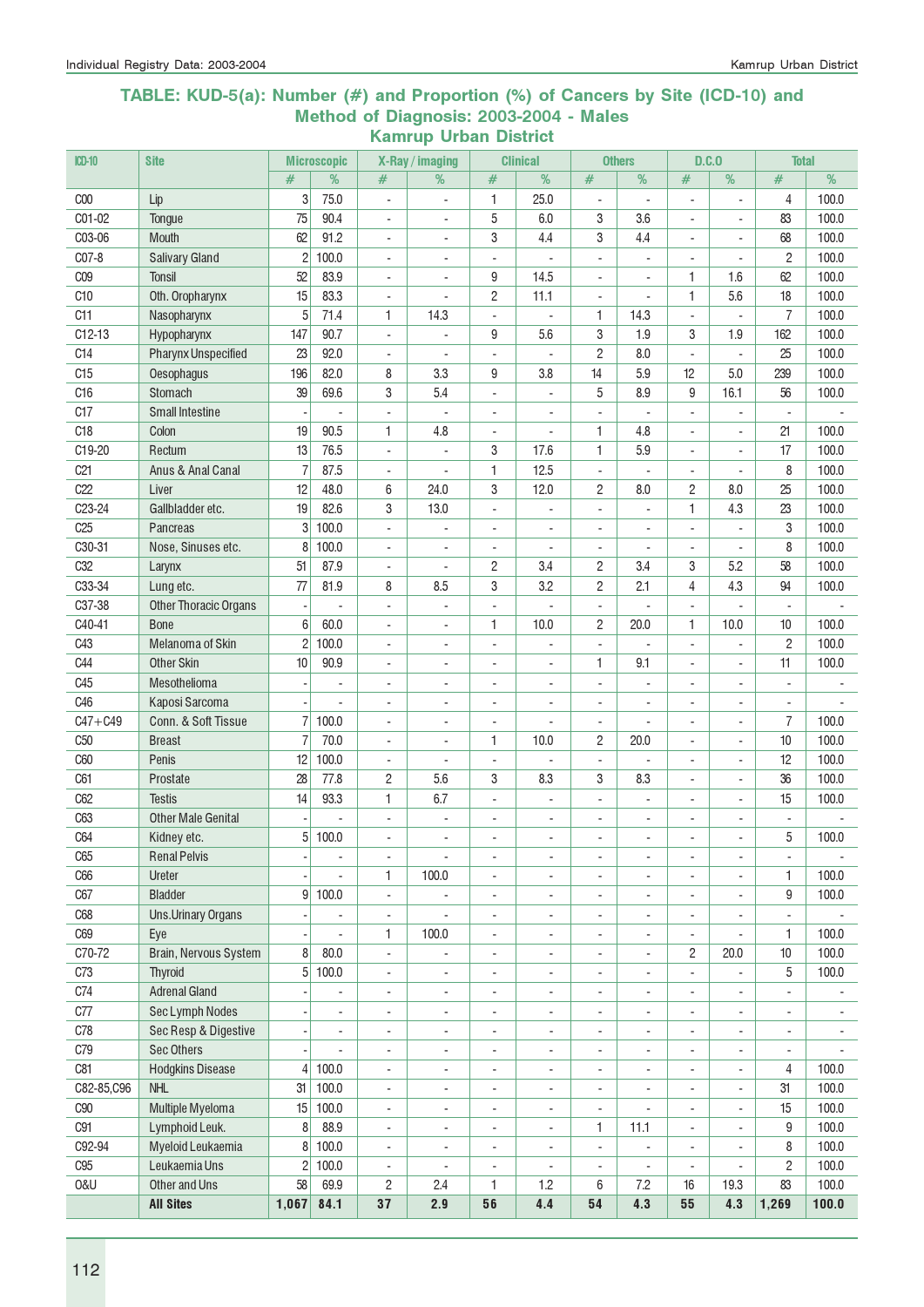#### TABLE: KUD-5(a): Number (#) and Proportion (%) of Cancers by Site (ICD-10) and Method of Diagnosis: 2003-2004 - Males Kamrup Urban District

| $CD-10$         | <b>Site</b>                      |                          | <b>Microscopic</b>                         |                          | X-Ray / imaging                   |                                                      | <b>Clinical</b>              |                                                      | <b>Others</b>                                        | D.C.0                    |                                            | <b>Total</b>             |                          |
|-----------------|----------------------------------|--------------------------|--------------------------------------------|--------------------------|-----------------------------------|------------------------------------------------------|------------------------------|------------------------------------------------------|------------------------------------------------------|--------------------------|--------------------------------------------|--------------------------|--------------------------|
|                 |                                  | #                        | %                                          | #                        | %                                 | #                                                    | %                            | #                                                    | %                                                    | #                        | %                                          | $\#$                     | %                        |
| C <sub>00</sub> | Lip                              | 3                        | 75.0                                       | $\mathbf{r}$             | L.                                | 1                                                    | 25.0                         | ä,                                                   | $\blacksquare$                                       | $\overline{a}$           | $\overline{a}$                             | 4                        | 100.0                    |
| C01-02          | Tongue                           | 75                       | 90.4                                       | $\blacksquare$           | $\overline{\phantom{a}}$          | 5                                                    | 6.0                          | 3                                                    | 3.6                                                  | $\overline{a}$           | ÷,                                         | 83                       | 100.0                    |
| C03-06          | Mouth                            | 62                       | 91.2                                       | $\blacksquare$           | $\overline{\phantom{a}}$          | 3                                                    | 4.4                          | 3                                                    | 4.4                                                  | L.                       | $\overline{a}$                             | 68                       | 100.0                    |
| C07-8           | <b>Salivary Gland</b>            | $\overline{c}$           | 100.0                                      | $\blacksquare$           | ÷                                 | ÷,                                                   |                              | $\blacksquare$                                       | ÷.                                                   | ÷.                       | ÷.                                         | $\overline{c}$           | 100.0                    |
| C <sub>09</sub> | <b>Tonsil</b>                    | 52                       | 83.9                                       | ÷,                       |                                   | 9                                                    | 14.5                         | ÷,                                                   |                                                      | 1                        | 1.6                                        | 62                       | 100.0                    |
| C <sub>10</sub> | Oth. Oropharynx                  | 15                       | 83.3                                       | $\overline{a}$           |                                   | $\mathbf{2}$                                         | 11.1                         | $\overline{a}$                                       |                                                      | $\mathbf{1}$             | 5.6                                        | 18                       | 100.0                    |
| C11             | Nasopharynx                      | 5                        | 71.4                                       | 1                        | 14.3                              | ÷,                                                   |                              | 1                                                    | 14.3                                                 |                          |                                            | 7                        | 100.0                    |
| $C12-13$        | Hypopharynx                      | 147                      | 90.7                                       | $\overline{\phantom{a}}$ |                                   | 9                                                    | 5.6                          | 3                                                    | 1.9                                                  | 3                        | 1.9                                        | 162                      | 100.0                    |
| C14             | <b>Pharynx Unspecified</b>       | 23                       | 92.0                                       | $\overline{\phantom{a}}$ | $\overline{a}$                    | $\overline{\phantom{a}}$                             |                              | 2                                                    | 8.0                                                  | ÷,                       | $\overline{\phantom{a}}$                   | 25                       | 100.0                    |
| C15             | Oesophagus                       | 196                      | 82.0                                       | 8                        | 3.3                               | 9                                                    | 3.8                          | 14                                                   | 5.9                                                  | 12                       | 5.0                                        | 239                      | 100.0                    |
| C16             | Stomach                          | 39                       | 69.6                                       | 3                        | 5.4                               | $\overline{\phantom{a}}$                             | ÷,                           | 5                                                    | 8.9                                                  | 9                        | 16.1                                       | 56                       | 100.0                    |
| C17             | <b>Small Intestine</b>           | $\overline{\phantom{a}}$ | $\blacksquare$                             | $\overline{\phantom{a}}$ | ÷,                                | ÷,                                                   | ÷,                           | $\overline{\phantom{a}}$                             | L,                                                   | L.                       | ÷,                                         | $\overline{\phantom{a}}$ |                          |
| C18             | Colon                            | 19                       | 90.5                                       | 1                        | 4.8                               | ÷,                                                   |                              | 1                                                    | 4.8                                                  | L.                       |                                            | 21                       | 100.0                    |
| C19-20          | Rectum                           | 13                       | 76.5                                       | $\mathbf{r}$             | ä,                                | 3                                                    | 17.6                         | $\mathbf{1}$                                         | 5.9                                                  | ä,                       | $\overline{a}$                             | 17                       | 100.0                    |
| C <sub>21</sub> | Anus & Anal Canal                | $\overline{7}$           | 87.5                                       | $\overline{\phantom{a}}$ | ÷,                                | 1                                                    | 12.5                         | $\overline{a}$                                       |                                                      | ÷,                       |                                            | 8                        | 100.0                    |
| C22             | Liver                            | 12                       | 48.0                                       | 6                        | 24.0                              | 3                                                    | 12.0                         | 2                                                    | 8.0                                                  | $\mathbf{2}$             | 8.0                                        | 25                       | 100.0                    |
| C23-24          | Gallbladder etc.                 | 19                       | 82.6                                       | 3                        | 13.0                              | ÷,                                                   |                              | ä,                                                   | ä,                                                   | $\mathbf{1}$             | 4.3                                        | 23                       | 100.0                    |
| C <sub>25</sub> | Pancreas                         | 3                        | 100.0                                      | $\Box$                   |                                   | $\overline{\phantom{a}}$                             | ÷,                           | ÷,                                                   | ÷,                                                   | ÷,                       | ÷,                                         | 3                        | 100.0                    |
| C30-31          | Nose, Sinuses etc.               | 8                        | 100.0                                      | $\blacksquare$           |                                   | $\sim$                                               |                              | $\overline{a}$                                       |                                                      | ÷,                       | ÷,                                         | 8                        | 100.0                    |
| C <sub>32</sub> | Larynx                           | 51                       | 87.9                                       | $\overline{\phantom{a}}$ |                                   | 2                                                    | 3.4                          | $\overline{c}$                                       | 3.4                                                  | 3                        | 5.2                                        | 58                       | 100.0                    |
| C33-34          | Lung etc.                        | 77                       | 81.9                                       | 8                        | 8.5                               | 3                                                    | 3.2                          | $\mathbf{2}$                                         | 2.1                                                  | 4                        | 4.3                                        | 94                       | 100.0                    |
| C37-38          | <b>Other Thoracic Organs</b>     | $\overline{\phantom{a}}$ |                                            | $\overline{\phantom{a}}$ | $\overline{\phantom{a}}$          | $\qquad \qquad \blacksquare$                         |                              | $\overline{\phantom{a}}$                             |                                                      | ÷,                       | $\overline{a}$                             | $\overline{\phantom{a}}$ |                          |
| C40-41          | <b>Bone</b>                      | 6                        | 60.0                                       | $\overline{\phantom{a}}$ | ٠                                 | 1                                                    | 10.0                         | 2                                                    | 20.0                                                 | 1                        | 10.0                                       | 10                       | 100.0                    |
| C43             | Melanoma of Skin                 | $\overline{2}$           | 100.0                                      | $\overline{\phantom{a}}$ | $\overline{\phantom{a}}$          | ÷,                                                   | L,                           | $\blacksquare$                                       |                                                      | L.                       | ÷,                                         | $\overline{c}$           | 100.0                    |
| C44             | <b>Other Skin</b>                | 10                       | 90.9                                       | $\overline{\phantom{a}}$ | $\overline{\phantom{a}}$          | ÷,                                                   | ÷,                           | 1                                                    | 9.1                                                  | ÷,                       | ÷,                                         | 11                       | 100.0                    |
| C45             | Mesothelioma                     |                          |                                            | $\sim$                   | $\blacksquare$                    | ÷,                                                   | L,                           | ÷,                                                   | ÷,                                                   | ÷,                       |                                            | ÷,                       |                          |
| C46             | Kaposi Sarcoma                   |                          |                                            | $\blacksquare$           | $\overline{\phantom{a}}$          | ÷,                                                   | $\overline{a}$               | ÷,                                                   | $\blacksquare$                                       | L.                       | ÷,                                         | ÷,                       |                          |
| $C47 + C49$     | Conn. & Soft Tissue              | $\overline{7}$           | 100.0                                      | $\overline{\phantom{a}}$ | $\overline{\phantom{a}}$          | ÷,                                                   |                              | $\overline{\phantom{a}}$                             | ÷,                                                   | ÷,                       | ÷,                                         | 7                        | 100.0                    |
| C <sub>50</sub> | <b>Breast</b>                    | $\overline{7}$           | 70.0                                       | $\blacksquare$           | $\overline{\phantom{a}}$          | 1                                                    | 10.0                         | 2                                                    | 20.0                                                 | L.                       |                                            | 10                       | 100.0                    |
| C60             | Penis                            | 12                       | 100.0                                      | $\blacksquare$           | ÷                                 | $\blacksquare$                                       |                              | $\blacksquare$                                       |                                                      | ÷.                       | ä,                                         | 12                       | 100.0                    |
| C61             | Prostate                         | 28                       | 77.8                                       | 2                        | 5.6                               | 3                                                    | 8.3                          | 3                                                    | 8.3                                                  | ÷.                       | ä,                                         | 36                       | 100.0                    |
| C62             | <b>Testis</b>                    | 14                       | 93.3                                       | 1                        | 6.7                               | $\overline{a}$                                       |                              |                                                      |                                                      | $\overline{a}$           |                                            | 15                       | 100.0                    |
| C63             | <b>Other Male Genital</b>        |                          |                                            | $\blacksquare$           |                                   | $\overline{\phantom{a}}$                             | ÷,                           | $\blacksquare$                                       |                                                      | L,                       |                                            |                          |                          |
| C64             | Kidney etc.                      | 5                        | 100.0                                      | $\sim$                   | ÷                                 | $\blacksquare$                                       | $\overline{a}$               | $\overline{a}$                                       | ÷.                                                   | ÷,                       | ÷.                                         | 5                        | 100.0                    |
| C65             | <b>Renal Pelvis</b>              | -                        | $\overline{\phantom{a}}$                   | $\overline{\phantom{a}}$ | $\overline{\phantom{a}}$          | $\qquad \qquad \blacksquare$                         | $\overline{\phantom{a}}$     | $\frac{1}{2}$                                        | $\overline{\phantom{a}}$                             | $\overline{\phantom{0}}$ | $\overline{\phantom{a}}$                   | $\overline{\phantom{a}}$ | $\overline{\phantom{a}}$ |
| C66<br>C67      | Ureter<br><b>Bladder</b>         | ٠                        | $\overline{\phantom{a}}$                   | 1                        | 100.0                             | $\qquad \qquad \blacksquare$                         | $\overline{\phantom{a}}$     | $\overline{\phantom{a}}$                             | $\overline{\phantom{a}}$                             | ÷,                       | $\overline{\phantom{a}}$                   | 1                        | 100.0<br>100.0           |
|                 |                                  | 9                        | 100.0                                      | $\overline{\phantom{a}}$ |                                   | $\overline{\phantom{a}}$                             | $\overline{\phantom{0}}$     | $\overline{\phantom{a}}$                             | $\overline{\phantom{a}}$                             | $\overline{\phantom{a}}$ | $\overline{\phantom{a}}$                   | 9                        |                          |
| C68<br>C69      | <b>Uns.Urinary Organs</b><br>Eye |                          | $\overline{\phantom{a}}$<br>$\overline{a}$ | $\blacksquare$<br>1      | $\overline{\phantom{a}}$<br>100.0 | $\overline{\phantom{a}}$                             | -<br>4                       | $\overline{\phantom{a}}$                             | $\overline{\phantom{a}}$<br>$\overline{\phantom{a}}$ | ÷,<br>÷,                 | $\overline{\phantom{a}}$<br>$\blacksquare$ | $\Box$<br>1              | 100.0                    |
| C70-72          | Brain, Nervous System            | -<br>8                   | 80.0                                       | $\overline{\phantom{a}}$ |                                   | $\overline{\phantom{a}}$<br>$\overline{\phantom{a}}$ | $\overline{\phantom{a}}$     | $\overline{\phantom{a}}$<br>$\overline{\phantom{a}}$ | $\overline{\phantom{a}}$                             | $\overline{c}$           | 20.0                                       | $10$                     | 100.0                    |
| C73             | <b>Thyroid</b>                   | 5                        | 100.0                                      | $\overline{\phantom{a}}$ | $\overline{\phantom{a}}$          | $\blacksquare$                                       | $\blacksquare$               | $\overline{\phantom{a}}$                             | $\overline{\phantom{a}}$                             | ÷,                       |                                            | 5                        | 100.0                    |
| C74             | <b>Adrenal Gland</b>             | $\overline{a}$           | $\overline{\phantom{a}}$                   | $\overline{\phantom{a}}$ | $\overline{\phantom{a}}$          | ÷,                                                   | ÷,                           | ÷,                                                   | $\blacksquare$                                       | ÷.                       |                                            | ÷,                       |                          |
| C77             | Sec Lymph Nodes                  | ÷                        | $\blacksquare$                             | $\overline{\phantom{a}}$ | $\overline{\phantom{a}}$          | $\overline{\phantom{a}}$                             | $\overline{\phantom{a}}$     | $\overline{\phantom{a}}$                             | $\blacksquare$                                       | L.                       | $\overline{\phantom{a}}$                   | $\blacksquare$           | $\blacksquare$           |
| C78             | Sec Resp & Digestive             | $\overline{a}$           | $\overline{\phantom{a}}$                   | $\overline{\phantom{a}}$ | $\overline{\phantom{a}}$          | $\overline{\phantom{a}}$                             | ÷.                           | ÷,                                                   | $\bar{a}$                                            | L.                       | $\overline{\phantom{a}}$                   | $\blacksquare$           | $\overline{\phantom{a}}$ |
| C79             | Sec Others                       |                          | $\blacksquare$                             | $\overline{\phantom{a}}$ | $\overline{\phantom{a}}$          | ÷,                                                   | ÷,                           | ÷,                                                   | $\overline{\phantom{a}}$                             | ÷,                       | ÷,                                         | $\overline{\phantom{a}}$ | $\blacksquare$           |
| C81             | <b>Hodgkins Disease</b>          | 4                        | 100.0                                      | $\overline{\phantom{a}}$ | $\overline{\phantom{a}}$          | $\overline{\phantom{a}}$                             | ÷,                           | $\overline{\phantom{a}}$                             | $\overline{\phantom{a}}$                             | ÷,                       | $\blacksquare$                             | 4                        | 100.0                    |
| C82-85,C96      | <b>NHL</b>                       | 31                       | 100.0                                      | $\overline{\phantom{a}}$ | ÷                                 | $\blacksquare$                                       | $\overline{\phantom{a}}$     | $\overline{\phantom{a}}$                             | $\blacksquare$                                       | ÷,                       | $\overline{a}$                             | 31                       | 100.0                    |
| C90             | Multiple Myeloma                 | 15                       | 100.0                                      | $\overline{\phantom{a}}$ | ۰                                 | $\qquad \qquad \blacksquare$                         | $\overline{\phantom{a}}$     | $\overline{\phantom{a}}$                             | $\blacksquare$                                       | ٠                        | $\overline{\phantom{a}}$                   | 15                       | 100.0                    |
| C91             | Lymphoid Leuk.                   | 8                        | 88.9                                       | $\overline{\phantom{a}}$ | $\overline{\phantom{a}}$          | $\qquad \qquad \blacksquare$                         | -                            | 1                                                    | 11.1                                                 | ÷,                       | $\overline{\phantom{a}}$                   | 9                        | 100.0                    |
| C92-94          | Myeloid Leukaemia                | 8                        | 100.0                                      | $\overline{\phantom{a}}$ | $\overline{\phantom{a}}$          | $\overline{\phantom{a}}$                             | $\qquad \qquad \blacksquare$ | $\blacksquare$                                       | ÷,                                                   | ÷,                       | $\blacksquare$                             | 8                        | 100.0                    |
| C <sub>95</sub> | Leukaemia Uns                    | $\overline{c}$           | 100.0                                      | $\overline{\phantom{a}}$ | ÷                                 | $\overline{\phantom{a}}$                             | $\overline{\phantom{a}}$     | $\overline{\phantom{a}}$                             | $\overline{\phantom{a}}$                             | $\blacksquare$           | $\overline{a}$                             | 2                        | 100.0                    |
| U&0             | Other and Uns                    | 58                       | 69.9                                       | 2                        | 2.4                               | 1                                                    | 1.2                          | 6                                                    | 7.2                                                  | 16                       | 19.3                                       | 83                       | 100.0                    |
|                 | <b>All Sites</b>                 | 1,067                    | 84.1                                       | 37                       | 2.9                               | 56                                                   | 4.4                          | 54                                                   | 4.3                                                  | 55                       | 4.3                                        | 1,269                    | 100.0                    |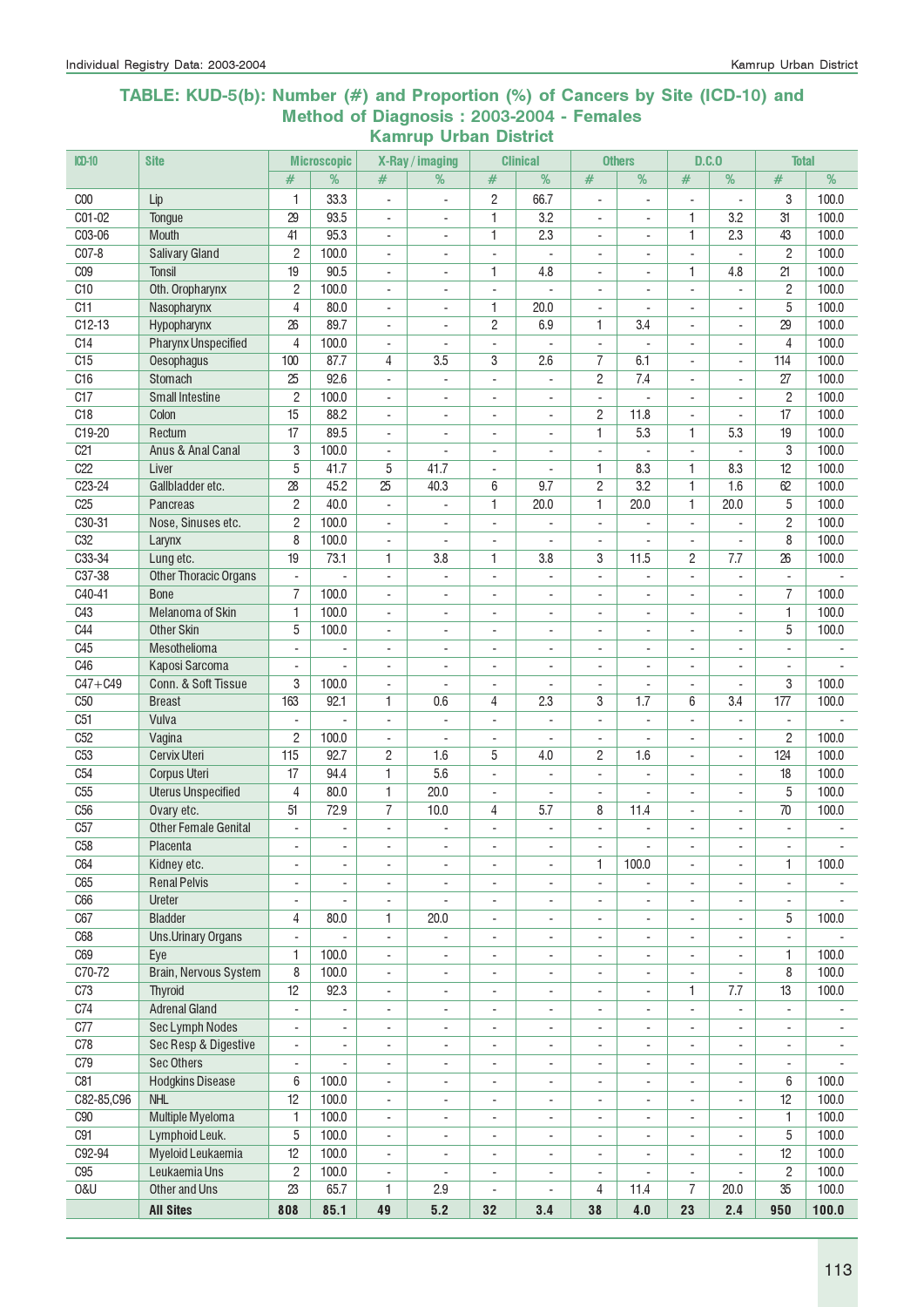#### TABLE: KUD-5(b): Number (#) and Proportion (%) of Cancers by Site (ICD-10) and Method of Diagnosis : 2003-2004 - Females Kamrup Urban District

| ICD-10                 | <b>Site</b>                                        |                                 | <b>Microscopic</b>       |                                                      | X-Ray / imaging                                      |                                                      | <b>Clinical</b>                                      |                                                      | <b>Others</b>            | D.C.0                         |                          | <b>Total</b>                    |                |
|------------------------|----------------------------------------------------|---------------------------------|--------------------------|------------------------------------------------------|------------------------------------------------------|------------------------------------------------------|------------------------------------------------------|------------------------------------------------------|--------------------------|-------------------------------|--------------------------|---------------------------------|----------------|
|                        |                                                    | #                               | %                        | #                                                    | %                                                    | #                                                    | %                                                    | #                                                    | %                        | #                             | %                        | #                               | %              |
| C <sub>00</sub>        | Lip                                                | $\mathbf{1}$                    | 33.3                     | $\overline{a}$                                       | ä,                                                   | $\overline{c}$                                       | 66.7                                                 | $\blacksquare$                                       | ÷,                       | ÷,                            | $\blacksquare$           | 3                               | 100.0          |
| C01-02                 | Tongue                                             | 29                              | 93.5                     | $\overline{\phantom{a}}$                             | $\overline{\phantom{a}}$                             | 1                                                    | 3.2                                                  | $\overline{\phantom{a}}$                             | $\overline{\phantom{a}}$ | 1                             | 3.2                      | 31                              | 100.0          |
| C03-06                 | Mouth                                              | 41                              | 95.3                     | $\blacksquare$                                       | $\overline{\phantom{a}}$                             | 1                                                    | 2.3                                                  | $\overline{\phantom{a}}$                             | $\blacksquare$           | 1                             | 2.3                      | 43                              | 100.0          |
| $CO7-8$                | <b>Salivary Gland</b>                              | $\overline{c}$                  | 100.0                    | $\blacksquare$                                       | $\sim$                                               | $\sim$                                               | $\mathbf{r}$                                         | $\sim$                                               | $\blacksquare$           | ÷.                            | $\overline{\phantom{a}}$ | $\overline{c}$                  | 100.0          |
| C <sub>09</sub>        | <b>Tonsil</b>                                      | 19                              | 90.5                     | $\overline{\phantom{a}}$                             | $\overline{\phantom{a}}$                             | 1                                                    | 4.8                                                  | $\overline{\phantom{a}}$                             | $\overline{\phantom{a}}$ | 1.                            | 4.8                      | 21                              | 100.0          |
| C <sub>10</sub>        | Oth. Oropharynx                                    | $\overline{c}$                  | 100.0                    | $\overline{\phantom{a}}$                             |                                                      | $\overline{\phantom{a}}$                             |                                                      |                                                      |                          | ٠                             |                          | $\overline{c}$                  | 100.0          |
| C11                    | Nasopharynx                                        | $\overline{4}$                  | 80.0                     | $\sim$                                               |                                                      | 1                                                    | 20.0                                                 |                                                      |                          |                               |                          | 5                               | 100.0          |
| $C12-13$               | Hypopharynx                                        | 26                              | 89.7                     | $\blacksquare$                                       | $\sim$                                               | 2                                                    | 6.9                                                  | 1                                                    | 3.4                      | ÷.                            | $\blacksquare$           | 29                              | 100.0          |
| C14                    | <b>Pharynx Unspecified</b>                         | 4                               | 100.0                    | $\blacksquare$                                       | ÷.                                                   | $\overline{\phantom{a}}$                             |                                                      | $\blacksquare$                                       | $\sim$                   | ÷.                            | ÷.                       | $\overline{4}$                  | 100.0          |
| C15                    | Oesophagus                                         | 100                             | 87.7                     | 4                                                    | 3.5                                                  | 3                                                    | 2.6                                                  | 7                                                    | 6.1                      |                               | $\blacksquare$           | 114                             | 100.0          |
| C <sub>16</sub>        | Stomach                                            | 25                              | 92.6                     | $\blacksquare$                                       | $\overline{\phantom{a}}$                             | $\overline{\phantom{a}}$                             | $\overline{a}$                                       | 2                                                    | 7.4                      | ÷.                            | ä,                       | 27                              | 100.0          |
| C17<br>C18             | <b>Small Intestine</b><br>Colon                    | $\overline{c}$<br>15            | 100.0<br>88.2            | $\overline{\phantom{a}}$<br>$\overline{\phantom{a}}$ | $\overline{\phantom{a}}$                             | $\overline{a}$<br>÷,                                 | $\overline{a}$<br>ä,                                 | $\overline{\phantom{a}}$<br>2                        | 11.8                     | $\overline{a}$                | $\overline{a}$           | $\overline{c}$<br>17            | 100.0<br>100.0 |
| C19-20                 | Rectum                                             | 17                              | 89.5                     | $\blacksquare$                                       | $\blacksquare$                                       | $\blacksquare$                                       | L.                                                   | 1                                                    | 5.3                      | 1                             | 5.3                      | 19                              | 100.0          |
| C <sub>21</sub>        | Anus & Anal Canal                                  | 3                               | 100.0                    | $\blacksquare$                                       | $\sim$                                               | $\overline{\phantom{a}}$                             | ÷                                                    | $\overline{\phantom{a}}$                             |                          | ÷,                            | $\overline{\phantom{a}}$ | 3                               | 100.0          |
| C22                    | Liver                                              | 5                               | 41.7                     | 5                                                    | 41.7                                                 | $\blacksquare$                                       | ÷,                                                   | 1                                                    | 8.3                      | 1                             | 8.3                      | 12                              | 100.0          |
| $C23-24$               | Gallbladder etc.                                   | $\overline{28}$                 | 45.2                     | $\overline{25}$                                      | 40.3                                                 | 6                                                    | 9.7                                                  | 2                                                    | 3.2                      | 1                             | 1.6                      | 62                              | 100.0          |
| C <sub>25</sub>        | Pancreas                                           | $\overline{c}$                  | 40.0                     | $\blacksquare$                                       | $\overline{a}$                                       | 1                                                    | 20.0                                                 | 1                                                    | 20.0                     | 1                             | 20.0                     | 5                               | 100.0          |
| C30-31                 | Nose, Sinuses etc.                                 | $\overline{2}$                  | 100.0                    | $\overline{\phantom{a}}$                             |                                                      | $\overline{\phantom{a}}$                             |                                                      | $\overline{\phantom{a}}$                             |                          | ٠                             |                          | $\overline{c}$                  | 100.0          |
| C <sub>32</sub>        | Larynx                                             | 8                               | 100.0                    | $\overline{\phantom{a}}$                             |                                                      | ÷,                                                   |                                                      |                                                      |                          |                               |                          | 8                               | 100.0          |
| C33-34                 | Lung etc.                                          | 19                              | 73.1                     | 1                                                    | 3.8                                                  | $\mathbf{1}$                                         | 3.8                                                  | 3                                                    | 11.5                     | $\overline{c}$                | 7.7                      | 26                              | 100.0          |
| C37-38                 | <b>Other Thoracic Organs</b>                       | $\blacksquare$                  | ÷.                       | $\blacksquare$                                       | ÷.                                                   | $\sim$                                               | $\overline{a}$                                       | $\blacksquare$                                       | ÷.                       | $\blacksquare$                | $\overline{a}$           | $\blacksquare$                  |                |
| $C40-41$               | <b>Bone</b>                                        | $\overline{7}$                  | 100.0                    | $\blacksquare$                                       | $\sim$                                               | $\blacksquare$                                       | $\overline{a}$                                       | $\blacksquare$                                       | ä,                       | ÷.                            | $\blacksquare$           | $\overline{7}$                  | 100.0          |
| C43                    | Melanoma of Skin                                   | 1                               | 100.0                    | $\overline{\phantom{a}}$                             | $\overline{\phantom{a}}$                             | ÷,                                                   | $\overline{\phantom{a}}$                             | $\overline{\phantom{a}}$                             | $\blacksquare$           | ÷,                            | ä,                       | 1                               | 100.0          |
| C44                    | <b>Other Skin</b>                                  | 5                               | 100.0                    | $\overline{\phantom{a}}$                             | $\overline{\phantom{a}}$                             | $\overline{\phantom{a}}$                             | $\overline{\phantom{a}}$                             | $\overline{\phantom{a}}$                             | $\overline{\phantom{a}}$ | ٠                             | ÷                        | 5                               | 100.0          |
| C45                    | Mesothelioma                                       |                                 | $\blacksquare$           | $\blacksquare$                                       | $\sim$                                               | $\blacksquare$                                       | ÷                                                    | $\sim$                                               | ÷.                       | $\overline{a}$                |                          | $\mathbf{r}$                    |                |
| C46                    | Kaposi Sarcoma                                     | ÷.                              | $\blacksquare$           | $\blacksquare$                                       | $\blacksquare$                                       | $\blacksquare$                                       |                                                      | $\blacksquare$                                       | $\overline{a}$           | ÷.                            |                          | $\blacksquare$                  |                |
| $C47 + C49$            | Conn. & Soft Tissue                                | 3                               | 100.0                    | $\blacksquare$                                       | $\sim$                                               | $\overline{\phantom{a}}$                             | $\overline{a}$                                       | $\overline{\phantom{a}}$                             | $\blacksquare$           | $\overline{\phantom{a}}$      | $\blacksquare$           | 3                               | 100.0          |
| C <sub>50</sub><br>C51 | <b>Breast</b><br>Vulva                             | 163<br>$\overline{\phantom{a}}$ | 92.1<br>L.               | 1<br>$\blacksquare$                                  | 0.6<br>$\blacksquare$                                | 4<br>$\overline{\phantom{a}}$                        | 2.3<br>÷,                                            | 3<br>$\blacksquare$                                  | 1.7<br>L.                | 6<br>ä,                       | 3.4<br>$\blacksquare$    | 177<br>$\overline{\phantom{a}}$ | 100.0          |
| C52                    | Vagina                                             | $\overline{c}$                  | 100.0                    | $\overline{\phantom{a}}$                             | $\blacksquare$                                       | $\blacksquare$                                       | ÷,                                                   | $\blacksquare$                                       | ä,                       | ÷,                            | $\blacksquare$           | $\overline{c}$                  | 100.0          |
| C <sub>53</sub>        | <b>Cervix Uteri</b>                                | 115                             | 92.7                     | 2                                                    | 1.6                                                  | 5                                                    | 4.0                                                  | 2                                                    | 1.6                      | ٠                             | $\overline{\phantom{a}}$ | 124                             | 100.0          |
| C <sub>54</sub>        | <b>Corpus Uteri</b>                                | 17                              | 94.4                     | 1                                                    | 5.6                                                  | $\overline{a}$                                       |                                                      | $\overline{\phantom{a}}$                             |                          | $\qquad \qquad \blacksquare$  | $\overline{a}$           | 18                              | 100.0          |
| C <sub>55</sub>        | <b>Uterus Unspecified</b>                          | 4                               | 80.0                     | 1                                                    | 20.0                                                 | $\overline{\phantom{a}}$                             |                                                      | $\sim$                                               |                          | ÷,                            |                          | 5                               | 100.0          |
| C <sub>56</sub>        | Ovary etc.                                         | 51                              | 72.9                     | $\overline{7}$                                       | 10.0                                                 | 4                                                    | 5.7                                                  | 8                                                    | 11.4                     | ÷,                            | $\blacksquare$           | 70                              | 100.0          |
| C57                    | <b>Other Female Genital</b>                        | $\sim$                          | ÷.                       | $\blacksquare$                                       | ÷.                                                   | ÷.                                                   | $\overline{a}$                                       | $\blacksquare$                                       | ×.                       | ÷.                            | $\sim$                   | $\blacksquare$                  | $\sim$         |
| C58                    | Placenta                                           | ٠                               | $\overline{\phantom{a}}$ |                                                      |                                                      |                                                      | $\overline{\phantom{a}}$                             |                                                      |                          |                               | $\overline{\phantom{a}}$ | $\overline{\phantom{a}}$        |                |
| C64                    | Kidney etc.                                        | ÷,                              | $\blacksquare$           | $\overline{\phantom{a}}$                             | $\overline{\phantom{a}}$                             | $\overline{\phantom{a}}$                             | $\blacksquare$                                       | 1                                                    | 100.0                    |                               | $\overline{\phantom{a}}$ | 1                               | 100.0          |
| C65                    | <b>Renal Pelvis</b>                                | $\overline{\phantom{a}}$        | $\overline{\phantom{a}}$ | $\overline{\phantom{a}}$                             | $\overline{\phantom{a}}$                             | ÷,                                                   | $\overline{\phantom{a}}$                             | $\overline{\phantom{a}}$                             |                          |                               |                          | $\overline{\phantom{a}}$        |                |
| C66                    | Ureter                                             | $\overline{\phantom{a}}$        | $\overline{\phantom{a}}$ | $\overline{\phantom{a}}$                             | $\overline{\phantom{a}}$                             | $\overline{\phantom{a}}$                             | $\overline{\phantom{a}}$                             | $\overline{\phantom{a}}$                             | $\overline{\phantom{a}}$ | ÷,                            | ÷,                       | $\overline{\phantom{a}}$        |                |
| C67                    | <b>Bladder</b>                                     | 4                               | 80.0                     | 1                                                    | 20.0                                                 | $\overline{\phantom{a}}$                             | $\overline{\phantom{a}}$                             | $\overline{\phantom{a}}$                             | $\overline{\phantom{a}}$ | $\overline{\phantom{0}}$      | ÷,                       | 5                               | 100.0          |
| C68                    | <b>Uns.Urinary Organs</b>                          | ä,                              |                          | ä,                                                   |                                                      | $\overline{\phantom{a}}$                             | ÷,                                                   | $\overline{\phantom{a}}$                             | $\overline{\phantom{a}}$ |                               |                          | ä,                              |                |
| C69                    | Eye                                                | 1                               | 100.0                    | $\blacksquare$                                       | $\overline{\phantom{0}}$                             | $\blacksquare$                                       | ٠                                                    | $\overline{\phantom{a}}$                             | $\overline{\phantom{a}}$ |                               |                          | 1                               | 100.0          |
| C70-72                 | Brain, Nervous System                              | 8                               | 100.0                    | $\overline{\phantom{a}}$                             | $\overline{\phantom{a}}$                             | ÷,                                                   | ÷,                                                   | $\overline{\phantom{a}}$                             | $\overline{\phantom{a}}$ | ÷,                            | ÷,                       | 8                               | 100.0          |
| C73                    | <b>Thyroid</b>                                     | 12                              | 92.3                     | $\overline{\phantom{a}}$                             | $\overline{\phantom{a}}$                             | $\overline{\phantom{a}}$                             | $\overline{\phantom{a}}$                             | $\overline{\phantom{a}}$                             | $\overline{\phantom{a}}$ | 1.                            | 7.7                      | 13                              | 100.0          |
| C74                    | <b>Adrenal Gland</b>                               | $\overline{\phantom{a}}$        | $\overline{\phantom{a}}$ | $\overline{\phantom{a}}$                             | $\blacksquare$                                       | $\overline{\phantom{a}}$                             | ÷.                                                   | $\overline{\phantom{a}}$                             | $\omega_{\rm c}$         | $\blacksquare$                | ä,                       | ä,                              | $\blacksquare$ |
| C77<br>C78             | Sec Lymph Nodes<br><b>Sec Resp &amp; Digestive</b> | $\overline{\phantom{a}}$        | ÷                        | $\overline{\phantom{a}}$                             | $\blacksquare$                                       | $\overline{\phantom{a}}$                             | $\overline{\phantom{a}}$                             | $\overline{\phantom{a}}$                             | $\overline{\phantom{a}}$ | $\blacksquare$                | $\blacksquare$           | $\overline{\phantom{a}}$        | $\blacksquare$ |
| C79                    | <b>Sec Others</b>                                  | $\overline{\phantom{a}}$        | $\blacksquare$           | $\overline{\phantom{a}}$                             | $\overline{\phantom{a}}$                             | $\blacksquare$                                       | ÷,                                                   | $\overline{\phantom{a}}$                             | $\overline{\phantom{a}}$ | $\overline{\phantom{a}}$      |                          | $\overline{\phantom{a}}$        | $\blacksquare$ |
| C81                    | <b>Hodgkins Disease</b>                            | $\blacksquare$<br>6             | $\blacksquare$<br>100.0  | $\overline{\phantom{a}}$<br>$\overline{\phantom{a}}$ | $\overline{\phantom{a}}$<br>$\overline{\phantom{a}}$ | $\overline{\phantom{a}}$<br>$\overline{\phantom{a}}$ | $\overline{\phantom{a}}$<br>$\overline{\phantom{0}}$ | $\overline{\phantom{a}}$<br>$\overline{\phantom{a}}$ | ۰<br>۰                   | $\overline{\phantom{a}}$<br>٠ | $\overline{\phantom{a}}$ | $\overline{\phantom{a}}$<br>6   | 100.0          |
| C82-85,C96             | <b>NHL</b>                                         | 12                              | 100.0                    | $\overline{\phantom{a}}$                             | $\sim$                                               | $\overline{\phantom{a}}$                             | ä,                                                   | $\blacksquare$                                       | $\sim$                   | ä,                            | $\overline{\phantom{a}}$ | 12                              | 100.0          |
| C90                    | Multiple Myeloma                                   | 1                               | 100.0                    | $\overline{\phantom{a}}$                             | $\overline{\phantom{a}}$                             | ÷,                                                   | ÷,                                                   | $\overline{\phantom{a}}$                             | $\blacksquare$           | ÷,                            | $\overline{\phantom{a}}$ | 1                               | 100.0          |
| C91                    | Lymphoid Leuk.                                     | 5                               | 100.0                    | $\overline{\phantom{a}}$                             | $\overline{\phantom{a}}$                             | $\sim$                                               | ÷,                                                   | $\overline{\phantom{a}}$                             | ä,                       | ÷,                            | $\overline{\phantom{a}}$ | 5                               | 100.0          |
| C92-94                 | Myeloid Leukaemia                                  | 12                              | 100.0                    | $\overline{\phantom{a}}$                             | $\overline{\phantom{a}}$                             | $\overline{\phantom{a}}$                             | ÷                                                    | $\overline{\phantom{a}}$                             | $\overline{\phantom{a}}$ | $\overline{\phantom{0}}$      | $\overline{\phantom{a}}$ | 12                              | 100.0          |
| C95                    | Leukaemia Uns                                      | $\overline{c}$                  | 100.0                    | $\overline{\phantom{a}}$                             | $\overline{\phantom{a}}$                             | $\overline{\phantom{a}}$                             | $\overline{\phantom{a}}$                             | $\overline{\phantom{a}}$                             |                          | ÷,                            | $\overline{\phantom{a}}$ | $\overline{c}$                  | 100.0          |
| <b>0&amp;U</b>         | Other and Uns                                      | 23                              | 65.7                     | 1                                                    | 2.9                                                  | $\overline{\phantom{a}}$                             |                                                      | 4                                                    | 11.4                     | $\overline{7}$                | 20.0                     | 35                              | 100.0          |
|                        | <b>All Sites</b>                                   | 808                             | 85.1                     | 49                                                   | 5.2                                                  | 32                                                   | 3.4                                                  | 38                                                   | 4.0                      | 23                            | 2.4                      | 950                             | 100.0          |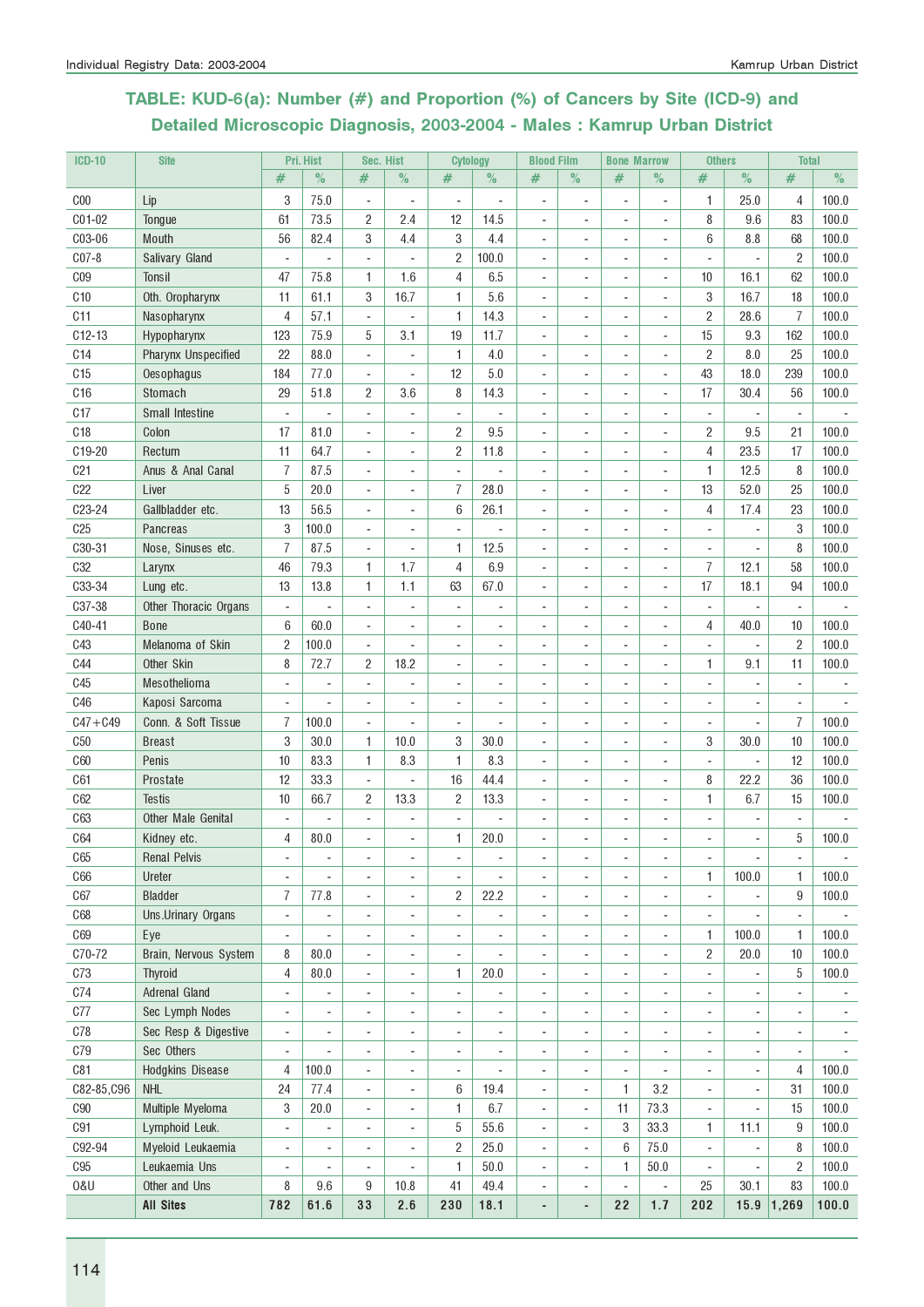# TABLE: KUD-6(a): Number (#) and Proportion (%) of Cancers by Site (ICD-9) and Detailed Microscopic Diagnosis, 2003-2004 - Males : Kamrup Urban District

| $ICD-10$        | <b>Site</b>                |                          | Pri. Hist                | Sec. Hist                |                          | <b>Cytology</b>          |                | <b>Blood Film</b>        |                          | <b>Bone Marrow</b>           |                          | <b>Others</b>            |                          | <b>Total</b>             |                |
|-----------------|----------------------------|--------------------------|--------------------------|--------------------------|--------------------------|--------------------------|----------------|--------------------------|--------------------------|------------------------------|--------------------------|--------------------------|--------------------------|--------------------------|----------------|
|                 |                            | #                        | $\%$                     | #                        | $\%$                     | #                        | $\%$           | #                        | $\%$                     | #                            | $\%$                     | #                        | $\%$                     | #                        | $\%$           |
| C <sub>00</sub> | Lip                        | 3                        | 75.0                     | $\blacksquare$           | $\overline{\phantom{a}}$ | $\blacksquare$           | ÷              |                          |                          |                              | $\overline{\phantom{a}}$ | 1                        | 25.0                     | 4                        | 100.0          |
| C01-02          | Tongue                     | 61                       | 73.5                     | 2                        | 2.4                      | 12                       | 14.5           | $\overline{\phantom{a}}$ | $\blacksquare$           |                              | ÷,                       | 8                        | 9.6                      | 83                       | 100.0          |
| C03-06          | <b>Mouth</b>               | 56                       | 82.4                     | 3                        | 4.4                      | 3                        | 4.4            | $\overline{\phantom{a}}$ | $\blacksquare$           | ٠                            | $\overline{\phantom{a}}$ | 6                        | 8.8                      | 68                       | 100.0          |
| $C07-8$         | Salivary Gland             | ÷,                       |                          | $\blacksquare$           | ä,                       | $\overline{2}$           | 100.0          | $\overline{\phantom{a}}$ |                          |                              | ÷,                       | ÷,                       | ÷,                       | $\overline{2}$           | 100.0          |
| C <sub>09</sub> | Tonsil                     | 47                       | 75.8                     | 1                        | 1.6                      | 4                        | 6.5            |                          |                          |                              | ÷,                       | 10                       | 16.1                     | 62                       | 100.0          |
| C <sub>10</sub> | Oth. Oropharynx            | 11                       | 61.1                     | 3                        | 16.7                     | 1                        | 5.6            |                          |                          |                              | ÷,                       | 3                        | 16.7                     | 18                       | 100.0          |
| C11             | Nasopharynx                | 4                        | 57.1                     | $\blacksquare$           | $\overline{a}$           | 1                        | 14.3           |                          |                          |                              | ÷,                       | $\overline{2}$           | 28.6                     | $\overline{1}$           | 100.0          |
| $C12-13$        | Hypopharynx                | 123                      | 75.9                     | 5                        | 3.1                      | 19                       | 11.7           | $\blacksquare$           | $\blacksquare$           | ٠                            | $\overline{\phantom{a}}$ | 15                       | 9.3                      | 162                      | 100.0          |
| C14             | <b>Pharynx Unspecified</b> | 22                       | 88.0                     | ÷,                       | ÷,                       | 1                        | 4.0            | $\blacksquare$           | $\blacksquare$           | ٠                            | $\overline{\phantom{a}}$ | $\overline{c}$           | 8.0                      | 25                       | 100.0          |
| C15             | Oesophagus                 | 184                      | 77.0                     | $\blacksquare$           | ÷,                       | 12                       | 5.0            | ÷.                       | $\sim$                   | ÷                            | $\blacksquare$           | 43                       | 18.0                     | 239                      | 100.0          |
| C16             | Stomach                    | 29                       | 51.8                     | 2                        | 3.6                      | 8                        | 14.3           |                          |                          |                              | $\overline{\phantom{a}}$ | 17                       | 30.4                     | 56                       | 100.0          |
| C17             | Small Intestine            |                          |                          | L.                       | $\overline{\phantom{a}}$ | L.                       |                |                          |                          |                              | ÷,                       | L,                       | ÷,                       | L.                       |                |
| C18             | Colon                      | 17                       | 81.0                     | $\overline{\phantom{a}}$ | ÷,                       | $\overline{2}$           | 9.5            |                          |                          |                              | ä,                       | $\overline{c}$           | 9.5                      | 21                       | 100.0          |
| C19-20          | Rectum                     | 11                       | 64.7                     | $\blacksquare$           | ÷,                       | $\sqrt{2}$               | 11.8           |                          |                          |                              | $\overline{\phantom{a}}$ | 4                        | 23.5                     | 17                       | 100.0          |
| C <sub>21</sub> | Anus & Anal Canal          | $\overline{1}$           | 87.5                     | ÷,                       | ÷,                       | $\overline{a}$           |                |                          |                          |                              | $\overline{\phantom{a}}$ | $\mathbf{1}$             | 12.5                     | 8                        | 100.0          |
| C22             | Liver                      | 5                        | 20.0                     | ÷,                       | ÷,                       | $\overline{7}$           | 28.0           | $\overline{\phantom{a}}$ | $\sim$                   | ٠                            | $\overline{\phantom{a}}$ | 13                       | 52.0                     | 25                       | 100.0          |
| C23-24          | Gallbladder etc.           | 13                       | 56.5                     | $\blacksquare$           | ÷,                       | 6                        | 26.1           | $\overline{\phantom{a}}$ |                          |                              | ÷,                       | $\overline{4}$           | 17.4                     | 23                       | 100.0          |
| C <sub>25</sub> | Pancreas                   | 3                        | 100.0                    | ÷,                       | ÷,                       |                          |                |                          |                          |                              | $\overline{a}$           |                          |                          | 3                        | 100.0          |
| C30-31          | Nose, Sinuses etc.         | $\overline{I}$           | 87.5                     | $\overline{a}$           | ÷,                       | 1                        | 12.5           |                          |                          |                              | ÷                        |                          |                          | 8                        | 100.0          |
| <b>C32</b>      | Larynx                     | 46                       | 79.3                     | 1                        | 1.7                      | 4                        | 6.9            |                          |                          |                              | $\overline{a}$           | $\overline{I}$           | 12.1                     | 58                       | 100.0          |
| C33-34          | Lung etc.                  | 13                       | 13.8                     | 1                        | 1.1                      | 63                       | 67.0           |                          |                          | $\qquad \qquad \blacksquare$ | $\overline{\phantom{a}}$ | 17                       | 18.1                     | 94                       | 100.0          |
| C37-38          | Other Thoracic Organs      | $\blacksquare$           |                          | ÷,                       | ÷,                       | ÷.                       | ٠              | $\overline{\phantom{a}}$ |                          | ٠                            | ä,                       | $\overline{\phantom{a}}$ | $\overline{\phantom{a}}$ | $\blacksquare$           |                |
| C40-41          | <b>Bone</b>                | 6                        | 60.0                     | $\blacksquare$           | $\overline{a}$           | ٠                        | ÷              |                          |                          | ٠                            | ä,                       | 4                        | 40.0                     | 10                       | 100.0          |
| C43             | Melanoma of Skin           | $\overline{c}$           | 100.0                    | ÷,                       | ÷,                       | ä,                       | ä,             |                          |                          |                              | ÷,                       | ÷,                       | $\overline{\phantom{a}}$ | $\overline{c}$           | 100.0          |
| <b>C44</b>      | Other Skin                 | 8                        | 72.7                     | $\overline{2}$           | 18.2                     |                          |                |                          |                          |                              | ä,                       | 1                        | 9.1                      | 11                       | 100.0          |
| C45             | Mesothelioma               | $\sim$                   | $\overline{\phantom{a}}$ | ÷,                       | ÷,                       | ä,                       | ٠              |                          |                          |                              | ä,                       | ÷,                       | ä,                       |                          |                |
| C46             | Kaposi Sarcoma             |                          | $\blacksquare$           | ÷,                       | ÷,                       | ÷,                       | ÷              |                          |                          |                              | $\overline{a}$           | ÷,                       | ٠                        |                          |                |
| $C47 + C49$     | Conn. & Soft Tissue        | 7                        | 100.0                    | ÷,                       | ä,                       | ÷,                       | ÷,             |                          |                          |                              | ä,                       | ÷,                       | ٠                        | $\overline{I}$           | 100.0          |
| C50             | <b>Breast</b>              | 3                        | 30.0                     | 1                        | 10.0                     | 3                        | 30.0           | $\overline{\phantom{a}}$ | ÷.                       | ٠                            | ä,                       | 3                        | 30.0                     | 10                       | 100.0          |
| <b>C60</b>      | Penis                      | 10                       | 83.3                     | 1                        | 8.3                      | $\mathbf{1}$             | 8.3            | ÷                        | $\sim$                   | ٠                            | ä,                       | ÷.                       | ÷,                       | 12                       | 100.0          |
| C61             | Prostate                   | 12                       | 33.3                     | ÷,                       | ä,                       | 16                       | 44.4           |                          |                          |                              | ä,                       | 8                        | 22.2                     | 36                       | 100.0          |
| C62             | <b>Testis</b>              | 10                       | 66.7                     | $\overline{2}$           | 13.3                     | $\overline{2}$           | 13.3           |                          |                          |                              | ÷,                       | $\mathbf{1}$             | 6.7                      | 15                       | 100.0          |
| C63             | Other Male Genital         |                          |                          | ÷                        |                          |                          |                |                          |                          |                              | $\overline{a}$           |                          |                          |                          |                |
| C64             | Kidney etc.                | 4                        | 80.0                     |                          | ÷,                       | 1                        | 20.0           |                          |                          |                              |                          |                          | $\blacksquare$           | 5                        | 100.0          |
| C65             | <b>Renal Pelvis</b>        | $\overline{\phantom{a}}$ | $\overline{\phantom{a}}$ | $\overline{\phantom{a}}$ | ÷,                       | $\overline{\phantom{a}}$ | $\overline{a}$ | $\overline{a}$           | $\overline{\phantom{a}}$ | ٠                            | $\overline{\phantom{a}}$ | $\overline{\phantom{a}}$ | $\overline{\phantom{a}}$ | $\overline{\phantom{a}}$ |                |
| <b>C66</b>      | Ureter                     | $\overline{\phantom{a}}$ |                          | ÷                        | $\blacksquare$           | ÷.                       |                |                          |                          |                              | ä,                       | 1                        | 100.0                    | $\mathbf{1}$             | 100.0          |
| C67             | <b>Bladder</b>             | $\overline{I}$           | 77.8                     | ÷                        | ÷,                       | $\overline{c}$           | 22.2           |                          |                          |                              | ÷,                       | $\blacksquare$           | $\overline{a}$           | 9                        | 100.0          |
| C68             | Uns.Urinary Organs         | $\overline{\phantom{a}}$ |                          | ÷                        | ä,                       | ÷,                       | ÷,             |                          |                          |                              | ÷,                       | ÷,                       |                          | $\sim$                   |                |
| C69             | Eye                        | $\overline{a}$           |                          | $\overline{a}$           | ÷,                       | ÷                        | ÷              | $\blacksquare$           |                          |                              | ٠                        | 1                        | 100.0                    | 1                        | 100.0          |
| C70-72          | Brain, Nervous System      | 8                        | 80.0                     | $\blacksquare$           | ÷,                       | ÷                        | ÷,             |                          |                          | ٠                            | ٠                        | 2                        | 20.0                     | 10                       | 100.0          |
| C73             | <b>Thyroid</b>             | 4                        | 80.0                     | $\overline{\phantom{a}}$ | ÷,                       | 1                        | 20.0           | $\overline{\phantom{a}}$ | $\overline{\phantom{a}}$ | ٠                            | ÷,                       | ÷,                       | ÷,                       | 5                        | 100.0          |
| C74             | Adrenal Gland              | $\blacksquare$           | $\blacksquare$           | ÷,                       | ÷,                       | ÷,                       | ÷,             | $\overline{\phantom{a}}$ | $\sim$                   | ٠                            | ÷,                       | $\overline{\phantom{a}}$ | $\overline{\phantom{a}}$ | $\blacksquare$           |                |
| C77             | Sec Lymph Nodes            | $\sim$                   | $\overline{\phantom{a}}$ | ä,                       | $\blacksquare$           | ä,                       | ÷.             | ÷                        | $\sim$                   | ÷.                           | ä,                       | $\sim$                   | ÷.                       | $\overline{\phantom{a}}$ | $\blacksquare$ |
| C78             | Sec Resp & Digestive       | $\overline{\phantom{a}}$ | $\blacksquare$           | ÷                        | ä,                       | ÷,                       | $\frac{1}{2}$  | $\overline{\phantom{a}}$ | $\sim$                   |                              | ÷,                       | ä,                       | ÷,                       | $\overline{\phantom{a}}$ |                |
| C79             | Sec Others                 | $\overline{\phantom{a}}$ |                          | ÷                        | ÷,                       | ÷.                       | ÷,             |                          |                          |                              | ÷,                       |                          |                          |                          |                |
| C81             | Hodgkins Disease           | 4                        | 100.0                    | $\overline{\phantom{0}}$ | $\overline{a}$           | ÷,                       |                |                          |                          | ÷                            | ÷                        | $\overline{a}$           | ٠                        | 4                        | 100.0          |
| C82-85, C96     | <b>NHL</b>                 | 24                       | 77.4                     | $\blacksquare$           | $\overline{\phantom{a}}$ | 6                        | 19.4           |                          | $\overline{\phantom{a}}$ | 1                            | 3.2                      | $\overline{a}$           | $\overline{\phantom{a}}$ | 31                       | 100.0          |
| C90             | Multiple Myeloma           | 3                        | 20.0                     | $\overline{\phantom{a}}$ | $\overline{\phantom{a}}$ | 1                        | 6.7            | ÷,                       | $\overline{\phantom{a}}$ | 11                           | 73.3                     | $\overline{\phantom{a}}$ | ÷,                       | 15                       | 100.0          |
| C <sub>91</sub> | Lymphoid Leuk.             | $\overline{\phantom{a}}$ |                          | $\overline{a}$           | $\overline{a}$           | 5                        | 55.6           | $\overline{\phantom{a}}$ | $\blacksquare$           | 3                            | 33.3                     | 1                        | 11.1                     | 9                        | 100.0          |
| C92-94          | Myeloid Leukaemia          | $\overline{\phantom{a}}$ |                          | ٠                        | ÷,                       | $\overline{c}$           | 25.0           | $\blacksquare$           | $\overline{\phantom{a}}$ | 6                            | 75.0                     | ÷,                       | ÷,                       | 8                        | 100.0          |
| C95             | Leukaemia Uns              | $\overline{\phantom{a}}$ |                          | $\overline{\phantom{a}}$ |                          | 1                        | $50.0\,$       | ÷,                       | $\overline{\phantom{a}}$ | 1                            | 50.0                     | ÷,                       | $\overline{a}$           | $\overline{c}$           | 100.0          |
| 0&U             | Other and Uns              | 8                        | 9.6                      | 9                        | 10.8                     | 41                       | 49.4           | ÷,                       | $\overline{a}$           | ÷,                           | $\overline{a}$           | 25                       | 30.1                     | 83                       | 100.0          |
|                 | <b>All Sites</b>           | 782                      | 61.6                     | 33                       | 2.6                      | 230                      | 18.1           | $\overline{\phantom{a}}$ | $\overline{\phantom{a}}$ | 22                           | 1.7                      | 202                      | 15.9                     | 1,269                    | 100.0          |
|                 |                            |                          |                          |                          |                          |                          |                |                          |                          |                              |                          |                          |                          |                          |                |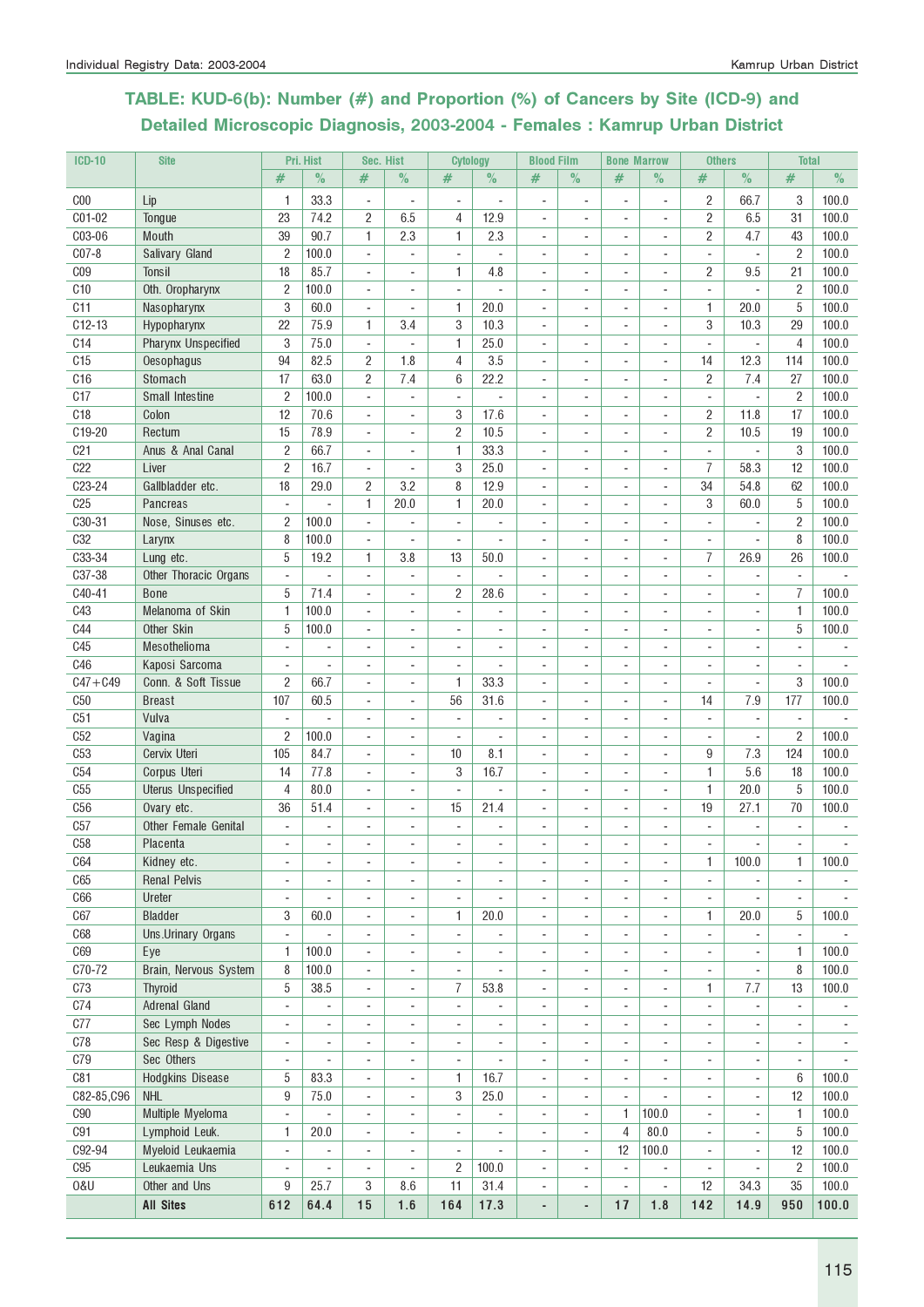# TABLE: KUD-6(b): Number (#) and Proportion (%) of Cancers by Site (ICD-9) and Detailed Microscopic Diagnosis, 2003-2004 - Females : Kamrup Urban District

| <b>ICD-10</b>   | <b>Site</b>                |                          | Pri. Hist                |                          | Sec. Hist                    |                          | <b>Cytology</b> |                              | <b>Blood Film</b>        |                              | <b>Bone Marrow</b>       | <b>Others</b>            |                | <b>Total</b>             |                          |
|-----------------|----------------------------|--------------------------|--------------------------|--------------------------|------------------------------|--------------------------|-----------------|------------------------------|--------------------------|------------------------------|--------------------------|--------------------------|----------------|--------------------------|--------------------------|
|                 |                            | #                        | $\%$                     | #                        | $\%$                         | #                        | $\%$            | #                            | $\%$                     | #                            | $\%$                     | #                        | $\%$           | #                        | $\frac{0}{2}$            |
| C <sub>00</sub> | Lip                        | 1                        | 33.3                     | ÷,                       | L,                           | ÷,                       |                 |                              | ÷.                       |                              | $\blacksquare$           | $\overline{2}$           | 66.7           | 3                        | 100.0                    |
| C01-02          | Tongue                     | 23                       | 74.2                     | $\overline{2}$           | 6.5                          | 4                        | 12.9            | ÷,                           |                          |                              |                          | $\overline{c}$           | 6.5            | 31                       | 100.0                    |
| C03-06          | Mouth                      | 39                       | 90.7                     | 1                        | 2.3                          | 1                        | 2.3             |                              |                          |                              | $\overline{a}$           | $\overline{2}$           | 4.7            | 43                       | 100.0                    |
| $C07-8$         | Salivary Gland             | $\overline{2}$           | 100.0                    | $\blacksquare$           | $\overline{\phantom{a}}$     | ÷.                       | L.              |                              |                          |                              | $\blacksquare$           | $\blacksquare$           | $\blacksquare$ | $\overline{2}$           | 100.0                    |
| C <sub>09</sub> | <b>Tonsil</b>              | 18                       | 85.7                     | ÷,                       | ÷,                           | 1                        | 4.8             | ä,                           |                          |                              |                          | $\overline{2}$           | 9.5            | 21                       | 100.0                    |
|                 |                            |                          |                          |                          |                              |                          |                 |                              |                          |                              |                          |                          |                |                          |                          |
| C <sub>10</sub> | Oth. Oropharynx            | $\overline{c}$           | 100.0                    | $\overline{a}$           | $\overline{\phantom{a}}$     |                          |                 |                              |                          |                              |                          | $\overline{\phantom{a}}$ |                | 2                        | 100.0                    |
| C <sub>11</sub> | Nasopharynx                | 3                        | 60.0                     | $\overline{a}$           | ÷                            | 1                        | 20.0            |                              |                          |                              |                          | $\mathbf{1}$             | 20.0           | 5                        | 100.0                    |
| $C12-13$        | Hypopharynx                | 22                       | 75.9                     | 1                        | 3.4                          | 3                        | 10.3            | $\blacksquare$               | ä,                       |                              | ÷,                       | 3                        | 10.3           | 29                       | 100.0                    |
| C14             | <b>Pharynx Unspecified</b> | 3                        | 75.0                     | ÷,                       | $\blacksquare$               | 1                        | 25.0            | $\blacksquare$               | $\sim$                   | ÷                            | $\overline{\phantom{a}}$ | $\blacksquare$           | ÷,             | $\overline{4}$           | 100.0                    |
| C <sub>15</sub> | Oesophagus                 | 94                       | 82.5                     | $\overline{c}$           | 1.8                          | 4                        | 3.5             | ä,                           | ÷.                       | ÷                            | $\overline{\phantom{a}}$ | 14                       | 12.3           | 114                      | 100.0                    |
| C16             | Stomach                    | 17                       | 63.0                     | $\overline{c}$           | 7.4                          | 6                        | 22.2            | ä,                           |                          |                              | ÷,                       | $\overline{2}$           | 7.4            | 27                       | 100.0                    |
| C17             | Small Intestine            | $\overline{2}$           | 100.0                    | $\blacksquare$           | $\overline{\phantom{a}}$     | $\overline{\phantom{a}}$ |                 |                              |                          |                              | $\overline{\phantom{a}}$ | $\overline{\phantom{a}}$ |                | $\overline{2}$           | 100.0                    |
| C <sub>18</sub> | Colon                      | 12                       | 70.6                     | $\blacksquare$           | $\blacksquare$               | 3                        | 17.6            | ä,                           |                          |                              | $\overline{\phantom{a}}$ | $\overline{2}$           | 11.8           | 17                       | 100.0                    |
| C19-20          | Rectum                     | 15                       | 78.9                     | ÷,                       | ä,                           | $\overline{2}$           | 10.5            | ä,                           |                          |                              | $\overline{\phantom{a}}$ | $\mathbf{2}$             | 10.5           | 19                       | 100.0                    |
| C <sub>21</sub> | Anus & Anal Canal          | $\overline{2}$           | 66.7                     | ÷,                       | $\blacksquare$               | 1                        | 33.3            |                              |                          |                              | $\overline{a}$           | $\sim$                   | ä,             | 3                        | 100.0                    |
| C22             | Liver                      | $\overline{2}$           | 16.7                     | ÷,                       | $\blacksquare$               | 3                        | 25.0            | ÷.                           |                          |                              | $\blacksquare$           | $\overline{7}$           | 58.3           | 12                       | 100.0                    |
| C23-24          | Gallbladder etc.           | 18                       | 29.0                     | $\overline{c}$           | 3.2                          | 8                        | 12.9            | ä,                           |                          |                              | ÷,                       | 34                       | 54.8           | 62                       | 100.0                    |
| C <sub>25</sub> | Pancreas                   | $\sim$                   |                          | 1                        | 20.0                         | 1                        | 20.0            | ä,                           |                          |                              | $\overline{a}$           | 3                        | 60.0           | 5                        | 100.0                    |
| C30-31          | Nose, Sinuses etc.         | 2                        | 100.0                    | ÷,                       |                              |                          |                 |                              |                          |                              |                          |                          |                | $\overline{2}$           | 100.0                    |
| C <sub>32</sub> | Larynx                     | 8                        | 100.0                    | ÷,                       | ÷,                           | $\blacksquare$           |                 | ÷.                           |                          |                              |                          | ٠                        |                | 8                        | 100.0                    |
| C33-34          | Lung etc.                  | 5                        | 19.2                     | 1                        | 3.8                          | 13                       | 50.0            | $\blacksquare$               | $\sim$                   |                              | $\overline{\phantom{a}}$ | $\overline{7}$           | 26.9           | 26                       | 100.0                    |
| C37-38          | Other Thoracic Organs      | $\overline{\phantom{a}}$ | L.                       | $\blacksquare$           | $\blacksquare$               | $\overline{a}$           | L.              | ÷.                           | ÷.                       | ÷.                           | $\blacksquare$           | ÷                        | ä,             | $\overline{a}$           |                          |
| C40-41          | <b>Bone</b>                | 5                        | 71.4                     | ÷,                       | ÷,                           | $\overline{c}$           | 28.6            | ä,                           |                          |                              | $\blacksquare$           | $\overline{\phantom{a}}$ | ÷.             | 7                        | 100.0                    |
| C43             | Melanoma of Skin           | 1                        | 100.0                    | $\overline{\phantom{a}}$ | $\overline{\phantom{a}}$     | $\overline{\phantom{a}}$ |                 |                              |                          |                              | $\overline{\phantom{a}}$ | $\overline{\phantom{a}}$ | $\overline{a}$ | $\mathbf{1}$             | 100.0                    |
| <b>C44</b>      | Other Skin                 | 5                        | 100.0                    | ÷,                       | $\blacksquare$               |                          | ٠               |                              |                          |                              |                          | ÷.                       | ٠              | 5                        | 100.0                    |
| C45             | Mesothelioma               | $\blacksquare$           | ×.                       | ÷,                       | ä,                           |                          |                 |                              |                          |                              |                          | ÷                        |                | ÷.                       |                          |
| C46             | Kaposi Sarcoma             | $\overline{\phantom{a}}$ |                          | $\overline{a}$           | $\overline{a}$               | ÷,                       |                 |                              |                          |                              |                          | $\overline{\phantom{a}}$ |                | $\blacksquare$           |                          |
| $C47 + C49$     | Conn. & Soft Tissue        | 2                        | 66.7                     | $\overline{\phantom{a}}$ | $\blacksquare$               | 1                        | 33.3            |                              |                          |                              | $\overline{\phantom{a}}$ | $\overline{\phantom{a}}$ | ٠              | 3                        | 100.0                    |
| C50             | <b>Breast</b>              | 107                      | 60.5                     | ÷,                       | ä,                           | 56                       | 31.6            |                              |                          |                              | $\overline{\phantom{a}}$ | 14                       | 7.9            | 177                      | 100.0                    |
| C51             | Vulva                      | $\overline{\phantom{a}}$ |                          | $\overline{a}$           | $\overline{a}$               | $\overline{\phantom{a}}$ |                 |                              |                          |                              |                          | $\overline{\phantom{a}}$ |                |                          |                          |
| C52             | Vagina                     | 2                        | 100.0                    | ÷,                       | $\blacksquare$               | ÷,                       |                 |                              |                          |                              |                          | $\overline{\phantom{a}}$ | ä,             | $\overline{2}$           | 100.0                    |
| C53             | Cervix Uteri               | 105                      | 84.7                     | ÷,                       | ä,                           | 10                       | 8.1             |                              |                          |                              | $\overline{\phantom{a}}$ | 9                        | 7.3            | 124                      | 100.0                    |
| C54             | Corpus Uteri               | 14                       | 77.8                     | $\overline{\phantom{a}}$ | $\overline{\phantom{a}}$     | 3                        | 16.7            | $\overline{\phantom{a}}$     | ä,                       |                              | $\overline{\phantom{a}}$ | $\mathbf{1}$             | 5.6            | 18                       | 100.0                    |
| C55             |                            | $\overline{4}$           | 80.0                     | ÷,                       | ä,                           | ÷,                       | L               | ÷.                           | ÷.                       | ÷                            | $\sim$                   | $\mathbf{1}$             | 20.0           | 5                        | 100.0                    |
| C56             | <b>Uterus Unspecified</b>  |                          |                          |                          |                              |                          |                 |                              |                          |                              |                          |                          |                |                          |                          |
|                 | Ovary etc.                 | 36                       | 51.4                     | ÷,                       | $\mathbf{r}$                 | 15                       | 21.4            | $\blacksquare$               |                          |                              | $\blacksquare$           | 19                       | 27.1           | 70                       | 100.0                    |
| C57             | Other Female Genital       | $\blacksquare$           | $\overline{\phantom{a}}$ | ÷,                       | ÷,                           | ÷,                       |                 | ä,                           |                          | $\sim$                       | ÷,                       | $\overline{\phantom{a}}$ | ÷,             | $\overline{\phantom{a}}$ |                          |
| C58             | Placenta                   |                          |                          |                          |                              |                          |                 |                              |                          |                              |                          |                          |                |                          |                          |
| C64             | Kidney etc.                | $\overline{a}$           | $\blacksquare$           | $\overline{a}$           | $\overline{a}$               |                          | ٠               | $\blacksquare$               | ٠                        | $\overline{\phantom{a}}$     | $\overline{\phantom{a}}$ | 1                        | 100.0          | 1                        | 100.0                    |
| C65             | <b>Renal Pelvis</b>        | $\overline{\phantom{a}}$ |                          | ÷,                       | ÷,                           | ÷,                       | ä,              | ÷,                           | $\overline{a}$           |                              | $\blacksquare$           | $\bar{\phantom{a}}$      | ÷              | $\bar{\phantom{a}}$      |                          |
| C66             | Ureter                     | ÷,                       |                          | ÷,                       | ÷,                           | ÷,                       |                 |                              |                          |                              | ÷,                       | $\overline{\phantom{a}}$ | ÷              | $\blacksquare$           |                          |
| C67             | <b>Bladder</b>             | 3                        | 60.0                     | $\overline{a}$           | ÷                            | 1                        | 20.0            | $\overline{a}$               | ٠                        |                              | $\overline{a}$           | 1                        | 20.0           | 5                        | 100.0                    |
| C68             | Uns.Urinary Organs         | $\overline{\phantom{a}}$ | $\blacksquare$           | $\overline{a}$           | $\overline{a}$               | $\overline{\phantom{a}}$ | ÷,              | $\overline{\phantom{a}}$     | $\blacksquare$           | $\blacksquare$               | $\overline{a}$           | $\overline{\phantom{a}}$ | ÷,             | $\overline{\phantom{a}}$ |                          |
| C69             | Eye                        | 1                        | 100.0                    | ÷,                       | ä,                           | $\blacksquare$           |                 | $\blacksquare$               | $\blacksquare$           | $\sim$                       | $\sim$                   | $\overline{\phantom{a}}$ |                | $\mathbf{1}$             | 100.0                    |
| C70-72          | Brain, Nervous System      | 8                        | 100.0                    | ÷,                       | $\mathbf{r}$                 | ÷,                       |                 | ÷,                           | ä,                       | $\sim$                       | ÷,                       | $\overline{\phantom{a}}$ | ä,             | 8                        | 100.0                    |
| C73             | <b>Thyroid</b>             | 5                        | 38.5                     | $\overline{a}$           | $\qquad \qquad \blacksquare$ | 7                        | 53.8            | $\overline{a}$               | $\overline{\phantom{a}}$ | $\overline{\phantom{a}}$     |                          | 1                        | 7.7            | 13                       | 100.0                    |
| C74             | <b>Adrenal Gland</b>       | $\overline{a}$           |                          | $\overline{a}$           | $\overline{a}$               | $\blacksquare$           |                 |                              |                          | $\qquad \qquad \blacksquare$ | $\overline{a}$           | ÷,                       | ÷              | $\overline{\phantom{a}}$ |                          |
| C77             | Sec Lymph Nodes            | ÷,                       | $\sim$                   | ÷,                       | $\overline{\phantom{a}}$     | ÷,                       | ÷,              | ÷,                           | ÷,                       | $\sim$                       | $\overline{\phantom{a}}$ | $\overline{\phantom{a}}$ |                | $\blacksquare$           |                          |
| C78             | Sec Resp & Digestive       | $\overline{\phantom{a}}$ | $\overline{\phantom{a}}$ | ÷,                       | ÷,                           | $\overline{\phantom{a}}$ | ÷,              | ä,                           | $\overline{\phantom{a}}$ | $\overline{\phantom{a}}$     | $\overline{\phantom{a}}$ | $\overline{\phantom{a}}$ | ÷,             | $\overline{\phantom{a}}$ | $\overline{\phantom{a}}$ |
| <b>C79</b>      | Sec Others                 | $\blacksquare$           | $\sim$                   | $\overline{a}$           | $\overline{\phantom{a}}$     | $\overline{\phantom{a}}$ | ä,              | $\sim$                       | $\overline{\phantom{a}}$ | $\sim$                       | $\overline{\phantom{a}}$ | $\overline{\phantom{a}}$ | $\frac{1}{2}$  | $\blacksquare$           | ٠                        |
| C81             | Hodgkins Disease           | 5                        | 83.3                     | $\blacksquare$           | $\overline{\phantom{a}}$     | 1                        | 16.7            | $\overline{\phantom{a}}$     | $\overline{\phantom{a}}$ | $\overline{\phantom{a}}$     | ÷,                       | $\overline{\phantom{a}}$ | $\frac{1}{2}$  | 6                        | 100.0                    |
| C82-85, C96     | <b>NHL</b>                 | 9                        | 75.0                     | $\frac{1}{2}$            | $\overline{\phantom{a}}$     | 3                        | 25.0            | $\overline{\phantom{a}}$     | $\overline{\phantom{a}}$ | $\overline{\phantom{a}}$     |                          | $\overline{\phantom{a}}$ | $\frac{1}{2}$  | 12                       | 100.0                    |
| ${\rm C}90$     | Multiple Myeloma           | $\overline{\phantom{a}}$ | $\overline{\phantom{a}}$ | $\overline{\phantom{a}}$ | $\overline{\phantom{a}}$     | $\overline{\phantom{a}}$ | ÷               | $\overline{a}$               | $\overline{\phantom{a}}$ | 1                            | 100.0                    | $\overline{\phantom{a}}$ | ٠              | 1                        | 100.0                    |
| C91             | Lymphoid Leuk.             | 1                        | 20.0                     | $\blacksquare$           | $\overline{\phantom{a}}$     | $\blacksquare$           | L.              | $\sim$                       | $\overline{\phantom{a}}$ | 4                            | 80.0                     | $\blacksquare$           | ÷.             | $5\,$                    | 100.0                    |
| C92-94          | Myeloid Leukaemia          | $\blacksquare$           | $\overline{\phantom{a}}$ | ÷,                       | ÷,                           | ÷,                       | ÷,              | $\overline{\phantom{a}}$     | $\blacksquare$           | 12                           | 100.0                    | $\overline{\phantom{a}}$ | ÷              | 12                       | 100.0                    |
| C95             | Leukaemia Uns              | $\overline{\phantom{a}}$ | $\overline{\phantom{a}}$ | ÷,                       | ÷,                           | $\overline{2}$           | 100.0           | ä,                           |                          | $\blacksquare$               | ÷,                       | $\overline{\phantom{a}}$ | ÷,             | $\overline{2}$           | 100.0                    |
| 0&U             | Other and Uns              | 9                        | 25.7                     | 3                        | 8.6                          | 11                       | 31.4            | $\overline{\phantom{a}}$     | $\overline{\phantom{a}}$ | $\overline{\phantom{a}}$     | ÷,                       | 12                       | 34.3           | 35                       | 100.0                    |
|                 |                            |                          |                          |                          |                              |                          |                 |                              |                          |                              |                          |                          |                |                          |                          |
|                 | <b>All Sites</b>           | 612                      | 64.4                     | 15                       | 1.6                          | 164                      | 17.3            | $\qquad \qquad \blacksquare$ | $\overline{\phantom{a}}$ | 17                           | 1.8                      | 142                      | 14.9           | 950                      | 100.0                    |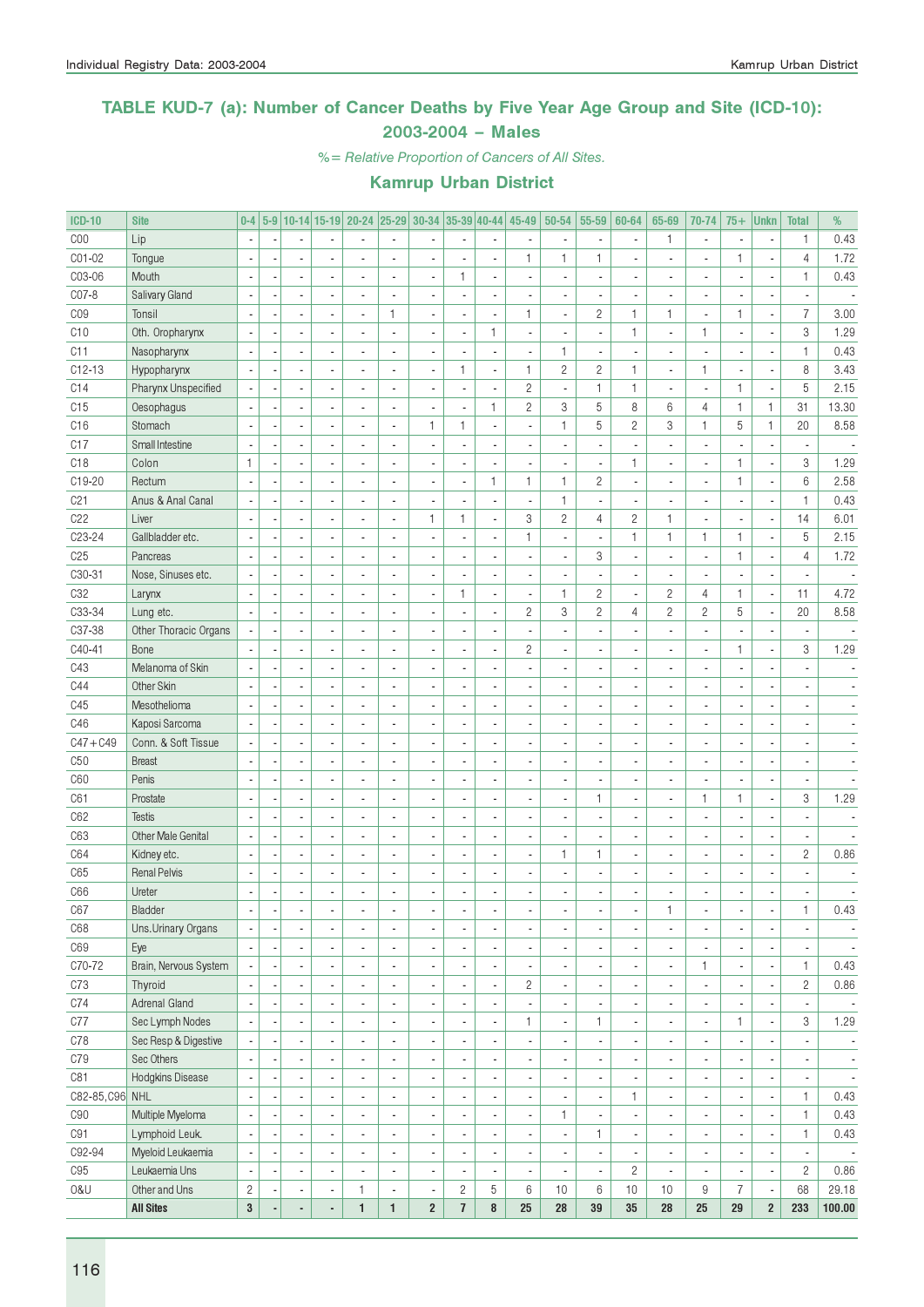### TABLE KUD-7 (a): Number of Cancer Deaths by Five Year Age Group and Site (ICD-10): 2003-2004 – Males

%= Relative Proportion of Cancers of All Sites.

| <b>ICD-10</b>   | <b>Site</b>               |                |                          |                          | 5-9 10-14 15-19 20-24 25-29 30-34 35-39 40-44 |                          |                          |                         |                          | 45-49                    | 50-54        | 55-59                    | 60-64                    | 65-69                    | 70-74                    | $75+$          | <b>Unkn</b>              | <b>Total</b>             | %                        |
|-----------------|---------------------------|----------------|--------------------------|--------------------------|-----------------------------------------------|--------------------------|--------------------------|-------------------------|--------------------------|--------------------------|--------------|--------------------------|--------------------------|--------------------------|--------------------------|----------------|--------------------------|--------------------------|--------------------------|
| COO             | Lip                       |                |                          |                          |                                               |                          |                          |                         |                          |                          |              | $\overline{\phantom{a}}$ |                          | 1                        | $\blacksquare$           |                |                          | $\mathbf{1}$             | 0.43                     |
| C01-02          | Tongue                    |                |                          |                          |                                               |                          |                          |                         | Ĭ.                       | 1                        | 1            | $\mathbf{1}$             |                          |                          | ä,                       | 1              |                          | $\overline{4}$           | 1.72                     |
| C03-06          | Mouth                     |                | $\blacksquare$           |                          |                                               |                          | $\blacksquare$           | $\mathbf{1}$            | $\blacksquare$           |                          |              | $\overline{\phantom{a}}$ |                          |                          | $\overline{a}$           |                | ×,                       | $\mathbf{1}$             | 0.43                     |
| C07-8           | Salivary Gland            |                |                          |                          |                                               |                          |                          |                         | $\blacksquare$           |                          |              | $\overline{\phantom{a}}$ |                          |                          | ä,                       |                | ä,                       |                          |                          |
| CO <sub>9</sub> | Tonsil                    |                |                          |                          | ä,                                            | $\mathbf{1}$             | Ĭ.                       |                         | $\overline{\phantom{a}}$ | $\mathbf{1}$             |              | $\sqrt{2}$               | $\mathbf{1}$             | 1                        | $\overline{a}$           | 1              | ÷,                       | $\overline{7}$           | 3.00                     |
| C10             | Oth. Oropharynx           |                |                          |                          |                                               |                          |                          |                         | $\mathbf{1}$             |                          |              | $\overline{\phantom{a}}$ | $\mathbf{1}$             | ä,                       | $\mathbf{1}$             |                | ÷,                       | $\,3$                    | 1.29                     |
| C11             | Nasopharynx               |                | ä,                       |                          |                                               |                          |                          |                         | $\overline{\phantom{a}}$ |                          | 1            | $\overline{\phantom{a}}$ |                          |                          |                          |                | ÷,                       | $\mathbf{1}$             | 0.43                     |
| $C12-13$        | Hypopharynx               |                | ä,                       |                          |                                               |                          | Ĭ.                       | $\mathbf{1}$            | $\blacksquare$           | $\mathbf{1}$             | $\mathbf{2}$ | $\overline{c}$           | $\mathbf{1}$             | ä,                       | $\mathbf{1}$             |                | ÷,                       | 8                        | 3.43                     |
| C14             | Pharynx Unspecified       |                | ä,                       |                          |                                               |                          |                          |                         | $\blacksquare$           | $\overline{c}$           |              | $\mathbf{1}$             | $\mathbf{1}$             |                          | Ĭ.                       | 1              | ÷,                       | 5                        | 2.15                     |
| C15             | Oesophagus                |                | ä,                       |                          | ä,                                            |                          | ÷,                       |                         | $\mathbf{1}$             | $\overline{c}$           | 3            | 5                        | 8                        | 6                        | 4                        | $\mathbf{1}$   | $\mathbf{1}$             | 31                       | 13.30                    |
| C16             | Stomach                   |                | ä,                       |                          | ä,                                            |                          | $\mathbf{1}$             | $\mathbf{1}$            | $\overline{\phantom{a}}$ |                          | 1            | 5                        | $\overline{c}$           | 3                        | $\mathbf{1}$             | 5              | $\mathbf{1}$             | 20                       | 8.58                     |
| C17             | Small Intestine           |                | $\overline{\phantom{a}}$ |                          | ä,                                            |                          |                          |                         | ä,                       |                          |              | ÷,                       |                          |                          | ÷,                       |                | ÷,                       |                          |                          |
| C <sub>18</sub> | Colon                     | $\mathbf{1}$   | ä,                       |                          | ä,                                            |                          |                          |                         | $\overline{\phantom{a}}$ |                          |              | $\overline{\phantom{a}}$ | $\mathbf{1}$             |                          | $\overline{a}$           | 1              | ÷,                       | $\,3$                    | 1.29                     |
| C19-20          | Rectum                    |                | ä,                       |                          | ä,                                            |                          | Ĭ.                       |                         | $\mathbf{1}$             | $\mathbf{1}$             | 1            | $\sqrt{2}$               |                          |                          | $\overline{a}$           | $\mathbf{1}$   | ÷,                       | $6\,$                    | 2.58                     |
| C <sub>21</sub> | Anus & Anal Canal         |                |                          |                          | ä,                                            |                          |                          |                         | $\overline{\phantom{a}}$ |                          | 1            | $\overline{\phantom{a}}$ |                          |                          | ä,                       |                | ÷,                       | $\mathbf{1}$             | 0.43                     |
| C22             | Liver                     |                |                          |                          |                                               |                          | $\mathbf{1}$             | $\mathbf{1}$            | $\overline{\phantom{a}}$ | 3                        | $\mathbf{2}$ | $\overline{4}$           | $\mathbf{2}$             | 1                        | ÷,                       |                | ÷,                       | 14                       | 6.01                     |
| C23-24          | Gallbladder etc.          |                |                          |                          |                                               |                          |                          |                         | ä,                       | 1                        |              | $\overline{\phantom{a}}$ | $\mathbf{1}$             | 1                        | $\mathbf{1}$             | $\mathbf{1}$   | ÷,                       | $\sqrt{5}$               | 2.15                     |
| C <sub>25</sub> | Pancreas                  |                |                          |                          |                                               |                          |                          |                         | Ĭ.                       |                          |              | 3                        |                          |                          | ä,                       | 1              | ÷,                       | $\overline{4}$           | 1.72                     |
| C30-31          |                           |                |                          |                          |                                               |                          |                          |                         |                          |                          |              |                          |                          |                          |                          |                |                          |                          |                          |
|                 | Nose, Sinuses etc.        |                |                          |                          |                                               |                          |                          |                         | $\blacksquare$           |                          |              | ÷,                       |                          |                          |                          |                | ä,                       |                          |                          |
| C32             | Larynx                    |                |                          |                          |                                               |                          | Ĭ.                       | $\mathbf{1}$            | $\blacksquare$           |                          | 1            | $\sqrt{2}$               |                          | $\overline{c}$           | $\overline{4}$           | 1              | ÷,                       | 11                       | 4.72                     |
| C33-34          | Lung etc.                 |                | ä,                       |                          |                                               |                          |                          |                         | $\overline{\phantom{a}}$ | $\overline{c}$           | 3            | $\overline{c}$           | $\overline{4}$           | $\overline{c}$           | $\overline{c}$           | 5              | ÷,                       | 20                       | 8.58                     |
| C37-38          | Other Thoracic Organs     |                | $\overline{\phantom{a}}$ |                          |                                               |                          |                          |                         | $\blacksquare$           |                          |              | ÷,                       |                          |                          |                          |                | ÷,                       |                          |                          |
| C40-41          | Bone                      |                | ä,                       |                          | ä,                                            |                          |                          |                         | $\overline{\phantom{a}}$ | $\overline{c}$           |              | ÷,                       |                          |                          | $\overline{\phantom{a}}$ | 1              | ÷,                       | $\,3$                    | 1.29                     |
| C43             | Melanoma of Skin          |                | ä,                       |                          | ä,                                            |                          |                          |                         | ä,                       |                          |              | $\blacksquare$           |                          |                          | ä,                       |                | ä,                       |                          |                          |
| C44             | Other Skin                |                | ä,                       |                          | ä,                                            |                          |                          |                         | $\blacksquare$           |                          |              | $\blacksquare$           |                          |                          | ä,                       |                |                          |                          |                          |
| C45             | Mesothelioma              |                | ä,                       |                          |                                               |                          |                          |                         | $\blacksquare$           |                          |              | $\blacksquare$           |                          |                          | ä,                       |                | ä,                       |                          |                          |
| C46             | Kaposi Sarcoma            |                | ä,                       |                          |                                               |                          |                          |                         | $\blacksquare$           |                          |              | $\blacksquare$           |                          |                          | ä,                       |                | ä,                       |                          |                          |
| $C47 + C49$     | Conn. & Soft Tissue       |                | ä,                       |                          |                                               |                          |                          |                         | $\blacksquare$           |                          |              | $\blacksquare$           |                          |                          | ä,                       |                | ä,                       |                          |                          |
| C50             | <b>Breast</b>             |                |                          |                          |                                               |                          |                          |                         | $\blacksquare$           |                          |              | $\blacksquare$           |                          |                          | ä,                       |                | ÷,                       |                          |                          |
| C60             | Penis                     |                |                          |                          |                                               |                          |                          |                         | $\blacksquare$           |                          |              | ÷,                       |                          |                          | ä,                       |                | ÷,                       |                          |                          |
| C61             | Prostate                  |                |                          |                          |                                               |                          |                          |                         | $\blacksquare$           |                          |              | $\mathbf{1}$             |                          |                          | $\mathbf{1}$             | 1              | ÷,                       | 3                        | 1.29                     |
| C62             | <b>Testis</b>             |                |                          |                          |                                               |                          |                          |                         | $\blacksquare$           |                          |              | $\overline{\phantom{a}}$ |                          |                          | ä,                       |                | ×,                       |                          |                          |
| C63             | <b>Other Male Genital</b> |                | ä,                       |                          | ä,                                            |                          |                          |                         | $\blacksquare$           |                          |              | $\overline{\phantom{a}}$ |                          |                          | $\overline{a}$           |                | ×,                       | $\overline{a}$           |                          |
| C64             | Kidney etc.               | ÷,             | ä,                       |                          | ä,                                            |                          |                          |                         | $\blacksquare$           |                          | 1            | $\mathbf{1}$             |                          |                          | ä,                       |                | ÷,                       | $\overline{c}$           | 0.86                     |
| C65             | <b>Renal Pelvis</b>       |                | ä,                       |                          |                                               |                          |                          |                         | ä,                       |                          |              | ÷,                       |                          |                          | ä,                       |                |                          |                          |                          |
| C66             | Ureter                    | ÷,             |                          |                          |                                               |                          |                          |                         | $\overline{a}$           |                          |              |                          |                          |                          |                          |                |                          |                          |                          |
| C67             | Bladder                   |                |                          |                          |                                               |                          |                          |                         |                          |                          |              |                          |                          | 1                        |                          |                |                          | 1                        | 0.43                     |
| C68             | Uns.Urinary Organs        | ÷,             | $\overline{\phantom{a}}$ |                          | ۰                                             | ä,                       | $\overline{\phantom{a}}$ |                         | $\overline{\phantom{a}}$ | $\overline{\phantom{a}}$ |              | $\overline{\phantom{a}}$ | ٠                        | ٠                        | $\blacksquare$           |                | $\overline{\phantom{a}}$ |                          | $\overline{\phantom{a}}$ |
| C69             | Eye                       |                | $\blacksquare$           |                          | ٠                                             | ä,                       | $\overline{\phantom{a}}$ |                         | $\overline{\phantom{a}}$ | $\overline{\phantom{a}}$ |              | $\overline{\phantom{a}}$ | ٠                        | ٠                        | $\blacksquare$           |                | ÷,                       | $\overline{\phantom{a}}$ | $\overline{\phantom{a}}$ |
| C70-72          | Brain, Nervous System     |                | ٠                        |                          | ٠                                             | ä,                       | $\overline{\phantom{a}}$ |                         | $\overline{\phantom{a}}$ |                          |              | $\overline{\phantom{a}}$ | ٠                        | ٠                        | $\mathbf{1}$             |                | ÷,                       | $\mathbf{1}$             | 0.43                     |
| C73             | Thyroid                   |                | ٠                        |                          | ٠                                             | ä,                       | $\overline{\phantom{a}}$ |                         | $\overline{\phantom{a}}$ | $\mathbf{2}$             |              | $\overline{\phantom{a}}$ | $\overline{\phantom{a}}$ | ٠                        | $\blacksquare$           |                | ÷,                       | $\sqrt{2}$               | 0.86                     |
| C74             | Adrenal Gland             |                | ٠                        |                          | ٠                                             |                          | $\overline{\phantom{a}}$ |                         | $\blacksquare$           |                          |              | ÷,                       | $\overline{\phantom{a}}$ | ٠                        | $\blacksquare$           |                | ÷,                       |                          | $\overline{\phantom{a}}$ |
| C77             | Sec Lymph Nodes           |                | ٠                        |                          | ٠                                             |                          | $\overline{\phantom{a}}$ |                         | $\blacksquare$           | 1                        |              | $\mathbf{1}$             | ٠                        | ٠                        | $\blacksquare$           | 1              | $\overline{\phantom{a}}$ | 3                        | 1.29                     |
| C78             | Sec Resp & Digestive      |                | ٠                        |                          | ٠                                             |                          | $\overline{\phantom{a}}$ |                         | $\overline{\phantom{a}}$ |                          |              | $\overline{\phantom{a}}$ | $\overline{\phantom{a}}$ | ٠                        | $\blacksquare$           |                | ÷,                       |                          | $\overline{\phantom{a}}$ |
| C79             | Sec Others                |                | ٠                        |                          | ٠                                             |                          | $\overline{\phantom{a}}$ |                         | $\overline{\phantom{a}}$ |                          |              | ÷,                       | $\overline{\phantom{a}}$ | ٠                        | $\blacksquare$           |                | ÷,                       | $\overline{a}$           | $\overline{\phantom{a}}$ |
| C81             | Hodgkins Disease          |                | ٠                        |                          | ä,                                            |                          | $\overline{\phantom{a}}$ |                         | $\overline{\phantom{a}}$ |                          |              | $\overline{\phantom{a}}$ |                          | ٠                        | $\blacksquare$           |                | ÷,                       | $\overline{\phantom{a}}$ | $\overline{\phantom{a}}$ |
| C82-85, C96 NHL |                           |                | ٠                        |                          |                                               |                          | $\overline{\phantom{a}}$ |                         | $\overline{\phantom{a}}$ |                          |              | $\overline{\phantom{a}}$ | 1                        | ٠                        | $\blacksquare$           |                | ÷,                       | $\mathbf{1}$             | 0.43                     |
| C90             | Multiple Myeloma          |                | ٠                        |                          |                                               |                          | $\overline{\phantom{a}}$ |                         | $\overline{\phantom{a}}$ |                          | 1            | ÷,                       |                          | ٠                        | $\blacksquare$           |                | ÷,                       | $\mathbf{1}$             | 0.43                     |
| C91             | Lymphoid Leuk.            |                | $\overline{\phantom{a}}$ |                          | $\overline{\phantom{a}}$                      |                          | $\overline{\phantom{a}}$ |                         | $\overline{\phantom{a}}$ |                          |              | $\mathbf{1}$             | ٠                        | ٠                        | $\blacksquare$           |                | ÷,                       | $\mathbf{1}$             | 0.43                     |
| C92-94          | Myeloid Leukaemia         | ÷,             | $\overline{\phantom{a}}$ |                          | $\overline{\phantom{a}}$                      | $\overline{a}$           | $\overline{\phantom{a}}$ |                         | $\overline{\phantom{a}}$ | ÷,                       |              | $\overline{\phantom{a}}$ |                          | ٠                        | $\blacksquare$           |                | ÷,                       | $\overline{\phantom{a}}$ | $\overline{\phantom{a}}$ |
| C95             | Leukaemia Uns             |                | $\overline{\phantom{a}}$ | $\overline{\phantom{a}}$ | $\overline{\phantom{a}}$                      | $\blacksquare$           | $\overline{\phantom{a}}$ |                         | $\overline{\phantom{a}}$ | $\overline{\phantom{a}}$ |              | $\overline{\phantom{a}}$ | $\mathbf{2}$             | $\overline{\phantom{a}}$ | $\blacksquare$           |                | l,                       | $\overline{c}$           | 0.86                     |
| 0&U             | Other and Uns             | $\overline{c}$ | $\blacksquare$           | $\overline{\phantom{a}}$ | 1                                             | $\overline{\phantom{a}}$ | $\overline{\phantom{a}}$ | $\overline{c}$          | 5                        | 6                        | 10           | 6                        | 10                       | 10                       | $\mathsf g$              | $\overline{7}$ | l,                       | 68                       | 29.18                    |
|                 | <b>All Sites</b>          | $\bf 3$        | ٠                        | ÷,                       | $\mathbf{1}$                                  | $\mathbf{1}$             | $\overline{2}$           | $\overline{\mathbf{r}}$ | 8                        | 25                       | ${\bf 28}$   | 39                       | 35                       | ${\bf 28}$               | 25                       | 29             | $\boldsymbol{2}$         | 233                      | 100.00                   |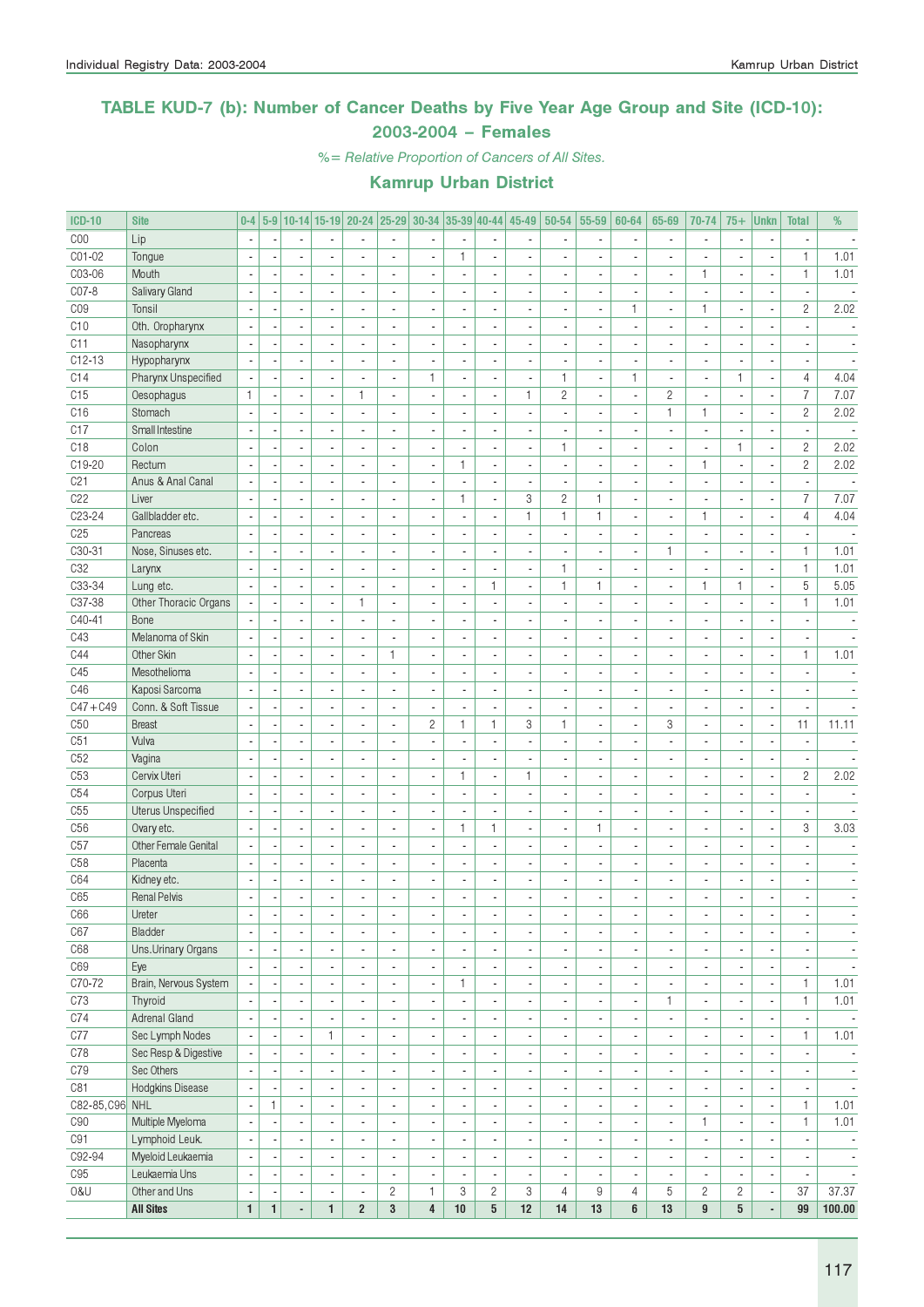### TABLE KUD-7 (b): Number of Cancer Deaths by Five Year Age Group and Site (ICD-10): 2003-2004 – Females

%= Relative Proportion of Cancers of All Sites.

| <b>ICD-10</b>   | <b>Site</b>           |                                            | $0-4$                    |                                            |                                            |                                            |                                            |                                            |                                            |                                            | 5-9 10-14 15-19 20-24 25-29 30-34 35-39 40-44 45-49 50-54 |                                            | 55-59                                      | 60-64                          | 65-69                            | 70-74                                                | $75+$                    | <b>Unkn</b>              | <b>Total</b>                                         | %                                                    |
|-----------------|-----------------------|--------------------------------------------|--------------------------|--------------------------------------------|--------------------------------------------|--------------------------------------------|--------------------------------------------|--------------------------------------------|--------------------------------------------|--------------------------------------------|-----------------------------------------------------------|--------------------------------------------|--------------------------------------------|--------------------------------|----------------------------------|------------------------------------------------------|--------------------------|--------------------------|------------------------------------------------------|------------------------------------------------------|
| COO             | Lip                   |                                            |                          |                                            |                                            |                                            |                                            |                                            |                                            |                                            |                                                           |                                            | ×,                                         |                                |                                  | $\overline{\phantom{a}}$                             |                          |                          |                                                      |                                                      |
| CO1-02          | Tongue                |                                            |                          |                                            |                                            |                                            | $\overline{a}$                             |                                            | $\mathbf{1}$                               | Ĭ.                                         |                                                           |                                            |                                            |                                |                                  |                                                      |                          | ÷,                       | $\mathbf{1}$                                         | 1.01                                                 |
| C03-06          | Mouth                 | $\sim$                                     |                          | $\overline{\phantom{a}}$                   | $\overline{a}$                             | $\overline{a}$                             | $\overline{a}$                             | ä,                                         | $\overline{a}$                             | ÷,                                         | ٠                                                         | $\overline{a}$                             | $\blacksquare$                             | $\overline{\phantom{a}}$       | $\overline{\phantom{a}}$         | $\mathbf{1}$                                         | $\overline{\phantom{a}}$ | ÷,                       | $\mathbf{1}$                                         | 1.01                                                 |
| CO7-8           | Salivary Gland        | $\overline{\phantom{a}}$                   |                          | $\blacksquare$                             | $\overline{a}$                             | ä,                                         | ÷,                                         | $\overline{\phantom{a}}$                   | $\blacksquare$                             | ÷,                                         | $\blacksquare$                                            | $\overline{a}$                             | $\overline{\phantom{a}}$                   | $\overline{\phantom{a}}$       | ä,                               | $\overline{\phantom{a}}$                             | $\overline{a}$           | ÷,                       | $\overline{\phantom{a}}$                             |                                                      |
| CO <sub>9</sub> | Tonsil                |                                            |                          | ÷,                                         |                                            |                                            | L,                                         | $\overline{a}$                             |                                            | ٠                                          | ٠                                                         |                                            | $\overline{\phantom{a}}$                   | $\mathbf{1}$                   | $\blacksquare$                   | $\mathbf{1}$                                         | ٠                        | $\overline{\phantom{a}}$ | $\overline{c}$                                       | 2.02                                                 |
| C10             | Oth. Oropharynx       | $\overline{\phantom{a}}$                   |                          | ÷.                                         |                                            |                                            |                                            | $\overline{a}$                             |                                            | ä,                                         |                                                           |                                            | ä,                                         |                                |                                  | $\overline{\phantom{a}}$                             |                          |                          |                                                      |                                                      |
| C11             | Nasopharynx           | $\overline{\phantom{a}}$                   |                          | $\overline{\phantom{a}}$                   |                                            | $\overline{a}$                             | ÷,                                         | $\overline{\phantom{a}}$                   | $\blacksquare$                             | $\frac{1}{2}$                              | ٠                                                         | $\overline{a}$                             | $\blacksquare$                             | $\overline{a}$                 | $\overline{a}$                   | $\overline{\phantom{a}}$                             | $\overline{a}$           | ÷,                       |                                                      | $\overline{\phantom{a}}$                             |
| $C12 - 13$      | Hypopharynx           |                                            |                          | $\overline{\phantom{a}}$                   |                                            |                                            | ä,                                         | ÷,                                         |                                            | $\frac{1}{2}$                              |                                                           |                                            | ä,                                         | $\overline{\phantom{a}}$       |                                  | $\overline{\phantom{a}}$                             |                          | Ĭ.                       |                                                      |                                                      |
| C14             | Pharynx Unspecified   |                                            |                          | $\blacksquare$                             |                                            |                                            | ä,                                         | 1                                          | ٠                                          | $\qquad \qquad \blacksquare$               |                                                           | $\mathbf{1}$                               | $\overline{\phantom{a}}$                   | $\mathbf{1}$                   |                                  | $\overline{\phantom{a}}$                             | $\mathbf{1}$             | $\overline{\phantom{a}}$ | 4                                                    | 4.04                                                 |
| C15             | Oesophagus            | $\mathbf{1}$                               |                          | $\blacksquare$                             | $\overline{a}$                             | 1                                          | L.                                         | ä,                                         | $\blacksquare$                             | $\overline{a}$                             | $\mathbf{1}$                                              | $\overline{c}$                             | ÷,                                         | ÷,                             | $\overline{c}$                   | ÷,                                                   | ä,                       | ÷,                       | $\overline{7}$                                       | 7.07                                                 |
| C16             | Stomach               | $\overline{\phantom{a}}$                   |                          | $\blacksquare$                             | $\overline{\phantom{a}}$                   | ÷,                                         | ÷,                                         | $\overline{\phantom{a}}$                   | $\blacksquare$                             | $\overline{a}$                             | ä,                                                        | $\overline{\phantom{a}}$                   | $\blacksquare$                             | $\overline{\phantom{a}}$       | $\mathbf{1}$                     | $\mathbf{1}$                                         | $\overline{\phantom{a}}$ | ÷,                       | $\overline{c}$                                       | 2.02                                                 |
| C17             | Small Intestine       |                                            |                          | $\overline{\phantom{a}}$                   |                                            |                                            | L,                                         | ×,                                         | $\blacksquare$                             | $\qquad \qquad \blacksquare$               | ٠                                                         |                                            | $\overline{\phantom{a}}$                   | ٠                              | $\blacksquare$                   | $\overline{\phantom{a}}$                             |                          | $\overline{\phantom{a}}$ | $\overline{\phantom{a}}$                             |                                                      |
| C18             | Colon                 |                                            |                          | ÷,                                         |                                            |                                            | ÷,                                         | ÷,                                         |                                            | ÷,                                         |                                                           | $\mathbf{1}$                               | $\blacksquare$                             | $\overline{a}$                 |                                  | $\mathbf{r}$                                         | $\mathbf{1}$             | ÷,                       | $\overline{c}$                                       | 2.02                                                 |
| C19-20          | Rectum                |                                            |                          | ÷.                                         |                                            | $\overline{a}$                             | $\overline{a}$                             | $\overline{a}$                             | $\mathbf{1}$                               | ä,                                         | ÷,                                                        | $\overline{a}$                             | $\overline{\phantom{a}}$                   | $\overline{a}$                 | $\overline{a}$                   | $\mathbf{1}$                                         | $\overline{a}$           | $\blacksquare$           | $\mathbf{2}$                                         | 2.02                                                 |
| C <sub>21</sub> | Anus & Anal Canal     |                                            |                          | ä,                                         |                                            |                                            | L,                                         |                                            |                                            | $\frac{1}{2}$                              |                                                           |                                            | ÷,                                         |                                |                                  | $\overline{\phantom{a}}$                             |                          | ×,                       | $\blacksquare$                                       |                                                      |
| C <sub>22</sub> | Liver                 |                                            |                          | ä,                                         |                                            |                                            | $\overline{a}$                             |                                            | $\mathbf{1}$                               | $\blacksquare$                             | 3                                                         | $\mathbf{2}$                               | $\mathbf{1}$                               |                                |                                  | $\overline{a}$                                       |                          | ÷,                       | $\overline{I}$                                       | 7.07                                                 |
| C23-24          | Gallbladder etc.      | $\sim$                                     |                          | $\blacksquare$                             | $\overline{\phantom{a}}$                   | $\overline{a}$                             | $\overline{a}$                             | ÷,                                         |                                            | $\frac{1}{2}$                              | $\mathbf{1}$                                              | $\mathbf{1}$                               | $\mathbf{1}$                               | $\overline{\phantom{a}}$       |                                  | $\mathbf{1}$                                         |                          | ÷,                       | $\overline{4}$                                       | 4.04                                                 |
| C <sub>25</sub> | Pancreas              | $\overline{\phantom{a}}$                   |                          | $\overline{\phantom{a}}$                   | $\overline{\phantom{a}}$                   | $\overline{a}$                             | L.                                         | $\overline{\phantom{a}}$                   | $\blacksquare$                             | ÷,                                         | ÷,                                                        | $\overline{\phantom{a}}$                   | $\blacksquare$                             | $\overline{\phantom{a}}$       | $\blacksquare$                   | $\overline{\phantom{a}}$                             | $\overline{a}$           | $\overline{\phantom{a}}$ | ä,                                                   | $\overline{\phantom{a}}$                             |
| C30-31          | Nose, Sinuses etc.    |                                            |                          | ٠                                          |                                            | $\overline{\phantom{a}}$                   | L,                                         | $\blacksquare$                             | $\blacksquare$                             | ٠                                          | ٠                                                         |                                            | $\overline{\phantom{a}}$                   | $\overline{a}$                 | $\mathbf{1}$                     | $\blacksquare$                                       | $\overline{\phantom{a}}$ | $\overline{\phantom{a}}$ | 1                                                    | 1.01                                                 |
| C <sub>32</sub> | Larynx                |                                            |                          | ÷.                                         |                                            |                                            |                                            | ÷,                                         |                                            | ä,                                         |                                                           | $\mathbf{1}$                               | ÷,                                         |                                |                                  | $\overline{a}$                                       |                          |                          | $\mathbf{1}$                                         | 1.01                                                 |
| C33-34          | Lung etc.             |                                            |                          | $\overline{\phantom{a}}$                   |                                            | $\overline{a}$                             | $\overline{a}$                             | $\overline{\phantom{a}}$                   | $\blacksquare$                             | $\mathbf{1}$                               | ٠                                                         | $\mathbf{1}$                               | $\mathbf{1}$                               | $\blacksquare$                 | $\overline{\phantom{a}}$         | $\mathbf{1}$                                         | $\mathbf{1}$             | $\overline{\phantom{a}}$ | 5                                                    | 5.05                                                 |
| C37-38          | Other Thoracic Organs |                                            |                          | ä,                                         |                                            | 1                                          | $\overline{a}$                             | $\overline{a}$                             |                                            | $\overline{a}$                             |                                                           | $\overline{a}$                             | ÷,                                         |                                |                                  | $\overline{\phantom{a}}$                             |                          | Ĭ.                       | $\mathbf{1}$                                         | 1.01                                                 |
| C40-41          | Bone                  |                                            |                          | $\overline{\phantom{a}}$                   |                                            |                                            | $\overline{a}$                             |                                            |                                            | $\overline{\phantom{a}}$                   |                                                           |                                            | ×,                                         | $\overline{a}$                 |                                  | $\blacksquare$                                       |                          | ٠                        |                                                      | $\overline{\phantom{a}}$                             |
| C43             | Melanoma of Skin      | $\sim$                                     |                          | $\blacksquare$                             | $\overline{a}$                             | $\overline{a}$                             | $\overline{a}$                             | ÷,                                         | $\blacksquare$                             | $\overline{a}$                             |                                                           |                                            | ÷,                                         | ä,                             |                                  | $\overline{\phantom{a}}$                             |                          | ÷,                       | ä,                                                   | $\sim$                                               |
| C44             | Other Skin            | $\overline{\phantom{a}}$                   |                          | $\overline{\phantom{a}}$                   | $\overline{a}$                             | $\overline{a}$                             | $\mathbf{1}$                               | $\overline{\phantom{a}}$                   | $\overline{a}$                             | ÷,                                         | ٠                                                         | $\overline{a}$                             | $\blacksquare$                             | $\overline{a}$                 | $\overline{\phantom{a}}$         | $\blacksquare$                                       | $\overline{a}$           | ÷,                       | $\mathbf{1}$                                         | 1.01                                                 |
| C45             | Mesothelioma          |                                            |                          | $\overline{\phantom{a}}$                   |                                            |                                            | L,                                         | $\overline{a}$                             | $\blacksquare$                             | $\overline{\phantom{a}}$                   | ä,                                                        |                                            | $\overline{\phantom{a}}$                   | $\overline{\phantom{a}}$       |                                  | $\overline{\phantom{a}}$                             |                          | $\overline{\phantom{a}}$ | $\overline{a}$                                       |                                                      |
| C46             | Kaposi Sarcoma        |                                            |                          | ÷,                                         |                                            |                                            |                                            | ÷,                                         |                                            | ÷,                                         |                                                           |                                            | ÷,                                         |                                |                                  | $\overline{\phantom{a}}$                             |                          | Ĭ.                       |                                                      |                                                      |
| $C47 + C49$     | Conn. & Soft Tissue   |                                            |                          | ÷.                                         |                                            | $\overline{a}$                             | $\overline{a}$                             | $\blacksquare$                             | $\overline{a}$                             | $\overline{a}$                             | ä,                                                        |                                            | $\overline{\phantom{a}}$                   | $\overline{\phantom{a}}$       | $\overline{a}$                   | $\overline{\phantom{a}}$                             | $\overline{a}$           | ÷,                       | $\overline{a}$                                       |                                                      |
| C50             | <b>Breast</b>         |                                            |                          | ä,                                         |                                            |                                            | ÷,                                         | $\overline{c}$                             | $\mathbf{1}$                               | $\mathbf{1}$                               | 3                                                         | $\mathbf{1}$                               | ÷,                                         | $\overline{a}$                 | 3                                | $\blacksquare$                                       |                          | ÷,                       | 11                                                   | 11.11                                                |
| C51             | Vulva                 |                                            |                          | $\overline{\phantom{a}}$                   |                                            |                                            | ä,                                         |                                            |                                            | $\blacksquare$                             |                                                           |                                            | ×,                                         |                                |                                  | $\blacksquare$                                       |                          | ÷,                       |                                                      |                                                      |
| C52             | Vagina                | $\sim$                                     |                          | $\blacksquare$                             | $\overline{a}$                             | $\overline{a}$                             | $\overline{a}$                             | ÷,                                         | $\blacksquare$                             | $\overline{a}$                             |                                                           |                                            | ÷,                                         | ä,                             |                                  | $\overline{\phantom{a}}$                             |                          | ÷,                       | $\mathbf{r}$                                         |                                                      |
| C53             | Cervix Uteri          | $\overline{\phantom{a}}$                   |                          | $\blacksquare$                             | $\overline{\phantom{a}}$                   | $\overline{a}$                             | L.                                         | $\overline{\phantom{a}}$                   | $\mathbf{1}$                               | $\frac{1}{2}$                              | $\mathbf{1}$                                              | $\overline{\phantom{a}}$                   | $\overline{\phantom{a}}$                   | $\overline{\phantom{a}}$       | $\overline{a}$                   | $\overline{\phantom{a}}$                             | $\overline{a}$           | ÷,                       | $\overline{c}$                                       | 2.02                                                 |
| C54             | Corpus Uteri          |                                            |                          | $\overline{\phantom{a}}$                   |                                            |                                            | ä,                                         | ä,                                         | $\blacksquare$                             | $\frac{1}{2}$                              | ä,                                                        |                                            | $\overline{\phantom{a}}$                   | $\blacksquare$                 |                                  | $\overline{\phantom{a}}$                             |                          | ×,                       | ä,                                                   |                                                      |
| C55             | Uterus Unspecified    |                                            |                          | $\overline{\phantom{a}}$                   |                                            |                                            |                                            |                                            |                                            | ä,                                         |                                                           |                                            | ä,                                         |                                |                                  | $\overline{\phantom{a}}$                             |                          | ٠                        |                                                      |                                                      |
| C <sub>56</sub> | Ovary etc.            | $\overline{\phantom{a}}$                   |                          | $\overline{\phantom{a}}$                   |                                            | $\overline{a}$                             | $\overline{a}$                             | $\overline{\phantom{a}}$                   | $\mathbf{1}$                               | $\mathbf{1}$                               | ٠                                                         |                                            | $\mathbf{1}$                               | $\overline{\phantom{a}}$       | $\overline{a}$                   | $\blacksquare$                                       | $\overline{a}$           | $\blacksquare$           | 3                                                    | 3.03                                                 |
| C57             | Other Female Genital  |                                            |                          | $\blacksquare$                             |                                            |                                            | $\overline{a}$                             | ÷,                                         | L.                                         | $\overline{\phantom{a}}$                   | ÷,                                                        |                                            | ÷,                                         | $\overline{a}$                 |                                  | $\overline{\phantom{a}}$                             | ÷,                       | $\overline{\phantom{a}}$ |                                                      |                                                      |
| C58             | Placenta              | J.                                         |                          | $\overline{\phantom{a}}$                   |                                            |                                            | ٠                                          |                                            |                                            | ÷,                                         |                                                           |                                            | ÷                                          | ٠                              |                                  | $\blacksquare$                                       |                          | ٠                        |                                                      |                                                      |
| C64             | Kidney etc.           | $\sim$                                     |                          | $\overline{\phantom{a}}$<br>$\overline{a}$ |                                            |                                            | ä,                                         | ä,                                         |                                            | $\overline{a}$<br>$\overline{a}$           |                                                           |                                            | $\overline{a}$<br>÷,                       | ä,                             |                                  | $\overline{\phantom{a}}$<br>$\overline{\phantom{a}}$ | $\overline{a}$           | $\overline{\phantom{a}}$ | ä,                                                   |                                                      |
| C65             | <b>Renal Pelvis</b>   |                                            |                          |                                            |                                            |                                            |                                            |                                            |                                            |                                            | $\overline{\phantom{a}}$                                  |                                            |                                            | $\overline{a}$                 |                                  |                                                      | $\overline{a}$           | $\overline{\phantom{a}}$ | $\overline{a}$                                       | $\sim$                                               |
| C66<br>C67      | Ureter<br>Bladder     | $\overline{\phantom{a}}$                   | $\overline{\phantom{a}}$ | $\sim$                                     | $\overline{\phantom{a}}$<br>$\blacksquare$ | $\overline{\phantom{a}}$                   | $\overline{\phantom{a}}$                   | $\overline{\phantom{a}}$                   | $\overline{\phantom{a}}$                   | $\overline{\phantom{a}}$                   | $\overline{\phantom{a}}$                                  | $\overline{\phantom{a}}$<br>$\blacksquare$ | $\overline{\phantom{a}}$                   | $\overline{\phantom{a}}$       | $\overline{\phantom{a}}$         | $\overline{\phantom{a}}$                             | $\overline{\phantom{a}}$ | $\overline{\phantom{a}}$ | $\overline{\phantom{a}}$                             | $\overline{\phantom{a}}$                             |
| C68             | Uns.Urinary Organs    | $\overline{\phantom{a}}$<br>$\blacksquare$ |                          | $\overline{\phantom{a}}$<br>$\blacksquare$ | $\overline{\phantom{a}}$                   | $\blacksquare$<br>$\overline{\phantom{a}}$ | $\blacksquare$<br>$\overline{\phantom{a}}$ | $\blacksquare$<br>$\overline{\phantom{a}}$ | $\overline{\phantom{a}}$<br>$\blacksquare$ | $\overline{\phantom{a}}$<br>$\blacksquare$ | $\overline{\phantom{a}}$<br>٠                             | $\overline{\phantom{a}}$                   | $\blacksquare$<br>$\overline{\phantom{a}}$ | $\overline{\phantom{a}}$<br>ä, | $\blacksquare$<br>$\blacksquare$ | $\overline{\phantom{a}}$<br>$\blacksquare$           | $\overline{a}$           | ٠<br>÷,                  | $\overline{\phantom{a}}$<br>$\overline{\phantom{a}}$ | $\overline{\phantom{a}}$<br>$\overline{\phantom{a}}$ |
| C69             | Eye                   |                                            |                          | $\blacksquare$                             | $\blacksquare$                             | ä,                                         | $\overline{a}$                             | $\overline{\phantom{a}}$                   | $\blacksquare$                             | ÷,                                         | ٠                                                         | $\blacksquare$                             | $\blacksquare$                             | $\overline{\phantom{a}}$       | $\overline{\phantom{a}}$         | $\blacksquare$                                       | $\overline{\phantom{a}}$ | ÷,                       | $\overline{\phantom{a}}$                             | $\overline{\phantom{a}}$                             |
| C70-72          | Brain, Nervous System |                                            |                          | $\overline{\phantom{a}}$                   | $\blacksquare$                             | $\overline{\phantom{a}}$                   | $\overline{\phantom{a}}$                   | $\overline{\phantom{a}}$                   | $\mathbf{1}$                               | $\overline{\phantom{a}}$                   | ٠                                                         | $\blacksquare$                             | $\overline{\phantom{a}}$                   | ٠                              | $\overline{\phantom{a}}$         | $\blacksquare$                                       |                          | $\overline{\phantom{a}}$ | $\mathbf{1}$                                         | 1.01                                                 |
| C73             | Thyroid               | $\blacksquare$                             |                          | $\blacksquare$                             | $\overline{\phantom{a}}$                   | $\overline{a}$                             | $\blacksquare$                             | $\overline{a}$                             |                                            | $\blacksquare$                             |                                                           | $\overline{\phantom{a}}$                   | $\blacksquare$                             | ä,                             | $\mathbf{1}$                     | $\overline{\phantom{a}}$                             |                          | $\overline{a}$           | $\mathbf{1}$                                         | 1.01                                                 |
| C74             | Adrenal Gland         | $\overline{\phantom{a}}$                   |                          | $\overline{\phantom{a}}$                   | $\blacksquare$                             | $\overline{\phantom{a}}$                   | $\overline{\phantom{a}}$                   | $\overline{\phantom{a}}$                   | $\blacksquare$                             | ÷,                                         | ٠                                                         | $\blacksquare$                             | $\overline{\phantom{a}}$                   | $\overline{\phantom{a}}$       | $\overline{\phantom{a}}$         | $\overline{\phantom{a}}$                             | $\overline{\phantom{a}}$ | ÷,                       | $\overline{\phantom{a}}$                             | $\overline{\phantom{a}}$                             |
| C77             | Sec Lymph Nodes       | $\overline{\phantom{a}}$                   |                          | $\overline{\phantom{a}}$                   | 1                                          | $\overline{\phantom{a}}$                   | $\overline{\phantom{a}}$                   | $\blacksquare$                             | $\overline{\phantom{a}}$                   | $\overline{\phantom{a}}$                   | $\overline{\phantom{a}}$                                  | $\overline{\phantom{a}}$                   | $\overline{\phantom{a}}$                   | $\overline{\phantom{a}}$       | $\overline{\phantom{a}}$         | $\overline{\phantom{a}}$                             | $\overline{\phantom{a}}$ | $\overline{\phantom{a}}$ | $\mathbf{1}$                                         | 1.01                                                 |
| C78             | Sec Resp & Digestive  |                                            |                          | $\overline{\phantom{a}}$                   | $\blacksquare$                             | $\blacksquare$                             | $\overline{\phantom{a}}$                   | $\overline{\phantom{a}}$                   | $\overline{\phantom{a}}$                   | $\overline{\phantom{a}}$                   | ٠                                                         | $\blacksquare$                             | $\overline{\phantom{a}}$                   | $\overline{\phantom{a}}$       | $\overline{\phantom{a}}$         | $\overline{\phantom{a}}$                             |                          | $\overline{\phantom{a}}$ | $\overline{\phantom{a}}$                             | $\overline{\phantom{a}}$                             |
| C79             | Sec Others            | $\overline{\phantom{a}}$                   |                          | $\overline{\phantom{a}}$                   | $\overline{\phantom{a}}$                   | $\overline{\phantom{a}}$                   | ä,                                         | $\overline{\phantom{a}}$                   | $\blacksquare$                             | $\overline{\phantom{a}}$                   | ٠                                                         | $\blacksquare$                             | $\overline{\phantom{a}}$                   | ٠                              | $\overline{\phantom{a}}$         | $\blacksquare$                                       |                          | ÷,                       | $\overline{\phantom{a}}$                             | $\overline{\phantom{a}}$                             |
| C81             | Hodgkins Disease      | $\overline{\phantom{a}}$                   |                          | $\overline{\phantom{a}}$                   | $\overline{\phantom{a}}$                   | ä,                                         | $\overline{\phantom{a}}$                   | $\overline{\phantom{a}}$                   | $\blacksquare$                             | $\blacksquare$                             | ٠                                                         | $\overline{\phantom{a}}$                   | $\blacksquare$                             | $\overline{\phantom{a}}$       | $\blacksquare$                   | $\overline{\phantom{a}}$                             |                          | ÷,                       | $\overline{\phantom{a}}$                             | $\sim$                                               |
| C82-85, C96 NHL |                       |                                            | $\mathbf{1}$             | $\overline{\phantom{a}}$                   | $\blacksquare$                             | $\overline{\phantom{a}}$                   | $\overline{\phantom{a}}$                   | ×,                                         |                                            | $\overline{\phantom{a}}$                   | ٠                                                         | $\overline{\phantom{a}}$                   | $\overline{\phantom{a}}$                   | ٠                              | $\overline{\phantom{a}}$         | $\overline{\phantom{a}}$                             |                          | ٠                        | $\mathbf{1}$                                         | 1.01                                                 |
| C90             | Multiple Myeloma      | $\overline{\phantom{a}}$                   |                          | $\blacksquare$                             | $\overline{\phantom{a}}$                   | ÷,                                         | $\blacksquare$                             | $\overline{a}$                             | $\blacksquare$                             | $\overline{\phantom{a}}$                   |                                                           | $\overline{a}$                             | $\overline{\phantom{a}}$                   | $\overline{a}$                 | $\overline{\phantom{a}}$         | $\mathbf{1}$                                         |                          | ÷,                       | $\mathbf{1}$                                         | 1.01                                                 |
| C91             | Lymphoid Leuk.        | $\overline{\phantom{a}}$                   |                          | $\overline{\phantom{a}}$                   | $\blacksquare$                             | $\overline{\phantom{a}}$                   | $\overline{\phantom{a}}$                   | $\overline{\phantom{a}}$                   | $\blacksquare$                             | ÷,                                         | ٠                                                         | $\blacksquare$                             | $\overline{\phantom{a}}$                   | $\overline{\phantom{a}}$       | $\blacksquare$                   | $\overline{\phantom{a}}$                             | $\overline{\phantom{a}}$ | ÷,                       | $\overline{\phantom{a}}$                             | $\overline{\phantom{a}}$                             |
| C92-94          | Myeloid Leukaemia     | $\overline{\phantom{a}}$                   |                          | $\overline{\phantom{a}}$                   | $\blacksquare$                             | $\overline{\phantom{a}}$                   | $\blacksquare$                             | $\overline{\phantom{a}}$                   | $\overline{\phantom{a}}$                   | $\overline{\phantom{a}}$                   | $\overline{\phantom{a}}$                                  | $\overline{\phantom{a}}$                   | $\overline{\phantom{a}}$                   | $\blacksquare$                 | $\overline{\phantom{a}}$         | $\overline{\phantom{a}}$                             | $\blacksquare$           | $\overline{\phantom{a}}$ | $\overline{\phantom{a}}$                             | $\overline{\phantom{a}}$                             |
| C95             | Leukaemia Uns         | $\overline{\phantom{a}}$                   |                          | $\overline{\phantom{a}}$                   | $\overline{\phantom{a}}$                   | $\overline{\phantom{a}}$                   | $\overline{\phantom{a}}$                   | $\overline{\phantom{a}}$                   | $\overline{\phantom{a}}$                   | $\overline{\phantom{a}}$                   | $\overline{\phantom{a}}$                                  | $\overline{\phantom{a}}$                   | $\overline{\phantom{a}}$                   | $\overline{\phantom{a}}$       | $\overline{\phantom{a}}$         | $\overline{\phantom{a}}$                             |                          | $\overline{\phantom{a}}$ | $\overline{\phantom{a}}$                             | $\overline{\phantom{a}}$                             |
| 0&U             | Other and Uns         | $\overline{\phantom{a}}$                   |                          | $\overline{\phantom{a}}$                   | $\overline{\phantom{a}}$                   | $\overline{\phantom{a}}$                   | $\overline{c}$                             | $\mathbf{1}$                               | 3                                          | $\overline{c}$                             | 3                                                         | $\overline{4}$                             | 9                                          | 4                              | 5                                | $\mathbf{2}$                                         | $\overline{2}$           | $\overline{\phantom{a}}$ | 37                                                   | 37.37                                                |
|                 | <b>All Sites</b>      | $\mathbf{1}$                               | $\mathbf{1}$             | ÷.                                         | $\mathbf{1}$                               | $\overline{2}$                             | $\mathbf 3$                                | $\overline{4}$                             | 10                                         | $5\phantom{.0}$                            | 12                                                        | 14                                         | 13                                         | 6                              | 13                               | $\boldsymbol{9}$                                     | $5\phantom{.0}$          | ÷,                       | 99                                                   | 100.00                                               |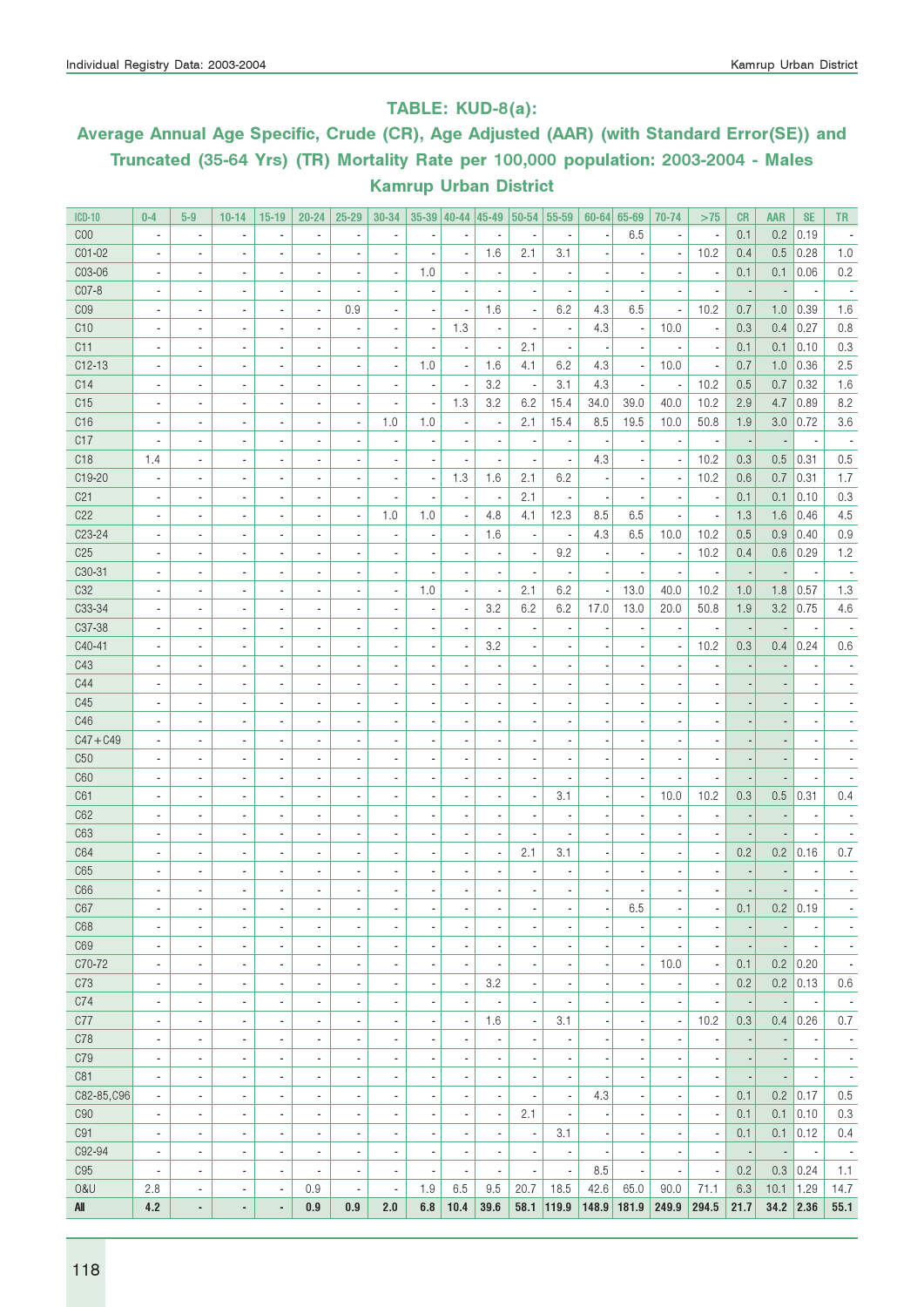### TABLE: KUD-8(a):

# Average Annual Age Specific, Crude (CR), Age Adjusted (AAR) (with Standard Error(SE)) and Truncated (35-64 Yrs) (TR) Mortality Rate per 100,000 population: 2003-2004 - Males Kamrup Urban District

| <b>ICD-10</b>   | $0 - 4$                  | $5-9$                    | $10 - 14$                | $15-19$                      | $20 - 24$                    | $25 - 29$                | $30 - 34$                |                          | $35-39$ 40-44 45-49      |                          | $ 50 - 54 $              | 55-59                    |                          | $60 - 64$ 65-69          | 70-74                        | >75                      | <b>CR</b>                | <b>AAR</b>                   | <b>SE</b>                | <b>TR</b>                    |
|-----------------|--------------------------|--------------------------|--------------------------|------------------------------|------------------------------|--------------------------|--------------------------|--------------------------|--------------------------|--------------------------|--------------------------|--------------------------|--------------------------|--------------------------|------------------------------|--------------------------|--------------------------|------------------------------|--------------------------|------------------------------|
| COO             | $\blacksquare$           | $\blacksquare$           | $\blacksquare$           | $\blacksquare$               | $\blacksquare$               | $\blacksquare$           | $\blacksquare$           | ٠                        |                          |                          | $\overline{\phantom{a}}$ | ×,                       |                          | 6.5                      |                              | $\blacksquare$           | 0.1                      | 0.2                          | 0.19                     |                              |
| C01-02          | $\blacksquare$           | $\overline{a}$           | $\overline{\phantom{a}}$ | $\overline{\phantom{a}}$     | $\overline{\phantom{a}}$     | ٠                        | $\overline{\phantom{a}}$ | $\overline{a}$           | $\overline{\phantom{a}}$ | 1.6                      | 2.1                      | 3.1                      |                          |                          |                              | 10.2                     | 0.4                      | 0.5                          | 0.28                     | 1.0                          |
| C03-06          | $\blacksquare$           | $\blacksquare$           | $\overline{\phantom{a}}$ | $\overline{\phantom{a}}$     | $\overline{\phantom{a}}$     | ٠                        | $\overline{\phantom{a}}$ | 1.0                      |                          |                          |                          |                          |                          |                          |                              | $\overline{\phantom{a}}$ | 0.1                      | 0.1                          | 0.06                     | 0.2                          |
| C07-8           | $\blacksquare$           | $\blacksquare$           | ä,                       | ٠                            | $\overline{\phantom{a}}$     | ×,                       |                          | ×,                       |                          |                          |                          | ä,                       |                          |                          |                              | $\overline{\phantom{a}}$ |                          |                              |                          |                              |
| C <sub>09</sub> | $\blacksquare$           | $\blacksquare$           | ä,                       | ٠                            | $\overline{\phantom{a}}$     | 0.9                      |                          | ×,                       | $\overline{\phantom{a}}$ | 1.6                      |                          | 6.2                      | 4.3                      | 6.5                      |                              | 10.2                     | 0.7                      | 1.0                          | 0.39                     | 1.6                          |
| C10             | $\blacksquare$           | $\blacksquare$           | ä,                       | ٠                            | $\overline{\phantom{a}}$     | $\overline{a}$           |                          | $\blacksquare$           | 1.3                      | $\blacksquare$           |                          | $\overline{\phantom{a}}$ | 4.3                      | $\overline{\phantom{a}}$ | 10.0                         | $\blacksquare$           | 0.3                      | 0.4                          | 0.27                     | 0.8                          |
| C11             | $\blacksquare$           | $\blacksquare$           | ä,                       | ٠                            | $\overline{\phantom{a}}$     | ä,                       | $\blacksquare$           | ×,                       | $\overline{a}$           | $\overline{\phantom{a}}$ | 2.1                      | $\blacksquare$           |                          |                          |                              | $\overline{\phantom{a}}$ | 0.1                      | 0.1                          | 0.10                     | 0.3                          |
| $C12-13$        | $\blacksquare$           | $\overline{a}$           | $\overline{\phantom{a}}$ | ٠                            | $\overline{\phantom{a}}$     | ä,                       | $\blacksquare$           | 1.0                      | $\overline{\phantom{a}}$ | 1.6                      | 4.1                      | 6.2                      | 4.3                      | $\overline{\phantom{a}}$ | 10.0                         | $\blacksquare$           | 0.7                      | 1.0                          | 0.36                     | 2.5                          |
| C <sub>14</sub> | $\blacksquare$           | ×,                       | $\overline{\phantom{a}}$ | ٠                            | $\overline{\phantom{a}}$     | $\overline{a}$           | $\blacksquare$           | ×,                       | $\overline{a}$           | 3.2                      | $\overline{\phantom{a}}$ | 3.1                      | 4.3                      | $\overline{\phantom{a}}$ | $\overline{\phantom{a}}$     | 10.2                     | 0.5                      | 0.7                          | 0.32                     | 1.6                          |
| C15             | $\blacksquare$           | ×,                       | $\overline{\phantom{a}}$ | ٠                            | $\overline{\phantom{a}}$     | $\overline{a}$           | $\blacksquare$           | $\blacksquare$           | 1.3                      | 3.2                      | 6.2                      | 15.4                     | 34.0                     | 39.0                     | 40.0                         | 10.2                     | 2.9                      | 4.7                          | 0.89                     | 8.2                          |
| C <sub>16</sub> | $\overline{a}$           |                          |                          | $\overline{\phantom{a}}$     | ä,                           | Ĭ.                       | 1.0                      | 1.0                      | ÷,                       |                          | 2.1                      | 15.4                     | 8.5                      | 19.5                     | 10.0                         | 50.8                     | 1.9                      | 3.0                          | 0.72                     | 3.6                          |
| C17             |                          |                          |                          | $\overline{\phantom{a}}$     |                              |                          |                          | ×,                       |                          |                          |                          | $\overline{a}$           |                          |                          |                              | $\overline{\phantom{a}}$ |                          |                              |                          |                              |
| C <sub>18</sub> | 1.4                      | ×,                       | L,                       | $\overline{\phantom{a}}$     | ٠                            |                          |                          | ä,                       |                          | $\overline{\phantom{a}}$ |                          | $\blacksquare$           | 4.3                      |                          |                              | 10.2                     | 0.3                      | 0.5                          | 0.31                     | 0.5                          |
| C19-20          | $\overline{\phantom{a}}$ | $\overline{a}$           | ٠                        | $\overline{\phantom{a}}$     | ٠                            |                          |                          | $\overline{\phantom{a}}$ | 1.3                      | 1.6                      | 2.1                      | 6.2                      |                          |                          |                              | 10.2                     | 0.6                      | 0.7                          | 0.31                     | 1.7                          |
| C <sub>21</sub> | $\blacksquare$           | $\blacksquare$           | Ĭ.                       | $\overline{\phantom{a}}$     | ٠                            | Ĭ.                       | $\overline{\phantom{a}}$ | ×,                       | $\overline{a}$           |                          | 2.1                      | $\overline{\phantom{a}}$ |                          |                          |                              | $\overline{\phantom{a}}$ | 0.1                      | 0.1                          | 0.10                     | 0.3                          |
| C22             | $\blacksquare$           | $\blacksquare$           | ٠                        | $\overline{\phantom{a}}$     | ٠                            | i,                       | 1.0                      | 1.0                      | ×,                       | 4.8                      | 4.1                      | 12.3                     | 8.5                      | 6.5                      |                              | ÷,                       | 1.3                      | 1.6                          | 0.46                     | 4.5                          |
| C23-24          | ×,                       | $\blacksquare$           | L,                       | $\overline{\phantom{a}}$     |                              | í,                       | $\overline{a}$           | ×,                       | ٠                        | 1.6                      | ÷,                       | ÷,                       | 4.3                      | 6.5                      | 10.0                         | 10.2                     | 0.5                      | 0.9                          | 0.40                     | 0.9                          |
| C <sub>25</sub> | $\blacksquare$           | $\blacksquare$           | L,                       | ٠                            | $\overline{\phantom{a}}$     |                          |                          | ×,                       |                          | $\overline{\phantom{a}}$ |                          | 9.2                      |                          | ÷,                       | ٠                            | 10.2                     | 0.4                      | 0.6                          | 0.29                     | 1.2                          |
| C30-31          | $\overline{\phantom{a}}$ | $\blacksquare$           | ä,                       | ٠                            | ٠                            |                          | $\blacksquare$           | ×,                       |                          |                          | ÷,                       | ÷,                       |                          |                          | ٠                            | $\blacksquare$           |                          |                              | $\overline{\phantom{a}}$ |                              |
| C32             | $\blacksquare$           | $\blacksquare$           | L,                       | ٠                            | $\overline{\phantom{a}}$     | ٠                        | $\overline{a}$           | 1.0                      | ÷,                       | $\overline{\phantom{a}}$ | 2.1                      | 6.2                      |                          | 13.0                     | 40.0                         | 10.2                     | 1.0                      | 1.8                          | 0.57                     | 1.3                          |
| C33-34          | $\overline{\phantom{a}}$ | $\blacksquare$           | L,                       | ٠                            | $\overline{\phantom{a}}$     | í,                       | $\blacksquare$           | ×,                       | $\overline{a}$           | 3.2                      | 6.2                      | 6.2                      | 17.0                     | 13.0                     | 20.0                         | 50.8                     | 1.9                      | 3.2                          | 0.75                     | 4.6                          |
| C37-38          | $\overline{\phantom{a}}$ | $\blacksquare$           | L,                       | $\overline{\phantom{a}}$     | $\overline{\phantom{a}}$     | í,                       |                          | $\overline{\phantom{a}}$ | $\overline{a}$           | ÷,                       |                          | $\overline{a}$           |                          |                          |                              | ÷,                       |                          |                              | $\overline{a}$           |                              |
| C40-41          | $\blacksquare$           | $\overline{a}$           | ä,                       | $\overline{\phantom{a}}$     | $\overline{\phantom{a}}$     | í,                       |                          | ×,                       | ÷,                       | 3.2                      |                          |                          |                          |                          |                              | 10.2                     | 0.3                      | 0.4                          | 0.24                     | 0.6                          |
| C43             | $\overline{\phantom{a}}$ | $\blacksquare$           | $\blacksquare$           | $\blacksquare$               | $\overline{\phantom{a}}$     | ÷,                       |                          | $\overline{\phantom{m}}$ |                          | ٠                        |                          |                          |                          |                          |                              |                          |                          |                              |                          |                              |
| C44             | $\overline{\phantom{a}}$ | $\blacksquare$           | $\blacksquare$           | $\blacksquare$               | ٠                            | ÷,                       |                          | $\overline{\phantom{a}}$ |                          | $\overline{a}$           |                          |                          |                          |                          |                              |                          |                          |                              |                          |                              |
| C45             | $\overline{\phantom{a}}$ | $\blacksquare$           | $\overline{a}$           | $\blacksquare$               | ٠                            | ٠                        |                          | $\overline{a}$           |                          |                          |                          |                          |                          |                          |                              |                          |                          |                              |                          |                              |
| C46             | $\overline{\phantom{a}}$ | $\blacksquare$           | $\blacksquare$           | $\blacksquare$               | ٠                            | ٠                        |                          | $\overline{\phantom{m}}$ |                          |                          |                          |                          |                          |                          | ٠                            |                          |                          |                              |                          |                              |
| $C47 + C49$     | $\overline{\phantom{a}}$ | $\blacksquare$           | $\blacksquare$           | $\blacksquare$               | ٠                            | ÷,                       |                          | $\overline{\phantom{m}}$ | ٠                        |                          |                          |                          |                          |                          | ٠                            |                          |                          |                              |                          |                              |
| C50             | $\blacksquare$           | $\blacksquare$           | $\blacksquare$           | $\blacksquare$               | $\blacksquare$               | ٠                        |                          | $\overline{\phantom{m}}$ |                          |                          |                          |                          |                          |                          | ٠                            |                          |                          | $\qquad \qquad \blacksquare$ |                          |                              |
| C60             | $\overline{\phantom{a}}$ | $\overline{\phantom{a}}$ | $\overline{\phantom{a}}$ | $\blacksquare$               | $\blacksquare$               | ٠                        |                          | $\overline{\phantom{m}}$ |                          |                          | $\overline{\phantom{a}}$ |                          |                          |                          |                              | $\overline{\phantom{m}}$ |                          |                              |                          |                              |
| C61             | $\overline{\phantom{a}}$ | $\blacksquare$           | $\overline{\phantom{a}}$ | $\blacksquare$               | $\blacksquare$               | $\frac{1}{2}$            |                          | $\overline{\phantom{a}}$ |                          | $\overline{a}$           | $\overline{\phantom{a}}$ | 3.1                      |                          | $\overline{\phantom{a}}$ | 10.0                         | 10.2                     | 0.3                      | 0.5                          | 0.31                     | 0.4                          |
| C62             | $\overline{\phantom{a}}$ | $\overline{\phantom{a}}$ | $\overline{\phantom{a}}$ | $\qquad \qquad \blacksquare$ | $\qquad \qquad \blacksquare$ | ٠                        |                          | $\overline{\phantom{m}}$ |                          |                          |                          |                          |                          |                          |                              | $\overline{a}$           |                          |                              | $\overline{\phantom{a}}$ |                              |
| C63             | $\overline{\phantom{a}}$ | $\overline{\phantom{a}}$ | $\overline{\phantom{a}}$ | $\qquad \qquad \blacksquare$ | $\qquad \qquad \blacksquare$ | ٠                        |                          | $\overline{\phantom{m}}$ |                          | $\frac{1}{2}$            | $\overline{\phantom{a}}$ |                          |                          |                          |                              |                          |                          |                              | $\overline{\phantom{a}}$ | $\overline{\phantom{a}}$     |
| C64             | $\overline{\phantom{a}}$ | $\overline{\phantom{a}}$ | $\overline{\phantom{a}}$ | $\qquad \qquad \blacksquare$ | $\qquad \qquad \blacksquare$ | ٠                        |                          | $\overline{\phantom{a}}$ | $\overline{a}$           | $\frac{1}{2}$            | 2.1                      | 3.1                      |                          |                          | $\frac{1}{2}$                | ×,                       | 0.2                      | 0.2                          | 0.16                     | 0.7                          |
| C65             | $\overline{\phantom{a}}$ |                          |                          | $\qquad \qquad \blacksquare$ | $\qquad \qquad \blacksquare$ | ٠                        |                          |                          | $\overline{a}$           |                          |                          |                          |                          |                          | $\qquad \qquad \blacksquare$ |                          |                          |                              |                          |                              |
| C66             |                          |                          | ٠                        | $\qquad \qquad \blacksquare$ |                              |                          |                          |                          |                          |                          |                          |                          |                          |                          |                              |                          |                          |                              |                          |                              |
| C67             | $\overline{\phantom{a}}$ | $\overline{\phantom{a}}$ | $\overline{\phantom{a}}$ | $\overline{\phantom{a}}$     | $\overline{\phantom{a}}$     | $\overline{\phantom{a}}$ | $\overline{\phantom{a}}$ | $\overline{\phantom{a}}$ | $\overline{\phantom{a}}$ | $\overline{\phantom{a}}$ | $\overline{\phantom{a}}$ | $\overline{\phantom{a}}$ | $\overline{\phantom{a}}$ | 6.5                      |                              | $\overline{\phantom{a}}$ | 0.1                      | 0.2                          | 0.19                     | $\qquad \qquad \blacksquare$ |
| C68             | $\overline{\phantom{a}}$ | ×,                       | $\overline{\phantom{a}}$ | $\overline{\phantom{a}}$     | $\overline{\phantom{a}}$     | ٠                        | $\frac{1}{2}$            | $\overline{a}$           | ×,                       | $\overline{a}$           | $\overline{\phantom{a}}$ | ×,                       | $\overline{a}$           | $\overline{\phantom{a}}$ | $\overline{\phantom{a}}$     | $\overline{a}$           | $\overline{\phantom{a}}$ |                              | $\overline{\phantom{a}}$ | $\overline{\phantom{a}}$     |
| C69             | $\overline{\phantom{a}}$ | $\overline{\phantom{a}}$ | $\overline{\phantom{a}}$ | $\overline{\phantom{a}}$     | $\overline{\phantom{a}}$     | $\overline{\phantom{a}}$ | $\overline{\phantom{a}}$ | $\overline{\phantom{a}}$ | $\overline{\phantom{a}}$ | $\overline{\phantom{a}}$ | $\overline{\phantom{a}}$ | $\overline{\phantom{m}}$ | $\overline{\phantom{a}}$ | $\overline{\phantom{a}}$ | $\overline{\phantom{a}}$     | $\overline{\phantom{a}}$ | $\overline{\phantom{a}}$ | $\overline{\phantom{a}}$     | $\overline{\phantom{a}}$ | $\overline{\phantom{a}}$     |
| C70-72          | $\overline{\phantom{a}}$ | $\overline{\phantom{a}}$ | ٠                        | $\overline{\phantom{a}}$     | $\overline{\phantom{a}}$     | $\overline{\phantom{a}}$ | $\overline{\phantom{a}}$ | $\overline{\phantom{a}}$ | $\overline{\phantom{a}}$ | $\overline{\phantom{a}}$ | $\overline{\phantom{a}}$ | $\overline{\phantom{a}}$ | $\overline{\phantom{a}}$ | $\overline{\phantom{a}}$ | 10.0                         | $\overline{\phantom{a}}$ | 0.1                      | 0.2                          | 0.20                     | $\overline{\phantom{a}}$     |
| C73             | $\overline{\phantom{a}}$ | $\overline{\phantom{a}}$ | $\overline{\phantom{a}}$ | $\overline{\phantom{a}}$     | $\overline{\phantom{a}}$     | $\overline{\phantom{a}}$ | $\overline{\phantom{a}}$ | $\overline{\phantom{a}}$ | $\overline{\phantom{a}}$ | 3.2                      | $\overline{\phantom{a}}$ | $\overline{\phantom{a}}$ | $\overline{\phantom{a}}$ | $\overline{\phantom{a}}$ | $\overline{\phantom{a}}$     | $\overline{\phantom{a}}$ | 0.2                      | 0.2                          | 0.13                     | 0.6                          |
| C74             | $\overline{\phantom{a}}$ | $\overline{\phantom{a}}$ | $\overline{\phantom{a}}$ | $\overline{\phantom{a}}$     | $\overline{\phantom{a}}$     | $\overline{\phantom{a}}$ | $\overline{\phantom{a}}$ | $\overline{\phantom{a}}$ | $\overline{\phantom{a}}$ | $\overline{\phantom{a}}$ | $\overline{\phantom{a}}$ | $\overline{\phantom{a}}$ | $\overline{\phantom{a}}$ | $\overline{\phantom{a}}$ | $\overline{\phantom{a}}$     | $\overline{\phantom{a}}$ | $\overline{\phantom{a}}$ | $\overline{\phantom{a}}$     | $\overline{\phantom{a}}$ | $\overline{\phantom{a}}$     |
| C77             | $\overline{\phantom{a}}$ | $\overline{\phantom{a}}$ | $\overline{\phantom{a}}$ | $\overline{\phantom{a}}$     | $\overline{\phantom{a}}$     | $\overline{\phantom{a}}$ | $\overline{\phantom{a}}$ | $\overline{\phantom{a}}$ | $\overline{\phantom{a}}$ | 1.6                      | $\overline{\phantom{a}}$ | 3.1                      | $\overline{\phantom{a}}$ | $\overline{\phantom{a}}$ | $\overline{\phantom{a}}$     | 10.2                     | 0.3                      | 0.4                          | 0.26                     | 0.7                          |
| C78             | $\overline{\phantom{a}}$ | $\overline{\phantom{a}}$ | $\overline{\phantom{a}}$ | $\overline{\phantom{a}}$     | $\overline{\phantom{a}}$     | $\overline{\phantom{a}}$ | $\overline{\phantom{a}}$ | $\overline{\phantom{a}}$ | $\overline{\phantom{a}}$ | $\overline{\phantom{a}}$ | $\overline{\phantom{a}}$ | $\overline{\phantom{a}}$ | $\overline{\phantom{a}}$ | $\overline{\phantom{a}}$ | $\overline{\phantom{a}}$     | $\overline{\phantom{a}}$ | $\overline{\phantom{a}}$ | $\overline{\phantom{a}}$     | $\overline{\phantom{a}}$ | $\overline{\phantom{a}}$     |
| C79             | $\overline{\phantom{a}}$ | $\overline{\phantom{a}}$ | $\overline{\phantom{a}}$ | $\overline{\phantom{a}}$     | $\blacksquare$               | $\overline{\phantom{a}}$ | $\overline{\phantom{a}}$ | $\overline{\phantom{a}}$ | $\overline{\phantom{a}}$ | $\blacksquare$           | $\blacksquare$           | $\blacksquare$           | $\overline{\phantom{a}}$ | $\overline{\phantom{a}}$ | $\blacksquare$               | $\blacksquare$           | $\overline{\phantom{a}}$ | $\blacksquare$               | $\overline{\phantom{a}}$ | $\overline{\phantom{a}}$     |
| C81             | $\overline{\phantom{a}}$ | $\overline{\phantom{a}}$ | $\overline{\phantom{a}}$ | $\overline{\phantom{a}}$     | $\blacksquare$               | $\overline{\phantom{a}}$ | $\overline{\phantom{a}}$ | $\overline{\phantom{a}}$ | $\overline{\phantom{a}}$ | $\overline{\phantom{a}}$ | $\overline{\phantom{a}}$ | $\overline{\phantom{a}}$ | $\overline{a}$           | $\overline{\phantom{a}}$ | $\overline{\phantom{a}}$     | $\overline{\phantom{a}}$ | $\overline{\phantom{a}}$ | $\blacksquare$               | $\overline{\phantom{a}}$ | $\overline{\phantom{a}}$     |
| C82-85, C96     | $\overline{\phantom{a}}$ | $\overline{\phantom{a}}$ | $\overline{\phantom{a}}$ | $\overline{\phantom{a}}$     | $\overline{\phantom{a}}$     | $\overline{\phantom{a}}$ | $\overline{\phantom{a}}$ | $\overline{\phantom{a}}$ | $\overline{\phantom{a}}$ | $\overline{\phantom{a}}$ | $\overline{\phantom{a}}$ | $\overline{\phantom{a}}$ | 4.3                      | $\overline{\phantom{a}}$ | $\overline{\phantom{a}}$     | $\overline{\phantom{a}}$ | 0.1                      | 0.2                          | 0.17                     | 0.5                          |
| C90             | $\overline{\phantom{a}}$ | $\overline{\phantom{a}}$ | $\overline{\phantom{a}}$ | $\overline{\phantom{a}}$     | $\overline{\phantom{a}}$     | $\overline{\phantom{a}}$ | $\overline{\phantom{a}}$ | $\overline{\phantom{a}}$ | $\overline{\phantom{a}}$ | $\overline{\phantom{a}}$ | 2.1                      | $\overline{\phantom{a}}$ | $\overline{\phantom{a}}$ | $\overline{\phantom{a}}$ | $\overline{\phantom{a}}$     | $\overline{\phantom{a}}$ | 0.1                      | 0.1                          | 0.10                     | 0.3                          |
| C91             | $\overline{\phantom{a}}$ | $\overline{\phantom{a}}$ | $\overline{\phantom{a}}$ | $\overline{\phantom{a}}$     | $\overline{\phantom{a}}$     | $\overline{\phantom{a}}$ | $\overline{\phantom{a}}$ | $\overline{\phantom{a}}$ | $\overline{\phantom{a}}$ | $\overline{\phantom{a}}$ | $\overline{\phantom{a}}$ | 3.1                      | $\overline{\phantom{a}}$ | $\overline{\phantom{a}}$ | $\overline{\phantom{a}}$     | $\overline{\phantom{a}}$ | 0.1                      | 0.1                          | 0.12                     | 0.4                          |
| C92-94          | $\overline{\phantom{a}}$ | $\overline{\phantom{a}}$ | $\overline{\phantom{a}}$ | $\overline{\phantom{a}}$     | $\overline{\phantom{a}}$     | $\overline{\phantom{a}}$ | $\overline{\phantom{a}}$ | $\overline{\phantom{a}}$ | $\overline{\phantom{a}}$ | $\overline{\phantom{a}}$ | $\overline{\phantom{a}}$ | $\overline{\phantom{a}}$ | $\overline{a}$           | $\overline{\phantom{a}}$ | $\overline{\phantom{a}}$     | $\overline{\phantom{a}}$ | $\overline{\phantom{a}}$ | $\blacksquare$               | $\overline{\phantom{a}}$ | $\sim$                       |
| C95             | $\overline{\phantom{a}}$ | $\overline{\phantom{a}}$ | $\overline{\phantom{a}}$ | $\overline{\phantom{a}}$     | $\overline{\phantom{a}}$     | $\overline{\phantom{a}}$ | $\overline{\phantom{a}}$ | $\overline{\phantom{a}}$ | $\overline{\phantom{a}}$ | $\overline{\phantom{a}}$ | $\overline{\phantom{a}}$ | $\overline{\phantom{a}}$ | 8.5                      | $\overline{\phantom{a}}$ | $\overline{\phantom{a}}$     | $\blacksquare$           | 0.2                      | 0.3                          | 0.24                     | 1.1                          |
| 0&U             | 2.8                      | $\overline{\phantom{a}}$ | $\overline{\phantom{a}}$ | $\overline{\phantom{a}}$     | 0.9                          | $\overline{\phantom{a}}$ | $\overline{\phantom{a}}$ | 1.9                      | 6.5                      | 9.5                      | 20.7                     | 18.5                     | 42.6                     | 65.0                     | 90.0                         | 71.1                     | 6.3                      | 10.1                         | 1.29                     | 14.7                         |
| All             | 4.2                      | ٠                        | ۰                        | ٠                            | 0.9                          | 0.9                      | 2.0                      | 6.8                      | 10.4                     | 39.6                     |                          | 58.1 119.9               | 148.9                    | 181.9                    | 249.9                        | 294.5                    | 21.7                     | 34.2                         | $\vert 2.36$             | 55.1                         |